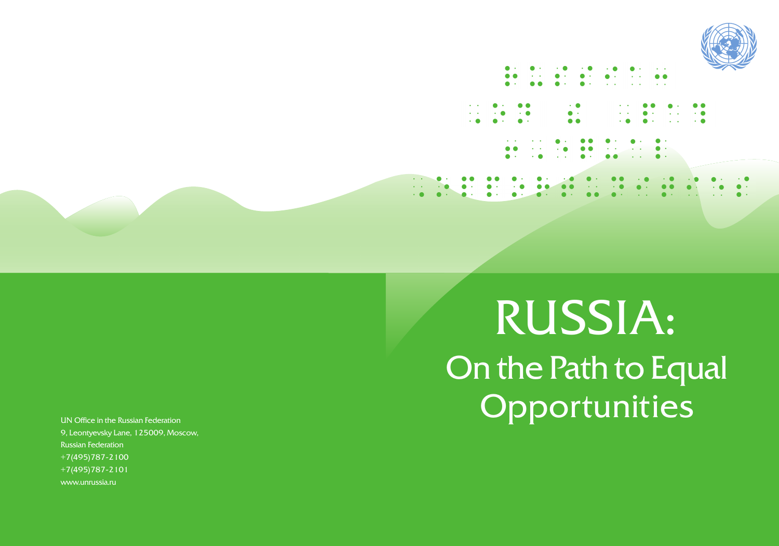

UN Office in the Russian Federation 9. Leontvevsky Lane, 125009, Moscow, Russian Federation  $+7(495)787 - 2100$  $+7(495)787 - 2101$ www.unrussia.ru

# RUSSIA: On the Path to Equal Opportunities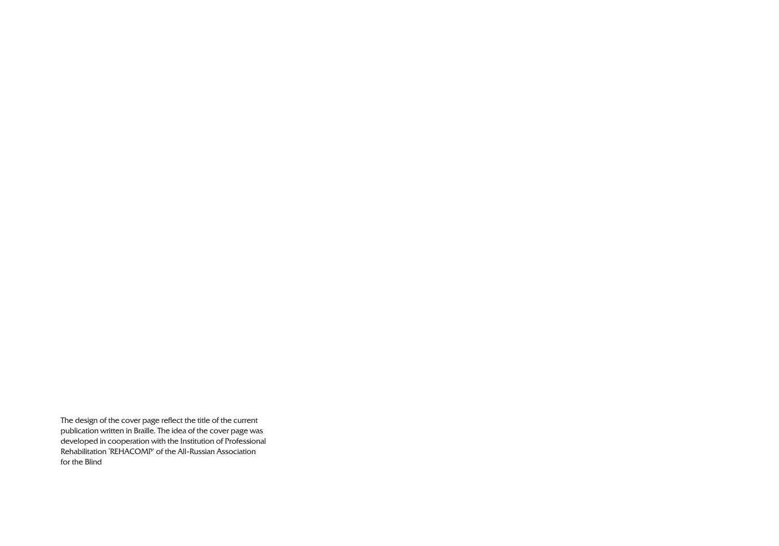The design of the cover page reflect the title of the current publication written in Braille. The idea of the cover page was developed in cooperation with the Institution of Professional Rehabilitation 'REHACOMP' of the All-Russian Association for the Blind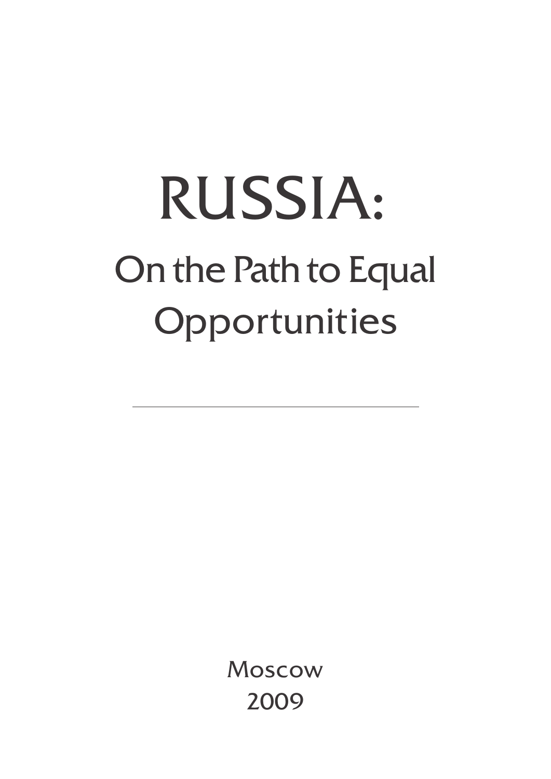## RUSSIA: On the Path to Equal Opportunities

Moscow 2009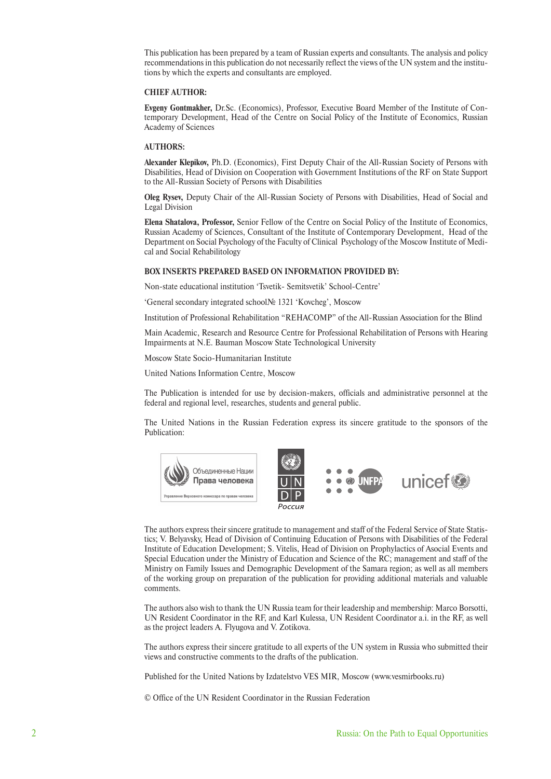This publication has been prepared by a team of Russian experts and consultants. The analysis and policy recommendations in this publication do not necessarily reflect the views of the UN system and the institutions by which the experts and consultants are employed.

#### **CHIEF AUTHOR:**

**Evgeny Gontmakher,** Dr.Sc. (Economics), Professor, Executive Board Member of the Institute of Contemporary Development, Head of the Centre on Social Policy of the Institute of Economics, Russian Academy of Sciences

#### **AUTHORS:**

**Alexander Klepikov,** Ph.D. (Economics), First Deputy Chair of the All-Russian Society of Persons with Disabilities, Head of Division on Cooperation with Government Institutions of the RF on State Support to the All-Russian Society of Persons with Disabilities

**Oleg Rysev,** Deputy Chair of the All-Russian Society of Persons with Disabilities, Head of Social and Legal Division

**Elena Shatalova, Professor,** Senior Fellow of the Centre on Social Policy of the Institute of Economics, Russian Academy of Sciences, Consultant of the Institute of Contemporary Development, Head of the Department on Social Psychology of the Faculty of Clinical Psychology of the Moscow Institute of Medical and Social Rehabilitology

#### **BOX INSERTS PREPARED BASED ON INFORMATION PROVIDED BY:**

Non-state educational institution 'Tsvetik- Semitsvetik' School-Centre'

'General secondary integrated school№ 1321 'Kovcheg', Moscow

Institution of Professional Rehabilitation "REHACOMP" of the All-Russian Association for the Blind

Main Academic, Research and Resource Centre for Professional Rehabilitation of Persons with Hearing Impairments at N.E. Bauman Moscow State Technological University

Moscow State Socio-Humanitarian Institute

United Nations Information Centre, Moscow

The Publication is intended for use by decision-makers, officials and administrative personnel at the federal and regional level, researches, students and general public.

The United Nations in the Russian Federation express its sincere gratitude to the sponsors of the Publication:



The authors express their sincere gratitude to management and staff of the Federal Service of State Statistics; V. Belyavsky, Head of Division of Continuing Education of Persons with Disabilities of the Federal Institute of Education Development; S. Vitelis, Head of Division on Prophylactics of Asocial Events and Special Education under the Ministry of Education and Science of the RC; management and staff of the Ministry on Family Issues and Demographic Development of the Samara region; as well as all members of the working group on preparation of the publication for providing additional materials and valuable comments.

The authors also wish to thank the UN Russia team for their leadership and membership: Marco Borsotti, UN Resident Coordinator in the RF, and Karl Kulessa, UN Resident Coordinator a.i. in the RF, as well as the project leaders A. Flyugova and V. Zotikova.

The authors express their sincere gratitude to all experts of the UN system in Russia who submitted their views and constructive comments to the drafts of the publication.

Published for the United Nations by Izdatelstvo VES MIR, Moscow (www.vesmirbooks.ru)

© Office of the UN Resident Coordinator in the Russian Federation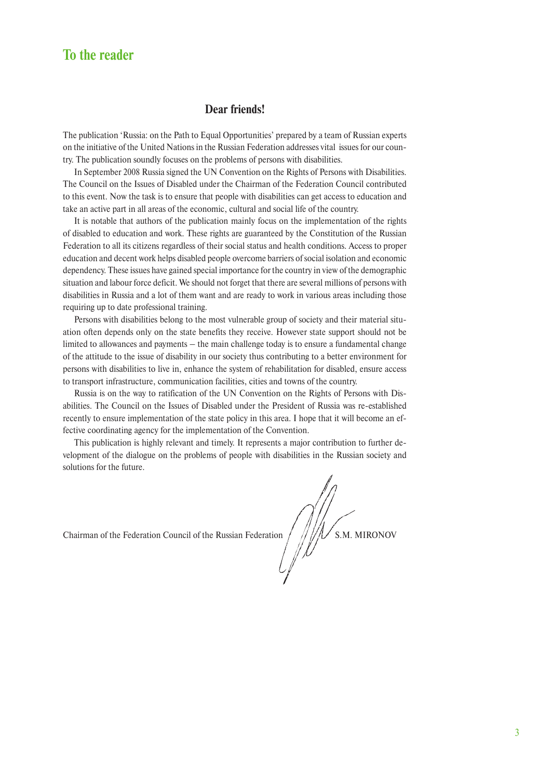#### **To the reader**

#### **Dear friends!**

The publication 'Russia: on the Path to Equal Opportunities' prepared by a team of Russian experts on the initiative of the United Nations in the Russian Federation addresses vital issues for our country. The publication soundly focuses on the problems of persons with disabilities.

In September 2008 Russia signed the UN Convention on the Rights of Persons with Disabilities. The Council on the Issues of Disabled under the Chairman of the Federation Council contributed to this event. Now the task is to ensure that people with disabilities can get access to education and take an active part in all areas of the economic, cultural and social life of the country.

It is notable that authors of the publication mainly focus on the implementation of the rights of disabled to education and work. These rights are guaranteed by the Constitution of the Russian Federation to all its citizens regardless of their social status and health conditions. Access to proper education and decent work helps disabled people overcome barriers of social isolation and economic dependency. These issues have gained special importance for the country in view of the demographic situation and labour force deficit. We should not forget that there are several millions of persons with disabilities in Russia and a lot of them want and are ready to work in various areas including those requiring up to date professional training.

Persons with disabilities belong to the most vulnerable group of society and their material situation often depends only on the state benefits they receive. However state support should not be limited to allowances and payments – the main challenge today is to ensure a fundamental change of the attitude to the issue of disability in our society thus contributing to a better environment for persons with disabilities to live in, enhance the system of rehabilitation for disabled, ensure access to transport infrastructure, communication facilities, cities and towns of the country.

Russia is on the way to ratification of the UN Convention on the Rights of Persons with Disabilities. The Council on the Issues of Disabled under the President of Russia was re-established recently to ensure implementation of the state policy in this area. I hope that it will become an effective coordinating agency for the implementation of the Convention.

This publication is highly relevant and timely. It represents a major contribution to further development of the dialogue on the problems of people with disabilities in the Russian society and solutions for the future.

Chairman of the Federation Council of the Russian Federation  $\sqrt{\frac{1}{N}}\sqrt{\frac{1}{N}}$  S.M. MIRONOV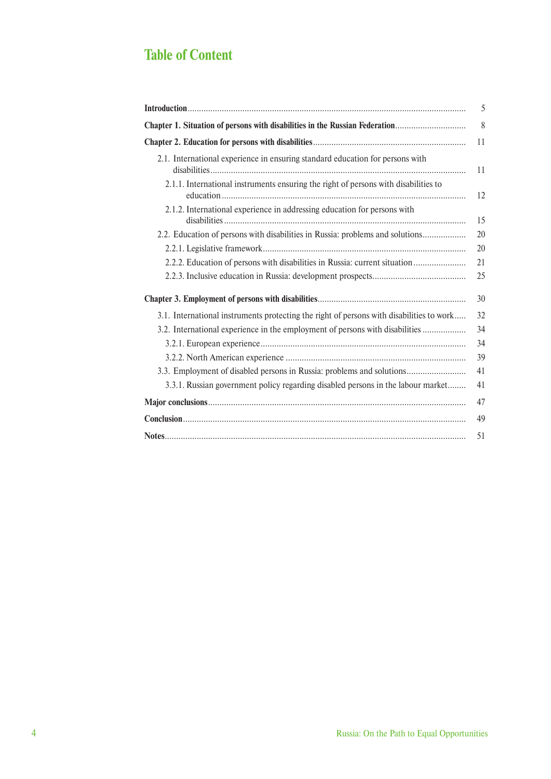### **Table of Content**

|                                                                                          | 5  |
|------------------------------------------------------------------------------------------|----|
| Chapter 1. Situation of persons with disabilities in the Russian Federation              | 8  |
|                                                                                          | 11 |
| 2.1. International experience in ensuring standard education for persons with            | 11 |
| 2.1.1. International instruments ensuring the right of persons with disabilities to      | 12 |
| 2.1.2. International experience in addressing education for persons with                 | 15 |
| 2.2. Education of persons with disabilities in Russia: problems and solutions            | 20 |
|                                                                                          | 20 |
| 2.2.2. Education of persons with disabilities in Russia: current situation               | 21 |
|                                                                                          | 25 |
|                                                                                          | 30 |
| 3.1. International instruments protecting the right of persons with disabilities to work | 32 |
| 3.2. International experience in the employment of persons with disabilities             | 34 |
|                                                                                          | 34 |
|                                                                                          | 39 |
| 3.3. Employment of disabled persons in Russia: problems and solutions                    | 41 |
| 3.3.1. Russian government policy regarding disabled persons in the labour market         | 41 |
|                                                                                          | 47 |
|                                                                                          | 49 |
|                                                                                          | 51 |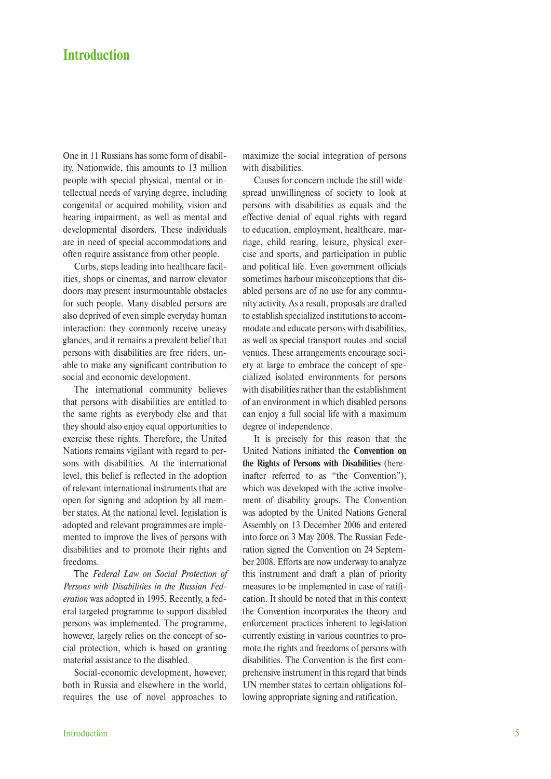#### **Introduction**

One in 11 Russians has some form of disability. Nationwide, this amounts to 13 million people with special physical, mental or intellectual needs of varying degree, including congenital or acquired mobility, vision and hearing impairment, as well as mental and developmental disorders. These individuals are in need of special accommodations and often require assistance from other people.

Curbs, steps leading into healthcare facilities, shops or cinemas, and narrow elevator doors may present insurmountable obstacles for such people. Many disabled persons are also deprived of even simple everyday human interaction: they commonly receive uneasy glances, and it remains a prevalent belief that persons with disabilities are free riders, unable to make any significant contribution to social and economic development.

The international community believes that persons with disabilities are entitled to the same rights as everybody else and that they should also enjoy equal opportunities to exercise these rights. Therefore, the United Nations remains vigilant with regard to persons with disabilities. At the international level, this belief is reflected in the adoption of relevant international instruments that are open for signing and adoption by all member states. At the national level, legislation is adopted and relevant programmes are implemented to improve the lives of persons with disabilities and to promote their rights and freedoms.

The *Federal Law on Social Protection of Persons with Disabilities in the Russian Federation* was adopted in 1995. Recently, a federal targeted programme to support disabled persons was implemented. The programme, however, largely relies on the concept of social protection, which is based on granting material assistance to the disabled.

Social-economic development, however, both in Russia and elsewhere in the world, requires the use of novel approaches to maximize the social integration of persons with disabilities.

Causes for concern include the still widespread unwillingness of society to look at persons with disabilities as equals and the effective denial of equal rights with regard to education, employment, healthcare, marriage, child rearing, leisure, physical exercise and sports, and participation in public and political life. Even government officials sometimes harbour misconceptions that disabled persons are of no use for any community activity. As a result, proposals are drafted to establish specialized institutions to accommodate and educate persons with disabilities, as well as special transport routes and social venues. These arrangements encourage society at large to embrace the concept of specialized isolated environments for persons with disabilities rather than the establishment of an environment in which disabled persons can enjoy a full social life with a maximum degree of independence.

It is precisely for this reason that the United Nations initiated the **Convention on the Rights of Persons with Disabilities** (hereinafter referred to as "the Convention"), which was developed with the active involvement of disability groups. The Convention was adopted by the United Nations General Assembly on 13 December 2006 and entered into force on 3 May 2008. The Russian Federation signed the Convention on 24 September 2008. Efforts are now underway to analyze this instrument and draft a plan of priority measures to be implemented in case of ratification. It should be noted that in this context the Convention incorporates the theory and enforcement practices inherent to legislation currently existing in various countries to promote the rights and freedoms of persons with disabilities. The Convention is the first comprehensive instrument in this regard that binds UN member states to certain obligations following appropriate signing and ratification.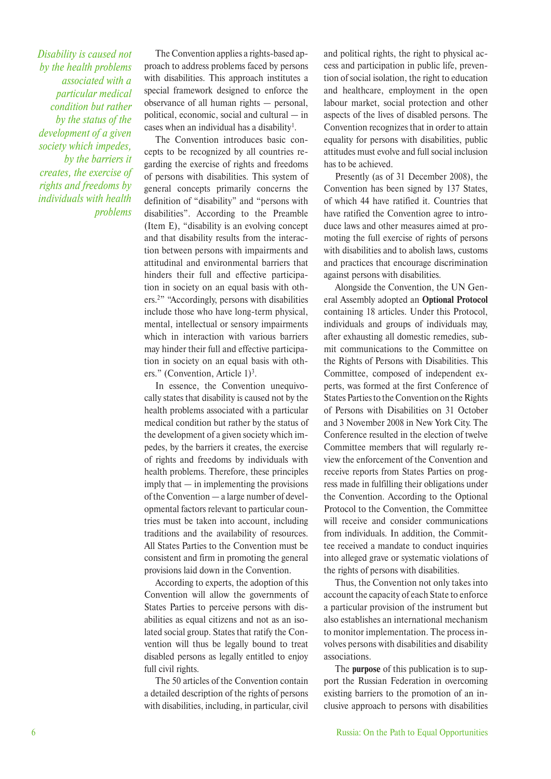*Disability is caused not by the health problems associated with a particular medical condition but rather by the status of the development of a given society which impedes, by the barriers it creates, the exercise of rights and freedoms by individuals with health problems*

The Convention applies a rights-based approach to address problems faced by persons with disabilities. This approach institutes a special framework designed to enforce the observance of all human rights — personal, political, economic, social and cultural — in cases when an individual has a disability<sup>1</sup>.

The Convention introduces basic concepts to be recognized by all countries regarding the exercise of rights and freedoms of persons with disabilities. This system of general concepts primarily concerns the definition of "disability" and "persons with disabilities". According to the Preamble (Item E), "disability is an evolving concept and that disability results from the interaction between persons with impairments and attitudinal and environmental barriers that hinders their full and effective participation in society on an equal basis with others.2 " "Accordingly, persons with disabilities include those who have long-term physical, mental, intellectual or sensory impairments which in interaction with various barriers may hinder their full and effective participation in society on an equal basis with others." (Convention, Article  $1$ )<sup>3</sup>.

In essence, the Convention unequivocally states that disability is caused not by the health problems associated with a particular medical condition but rather by the status of the development of a given society which impedes, by the barriers it creates, the exercise of rights and freedoms by individuals with health problems. Therefore, these principles imply that — in implementing the provisions of the Convention — a large number of developmental factors relevant to particular countries must be taken into account, including traditions and the availability of resources. All States Parties to the Convention must be consistent and firm in promoting the general provisions laid down in the Convention.

According to experts, the adoption of this Convention will allow the governments of States Parties to perceive persons with disabilities as equal citizens and not as an isolated social group. States that ratify the Convention will thus be legally bound to treat disabled persons as legally entitled to enjoy full civil rights.

The 50 articles of the Convention contain a detailed description of the rights of persons with disabilities, including, in particular, civil and political rights, the right to physical access and participation in public life, prevention of social isolation, the right to education and healthcare, employment in the open labour market, social protection and other aspects of the lives of disabled persons. The Convention recognizes that in order to attain equality for persons with disabilities, public attitudes must evolve and full social inclusion has to be achieved.

Presently (as of 31 December 2008), the Convention has been signed by 137 States, of which 44 have ratified it. Countries that have ratified the Convention agree to introduce laws and other measures aimed at promoting the full exercise of rights of persons with disabilities and to abolish laws, customs and practices that encourage discrimination against persons with disabilities.

Alongside the Convention, the UN General Assembly adopted an **Optional Protocol**  containing 18 articles. Under this Protocol, individuals and groups of individuals may, after exhausting all domestic remedies, submit communications to the Committee on the Rights of Persons with Disabilities. This Committee, composed of independent experts, was formed at the first Conference of States Parties to the Convention on the Rights of Persons with Disabilities on 31 October and 3 November 2008 in New York City. The Conference resulted in the election of twelve Committee members that will regularly review the enforcement of the Convention and receive reports from States Parties on progress made in fulfilling their obligations under the Convention. According to the Optional Protocol to the Convention, the Committee will receive and consider communications from individuals. In addition, the Committee received a mandate to conduct inquiries into alleged grave or systematic violations of the rights of persons with disabilities.

Thus, the Convention not only takes into account the capacity of each State to enforce a particular provision of the instrument but also establishes an international mechanism to monitor implementation. The process involves persons with disabilities and disability associations.

The **purpose** of this publication is to support the Russian Federation in overcoming existing barriers to the promotion of an inclusive approach to persons with disabilities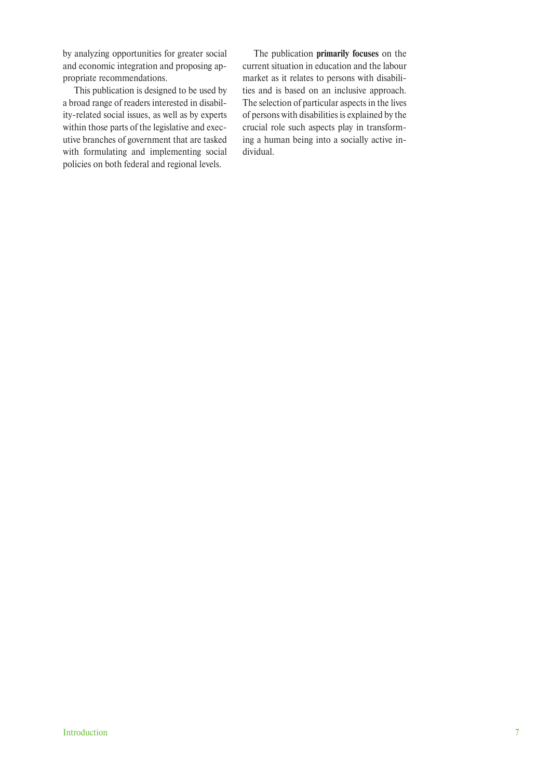by analyzing opportunities for greater social and economic integration and proposing appropriate recommendations.

This publication is designed to be used by a broad range of readers interested in disability-related social issues, as well as by experts within those parts of the legislative and executive branches of government that are tasked with formulating and implementing social policies on both federal and regional levels.

The publication **primarily focuses** on the current situation in education and the labour market as it relates to persons with disabilities and is based on an inclusive approach. The selection of particular aspects in the lives of persons with disabilities is explained by the crucial role such aspects play in transforming a human being into a socially active individual.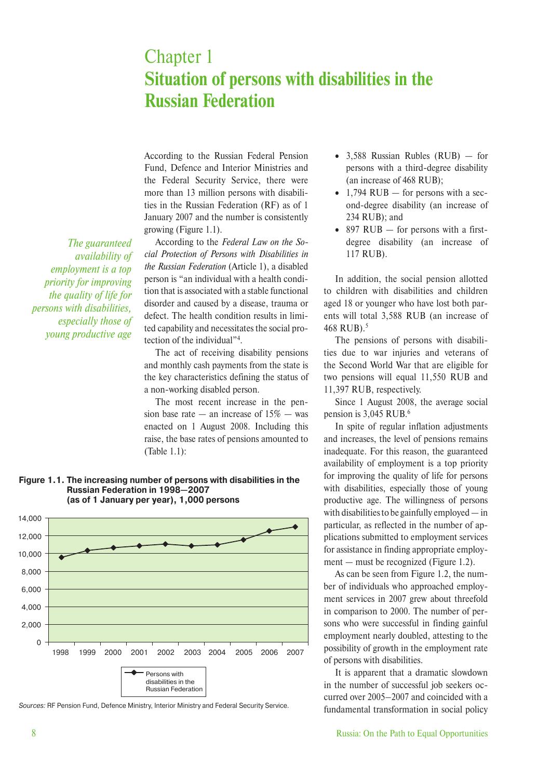## Chapter 1 **Situation of persons with disabilities in the Russian Federation**

According to the Russian Federal Pension Fund, Defence and Interior Ministries and the Federal Security Service, there were more than 13 million persons with disabilities in the Russian Federation (RF) as of 1 January 2007 and the number is consistently growing (Figure 1.1).

*The guaranteed availability of employment is a top priority for improving the quality of life for persons with disabilities, especially those of young productive age*

According to the *Federal Law on the Social Protection of Persons with Disabilities in the Russian Federation* (Article 1), a disabled person is "an individual with a health condition that is associated with a stable functional disorder and caused by a disease, trauma or defect. The health condition results in limited capability and necessitates the social protection of the individual"4 .

The act of receiving disability pensions and monthly cash payments from the state is the key characteristics defining the status of a non-working disabled person.

The most recent increase in the pension base rate — an increase of  $15\%$  — was enacted on 1 August 2008. Including this raise, the base rates of pensions amounted to (Table 1.1):

**Figure 1.1. The increasing number of persons with disabilities in the Russian Federation in 1998—2007 (as of 1 January per year), 1,000 persons**



Sources: RF Pension Fund, Defence Ministry, Interior Ministry and Federal Security Service.

- 3,588 Russian Rubles (RUB) for persons with a third-degree disability (an increase of 468 RUB);
- 1,794 RUB  $-$  for persons with a second-degree disability (an increase of 234 RUB); and
- 897 RUB for persons with a firstdegree disability (an increase of 117 RUB).

In addition, the social pension allotted to children with disabilities and children aged 18 or younger who have lost both parents will total 3,588 RUB (an increase of 468 RUB).5

The pensions of persons with disabilities due to war injuries and veterans of the Second World War that are eligible for two pensions will equal 11,550 RUB and 11,397 RUB, respectively.

Since 1 August 2008, the average social pension is 3,045 RUB.6

In spite of regular inflation adjustments and increases, the level of pensions remains inadequate. For this reason, the guaranteed availability of employment is a top priority for improving the quality of life for persons with disabilities, especially those of young productive age. The willingness of persons with disabilities to be gainfully employed — in particular, as reflected in the number of applications submitted to employment services for assistance in finding appropriate employment — must be recognized (Figure 1.2).

As can be seen from Figure 1.2, the number of individuals who approached employment services in 2007 grew about threefold in comparison to 2000. The number of persons who were successful in finding gainful employment nearly doubled, attesting to the possibility of growth in the employment rate of persons with disabilities.

It is apparent that a dramatic slowdown in the number of successful job seekers occurred over 2005–2007 and coincided with a fundamental transformation in social policy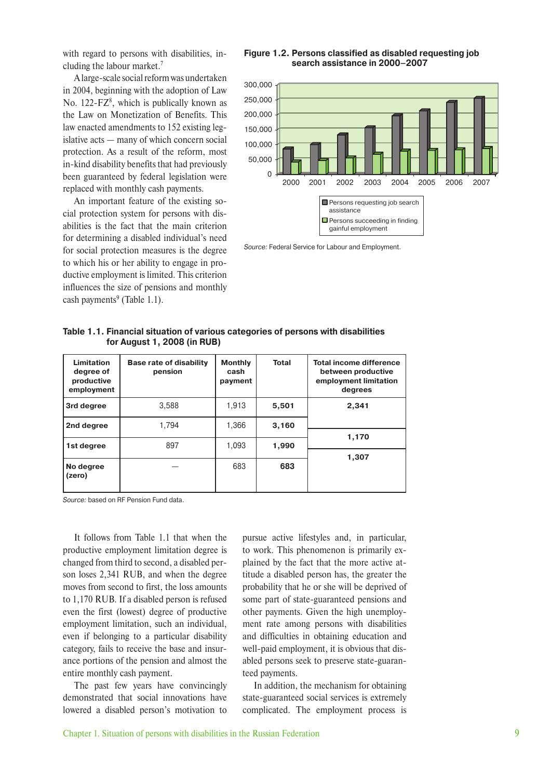with regard to persons with disabilities, including the labour market.7

A large-scale social reform was undertaken in 2004, beginning with the adoption of Law No.  $122$ -FZ<sup>8</sup>, which is publically known as the Law on Monetization of Benefits. This law enacted amendments to 152 existing legislative acts — many of which concern social protection. As a result of the reform, most in-kind disability benefits that had previously been guaranteed by federal legislation were replaced with monthly cash payments.

An important feature of the existing social protection system for persons with disabilities is the fact that the main criterion for determining a disabled individual's need for social protection measures is the degree to which his or her ability to engage in productive employment is limited. This criterion influences the size of pensions and monthly cash payments<sup>9</sup> (Table 1.1).

#### **Figure 1.2. Persons classified as disabled requesting job search assistance in 2000–2007**



Source: Federal Service for Labour and Employment.

| Limitation<br>degree of<br>productive<br>employment | <b>Base rate of disability</b><br>pension | <b>Monthly</b><br>cash<br>payment | <b>Total</b> | <b>Total income difference</b><br>between productive<br>employment limitation<br>degrees |
|-----------------------------------------------------|-------------------------------------------|-----------------------------------|--------------|------------------------------------------------------------------------------------------|
| 3rd degree                                          | 3.588                                     | 1,913                             | 5,501        | 2,341                                                                                    |
| 2nd degree                                          | 1.794                                     | 1,366                             | 3,160        |                                                                                          |
| 1st degree                                          | 897                                       | 1,093                             | 1,990        | 1,170                                                                                    |
| No degree<br>(zero)                                 |                                           | 683                               | 683          | 1,307                                                                                    |

**Table 1.1. Financial situation of various categories of persons with disabilities for August 1, 2008 (in RUB)**

Source: based on RF Pension Fund data.

It follows from Table 1.1 that when the productive employment limitation degree is changed from third to second, a disabled person loses 2,341 RUB, and when the degree moves from second to first, the loss amounts to 1,170 RUB. If a disabled person is refused even the first (lowest) degree of productive employment limitation, such an individual, even if belonging to a particular disability category, fails to receive the base and insurance portions of the pension and almost the entire monthly cash payment.

The past few years have convincingly demonstrated that social innovations have lowered a disabled person's motivation to pursue active lifestyles and, in particular, to work. This phenomenon is primarily explained by the fact that the more active attitude a disabled person has, the greater the probability that he or she will be deprived of some part of state-guaranteed pensions and other payments. Given the high unemployment rate among persons with disabilities and difficulties in obtaining education and well-paid employment, it is obvious that disabled persons seek to preserve state-guaranteed payments.

In addition, the mechanism for obtaining state-guaranteed social services is extremely complicated. The employment process is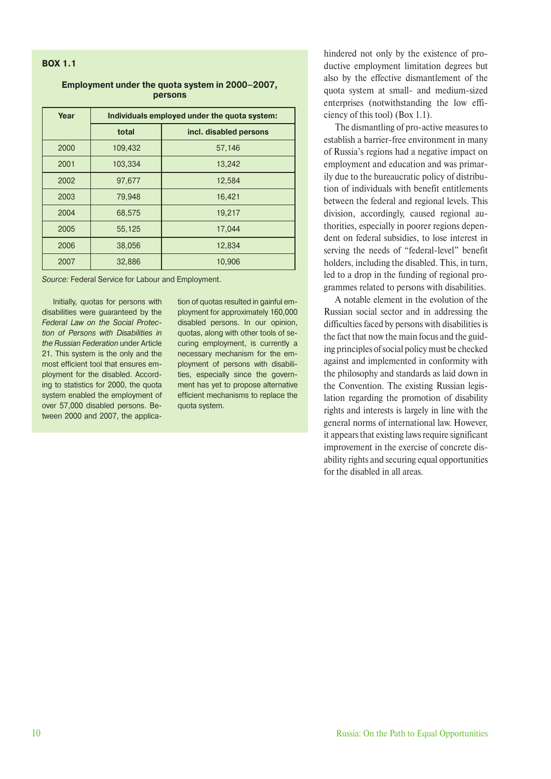#### **BOX 1.1**

#### **Employment under the quota system in 2000–2007, persons**

| Year | Individuals employed under the quota system: |                        |  |  |
|------|----------------------------------------------|------------------------|--|--|
|      | total                                        | incl. disabled persons |  |  |
| 2000 | 109,432                                      | 57,146                 |  |  |
| 2001 | 103,334                                      | 13,242                 |  |  |
| 2002 | 97,677                                       | 12,584                 |  |  |
| 2003 | 79,948                                       | 16,421                 |  |  |
| 2004 | 68,575                                       | 19,217                 |  |  |
| 2005 | 55,125                                       | 17.044                 |  |  |
| 2006 | 38,056                                       | 12,834                 |  |  |
| 2007 | 32,886                                       | 10,906                 |  |  |

Source: Federal Service for Labour and Employment.

Initially, quotas for persons with disabilities were guaranteed by the Federal Law on the Social Protection of Persons with Disabilities in the Russian Federation under Article 21. This system is the only and the most efficient tool that ensures employment for the disabled. According to statistics for 2000, the quota system enabled the employment of over 57,000 disabled persons. Between 2000 and 2007, the application of quotas resulted in gainful employment for approximately 160,000 disabled persons. In our opinion, quotas, along with other tools of securing employment, is currently a necessary mechanism for the employment of persons with disabilities, especially since the government has yet to propose alternative efficient mechanisms to replace the quota system.

hindered not only by the existence of productive employment limitation degrees but also by the effective dismantlement of the quota system at small- and medium-sized enterprises (notwithstanding the low efficiency of this tool) (Box 1.1).

The dismantling of pro-active measures to establish a barrier-free environment in many of Russia's regions had a negative impact on employment and education and was primarily due to the bureaucratic policy of distribution of individuals with benefit entitlements between the federal and regional levels. This division, accordingly, caused regional authorities, especially in poorer regions dependent on federal subsidies, to lose interest in serving the needs of "federal-level" benefit holders, including the disabled. This, in turn, led to a drop in the funding of regional programmes related to persons with disabilities.

A notable element in the evolution of the Russian social sector and in addressing the difficulties faced by persons with disabilities is the fact that now the main focus and the guiding principles of social policy must be checked against and implemented in conformity with the philosophy and standards as laid down in the Convention. The existing Russian legislation regarding the promotion of disability rights and interests is largely in line with the general norms of international law. However, it appears that existing laws require significant improvement in the exercise of concrete disability rights and securing equal opportunities for the disabled in all areas.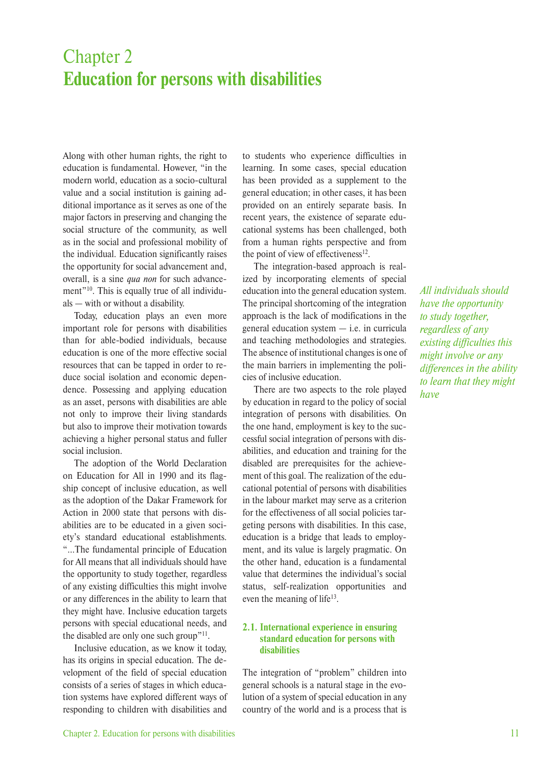## Chapter 2 **Education for persons with disabilities**

Along with other human rights, the right to education is fundamental. However, "in the modern world, education as a socio-cultural value and a social institution is gaining additional importance as it serves as one of the major factors in preserving and changing the social structure of the community, as well as in the social and professional mobility of the individual. Education significantly raises the opportunity for social advancement and, overall, is a sine *qua non* for such advancement"<sup>10</sup>. This is equally true of all individuals — with or without a disability.

Today, education plays an even more important role for persons with disabilities than for able-bodied individuals, because education is one of the more effective social resources that can be tapped in order to reduce social isolation and economic dependence. Possessing and applying education as an asset, persons with disabilities are able not only to improve their living standards but also to improve their motivation towards achieving a higher personal status and fuller social inclusion.

The adoption of the World Declaration on Education for All in 1990 and its flagship concept of inclusive education, as well as the adoption of the Dakar Framework for Action in 2000 state that persons with disabilities are to be educated in a given society's standard educational establishments. "…The fundamental principle of Education for All means that all individuals should have the opportunity to study together, regardless of any existing difficulties this might involve or any differences in the ability to learn that they might have. Inclusive education targets persons with special educational needs, and the disabled are only one such group"11.

Inclusive education, as we know it today, has its origins in special education. The development of the field of special education consists of a series of stages in which education systems have explored different ways of responding to children with disabilities and to students who experience difficulties in learning. In some cases, special education has been provided as a supplement to the general education; in other cases, it has been provided on an entirely separate basis. In recent years, the existence of separate educational systems has been challenged, both from a human rights perspective and from the point of view of effectiveness $12$ .

The integration-based approach is realized by incorporating elements of special education into the general education system. The principal shortcoming of the integration approach is the lack of modifications in the general education system — i.e. in curricula and teaching methodologies and strategies. The absence of institutional changes is one of the main barriers in implementing the policies of inclusive education.

There are two aspects to the role played by education in regard to the policy of social integration of persons with disabilities. On the one hand, employment is key to the successful social integration of persons with disabilities, and education and training for the disabled are prerequisites for the achievement of this goal. The realization of the educational potential of persons with disabilities in the labour market may serve as a criterion for the effectiveness of all social policies targeting persons with disabilities. In this case, education is a bridge that leads to employment, and its value is largely pragmatic. On the other hand, education is a fundamental value that determines the individual's social status, self-realization opportunities and even the meaning of life<sup>13</sup>.

#### **2.1. International experience in ensuring standard education for persons with disabilities**

The integration of "problem" children into general schools is a natural stage in the evolution of a system of special education in any country of the world and is a process that is *All individuals should have the opportunity to study together, regardless of any existing difficulties this might involve or any differences in the ability to learn that they might have*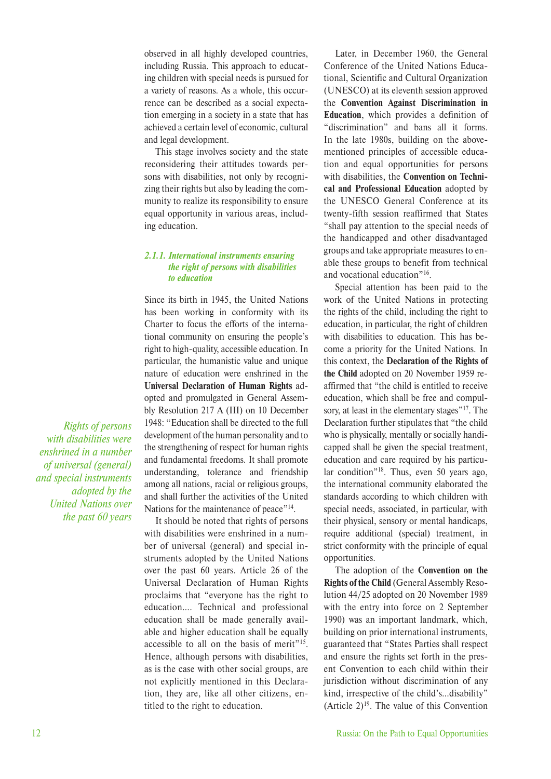observed in all highly developed countries, including Russia. This approach to educating children with special needs is pursued for a variety of reasons. As a whole, this occurrence can be described as a social expectation emerging in a society in a state that has achieved a certain level of economic, cultural and legal development.

This stage involves society and the state reconsidering their attitudes towards persons with disabilities, not only by recognizing their rights but also by leading the community to realize its responsibility to ensure equal opportunity in various areas, including education.

#### *2.1.1. International instruments ensuring the right of persons with disabilities to education*

Since its birth in 1945, the United Nations has been working in conformity with its Charter to focus the efforts of the international community on ensuring the people's right to high-quality, accessible education. In particular, the humanistic value and unique nature of education were enshrined in the **Universal Declaration of Human Rights** adopted and promulgated in General Assembly Resolution 217 A (III) on 10 December 1948: "Education shall be directed to the full development of the human personality and to the strengthening of respect for human rights and fundamental freedoms. It shall promote understanding, tolerance and friendship among all nations, racial or religious groups, and shall further the activities of the United Nations for the maintenance of peace"<sup>14</sup>.

It should be noted that rights of persons with disabilities were enshrined in a number of universal (general) and special instruments adopted by the United Nations over the past 60 years. Article 26 of the Universal Declaration of Human Rights proclaims that "everyone has the right to education…. Technical and professional education shall be made generally available and higher education shall be equally accessible to all on the basis of merit"15. Hence, although persons with disabilities, as is the case with other social groups, are not explicitly mentioned in this Declaration, they are, like all other citizens, entitled to the right to education.

Later, in December 1960, the General Conference of the United Nations Educational, Scientific and Cultural Organization (UNESCO) at its eleventh session approved the **Convention Against Discrimination in Education**, which provides a definition of "discrimination" and bans all it forms. In the late 1980s, building on the abovementioned principles of accessible education and equal opportunities for persons with disabilities, the **Convention on Technical and Professional Education** adopted by the UNESCO General Conference at its twenty-fifth session reaffirmed that States "shall pay attention to the special needs of the handicapped and other disadvantaged groups and take appropriate measures to enable these groups to benefit from technical and vocational education"16.

Special attention has been paid to the work of the United Nations in protecting the rights of the child, including the right to education, in particular, the right of children with disabilities to education. This has become a priority for the United Nations. In this context, the **Declaration of the Rights of the Child** adopted on 20 November 1959 reaffirmed that "the child is entitled to receive education, which shall be free and compulsory, at least in the elementary stages"<sup>17</sup>. The Declaration further stipulates that "the child who is physically, mentally or socially handicapped shall be given the special treatment, education and care required by his particular condition<sup>"18</sup>. Thus, even 50 years ago, the international community elaborated the standards according to which children with special needs, associated, in particular, with their physical, sensory or mental handicaps, require additional (special) treatment, in strict conformity with the principle of equal opportunities.

The adoption of the **Convention on the Rights of the Child** (General Assembly Resolution 44/25 adopted on 20 November 1989 with the entry into force on 2 September 1990) was an important landmark, which, building on prior international instruments, guaranteed that "States Parties shall respect and ensure the rights set forth in the present Convention to each child within their jurisdiction without discrimination of any kind, irrespective of the child's…disability" (Article  $2)^{19}$ . The value of this Convention

*Rights of persons with disabilities were enshrined in a number of universal (general) and special instruments adopted by the United Nations over the past 60 years*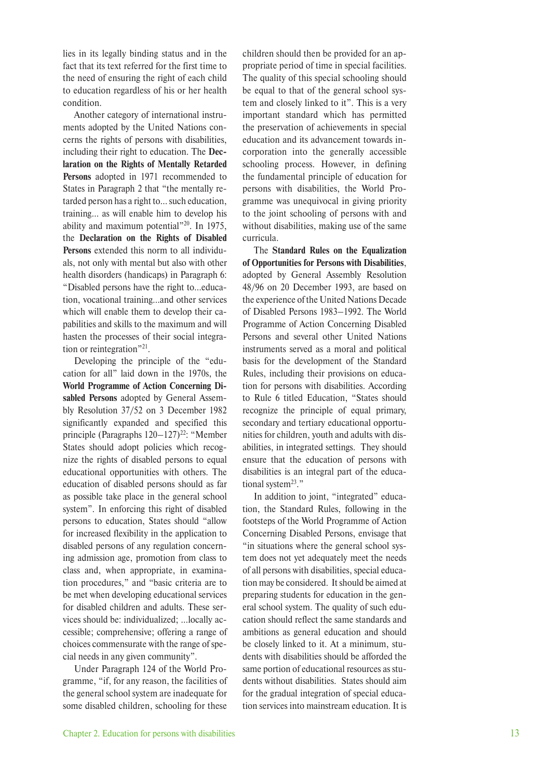lies in its legally binding status and in the fact that its text referred for the first time to the need of ensuring the right of each child to education regardless of his or her health condition.

Another category of international instruments adopted by the United Nations concerns the rights of persons with disabilities, including their right to education. The **Declaration on the Rights of Mentally Retarded Persons** adopted in 1971 recommended to States in Paragraph 2 that "the mentally retarded person has a right to… such education, training… as will enable him to develop his ability and maximum potential"20. In 1975, the **Declaration on the Rights of Disabled Persons** extended this norm to all individuals, not only with mental but also with other health disorders (handicaps) in Paragraph 6: "Disabled persons have the right to…education, vocational training…and other services which will enable them to develop their capabilities and skills to the maximum and will hasten the processes of their social integration or reintegration"<sup>21</sup>.

Developing the principle of the "education for all" laid down in the 1970s, the **World Programme of Action Concerning Disabled Persons** adopted by General Assembly Resolution 37/52 on 3 December 1982 significantly expanded and specified this principle (Paragraphs  $120-127$ )<sup>22</sup>: "Member States should adopt policies which recognize the rights of disabled persons to equal educational opportunities with others. The education of disabled persons should as far as possible take place in the general school system". In enforcing this right of disabled persons to education, States should "allow for increased flexibility in the application to disabled persons of any regulation concerning admission age, promotion from class to class and, when appropriate, in examination procedures," and "basic criteria are to be met when developing educational services for disabled children and adults. These services should be: individualized; …locally accessible; comprehensive; offering a range of choices commensurate with the range of special needs in any given community".

Under Paragraph 124 of the World Programme, "if, for any reason, the facilities of the general school system are inadequate for some disabled children, schooling for these children should then be provided for an appropriate period of time in special facilities. The quality of this special schooling should be equal to that of the general school system and closely linked to it". This is a very important standard which has permitted the preservation of achievements in special education and its advancement towards incorporation into the generally accessible schooling process. However, in defining the fundamental principle of education for persons with disabilities, the World Programme was unequivocal in giving priority to the joint schooling of persons with and without disabilities, making use of the same curricula.

The **Standard Rules on the Equalization of Opportunities for Persons with Disabilities**, adopted by General Assembly Resolution 48/96 on 20 December 1993, are based on the experience of the United Nations Decade of Disabled Persons 1983–1992. The World Programme of Action Concerning Disabled Persons and several other United Nations instruments served as a moral and political basis for the development of the Standard Rules, including their provisions on education for persons with disabilities. According to Rule 6 titled Education, "States should recognize the principle of equal primary, secondary and tertiary educational opportunities for children, youth and adults with disabilities, in integrated settings. They should ensure that the education of persons with disabilities is an integral part of the educational system<sup>23</sup>."

In addition to joint, "integrated" education, the Standard Rules, following in the footsteps of the World Programme of Action Concerning Disabled Persons, envisage that "in situations where the general school system does not yet adequately meet the needs of all persons with disabilities, special education may be considered. It should be aimed at preparing students for education in the general school system. The quality of such education should reflect the same standards and ambitions as general education and should be closely linked to it. At a minimum, students with disabilities should be afforded the same portion of educational resources as students without disabilities. States should aim for the gradual integration of special education services into mainstream education. It is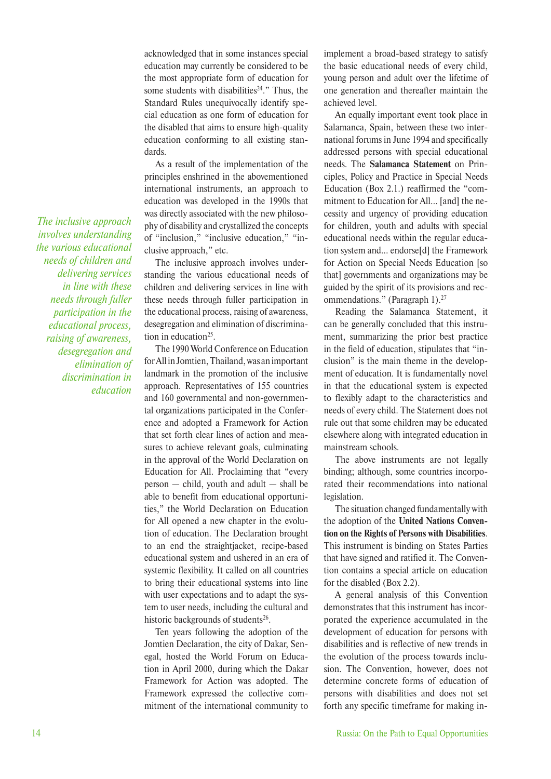acknowledged that in some instances special education may currently be considered to be the most appropriate form of education for some students with disabilities<sup>24</sup>." Thus, the Standard Rules unequivocally identify special education as one form of education for the disabled that aims to ensure high-quality education conforming to all existing standards.

As a result of the implementation of the principles enshrined in the abovementioned international instruments, an approach to education was developed in the 1990s that was directly associated with the new philosophy of disability and crystallized the concepts of "inclusion," "inclusive education," "inclusive approach," etc.

The inclusive approach involves understanding the various educational needs of children and delivering services in line with these needs through fuller participation in the educational process, raising of awareness, desegregation and elimination of discrimination in education<sup>25</sup>.

The 1990 World Conference on Education for All in Jomtien, Thailand, was an important landmark in the promotion of the inclusive approach. Representatives of 155 countries and 160 governmental and non-governmental organizations participated in the Conference and adopted a Framework for Action that set forth clear lines of action and measures to achieve relevant goals, culminating in the approval of the World Declaration on Education for All. Proclaiming that "every person — child, youth and adult — shall be able to benefit from educational opportunities," the World Declaration on Education for All opened a new chapter in the evolution of education. The Declaration brought to an end the straightjacket, recipe-based educational system and ushered in an era of systemic flexibility. It called on all countries to bring their educational systems into line with user expectations and to adapt the system to user needs, including the cultural and historic backgrounds of students<sup>26</sup>.

Ten years following the adoption of the Jomtien Declaration, the city of Dakar, Senegal, hosted the World Forum on Education in April 2000, during which the Dakar Framework for Action was adopted. The Framework expressed the collective commitment of the international community to implement a broad-based strategy to satisfy the basic educational needs of every child, young person and adult over the lifetime of one generation and thereafter maintain the achieved level.

An equally important event took place in Salamanca, Spain, between these two international forums in June 1994 and specifically addressed persons with special educational needs. The **Salamanca Statement** on Principles, Policy and Practice in Special Needs Education (Box 2.1.) reaffirmed the "commitment to Education for All… [and] the necessity and urgency of providing education for children, youth and adults with special educational needs within the regular education system and… endorse[d] the Framework for Action on Special Needs Education [so that] governments and organizations may be guided by the spirit of its provisions and recommendations." (Paragraph 1).<sup>27</sup>

Reading the Salamanca Statement, it can be generally concluded that this instrument, summarizing the prior best practice in the field of education, stipulates that "inclusion" is the main theme in the development of education. It is fundamentally novel in that the educational system is expected to flexibly adapt to the characteristics and needs of every child. The Statement does not rule out that some children may be educated elsewhere along with integrated education in mainstream schools.

The above instruments are not legally binding; although, some countries incorporated their recommendations into national legislation.

The situation changed fundamentally with the adoption of the **United Nations Convention on the Rights of Persons with Disabilities**. This instrument is binding on States Parties that have signed and ratified it. The Convention contains a special article on education for the disabled (Box 2.2).

A general analysis of this Convention demonstrates that this instrument has incorporated the experience accumulated in the development of education for persons with disabilities and is reflective of new trends in the evolution of the process towards inclusion. The Convention, however, does not determine concrete forms of education of persons with disabilities and does not set forth any specific timeframe for making in-

*involves understanding the various educational needs of children and delivering services in line with these needs through fuller participation in the educational process, raising of awareness, desegregation and elimination of discrimination in education*

*The inclusive approach*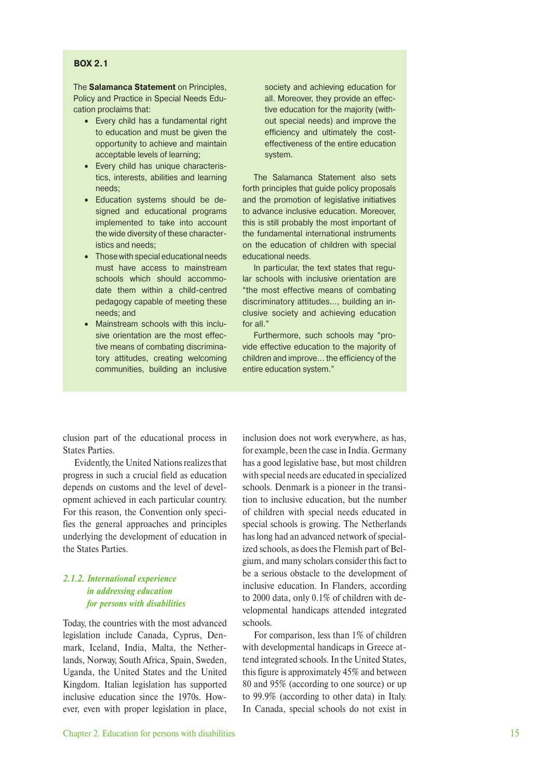#### **BOX 2.1**

The **Salamanca Statement** on Principles, Policy and Practice in Special Needs Education proclaims that:

- Every child has a fundamental right to education and must be given the opportunity to achieve and maintain acceptable levels of learning;
- Every child has unique characteristics, interests, abilities and learning needs;
- Education systems should be designed and educational programs implemented to take into account the wide diversity of these characteristics and needs;
- Those with special educational needs must have access to mainstream schools which should accommodate them within a child-centred pedagogy capable of meeting these needs; and
- Mainstream schools with this inclusive orientation are the most effective means of combating discriminatory attitudes, creating welcoming communities, building an inclusive

society and achieving education for all. Moreover, they provide an effective education for the majority (without special needs) and improve the efficiency and ultimately the costeffectiveness of the entire education system.

The Salamanca Statement also sets forth principles that guide policy proposals and the promotion of legislative initiatives to advance inclusive education. Moreover, this is still probably the most important of the fundamental international instruments on the education of children with special educational needs.

In particular, the text states that regular schools with inclusive orientation are "the most effective means of combating discriminatory attitudes…, building an inclusive society and achieving education for all."

Furthermore, such schools may "provide effective education to the majority of children and improve… the efficiency of the entire education system."

clusion part of the educational process in States Parties.

Evidently, the United Nations realizes that progress in such a crucial field as education depends on customs and the level of development achieved in each particular country. For this reason, the Convention only specifies the general approaches and principles underlying the development of education in the States Parties.

#### *2.1.2. International experience in addressing education for persons with disabilities*

Today, the countries with the most advanced legislation include Canada, Cyprus, Denmark, Iceland, India, Malta, the Netherlands, Norway, South Africa, Spain, Sweden, Uganda, the United States and the United Kingdom. Italian legislation has supported inclusive education since the 1970s. However, even with proper legislation in place, inclusion does not work everywhere, as has, for example, been the case in India. Germany has a good legislative base, but most children with special needs are educated in specialized schools. Denmark is a pioneer in the transition to inclusive education, but the number of children with special needs educated in special schools is growing. The Netherlands has long had an advanced network of specialized schools, as does the Flemish part of Belgium, and many scholars consider this fact to be a serious obstacle to the development of inclusive education. In Flanders, according to 2000 data, only 0.1% of children with developmental handicaps attended integrated schools.

For comparison, less than 1% of children with developmental handicaps in Greece attend integrated schools. In the United States, this figure is approximately 45% and between 80 and 95% (according to one source) or up to 99.9% (according to other data) in Italy. In Canada, special schools do not exist in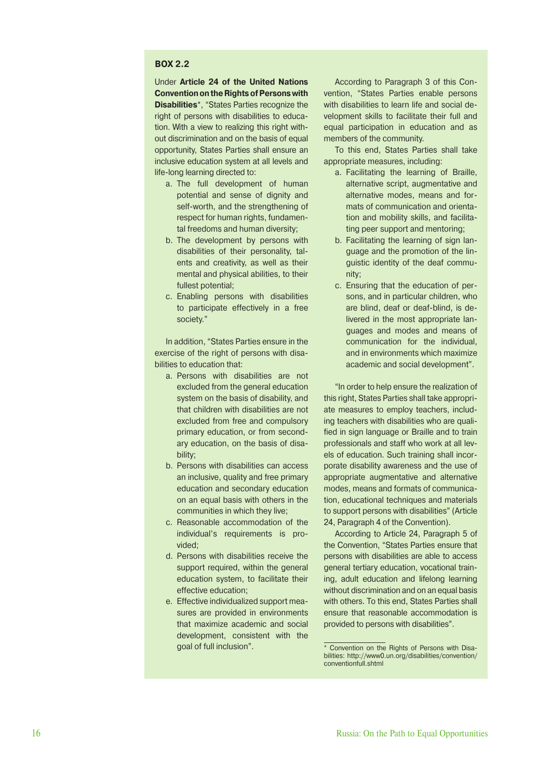#### **BOX 2.2**

Under **Article 24 of the United Nations Convention on the Rights of Persons with Disabilities**<sup>\*</sup>, "States Parties recognize the right of persons with disabilities to education. With a view to realizing this right without discrimination and on the basis of equal opportunity, States Parties shall ensure an inclusive education system at all levels and life-long learning directed to:

- a. The full development of human potential and sense of dignity and self-worth, and the strengthening of respect for human rights, fundamental freedoms and human diversity;
- b. The development by persons with disabilities of their personality, talents and creativity, as well as their mental and physical abilities, to their fullest potential;
- c. Enabling persons with disabilities to participate effectively in a free society."

In addition, "States Parties ensure in the exercise of the right of persons with disabilities to education that:

- a. Persons with disabilities are not excluded from the general education system on the basis of disability, and that children with disabilities are not excluded from free and compulsory primary education, or from secondary education, on the basis of disability;
- b. Persons with disabilities can access an inclusive, quality and free primary education and secondary education on an equal basis with others in the communities in which they live;
- c. Reasonable accommodation of the individual's requirements is provided;
- d. Persons with disabilities receive the support required, within the general education system, to facilitate their effective education;
- e. Effective individualized support measures are provided in environments that maximize academic and social development, consistent with the goal of full inclusion".

According to Paragraph 3 of this Convention, "States Parties enable persons with disabilities to learn life and social development skills to facilitate their full and equal participation in education and as members of the community.

To this end, States Parties shall take appropriate measures, including:

- a. Facilitating the learning of Braille, alternative script, augmentative and alternative modes, means and formats of communication and orientation and mobility skills, and facilitating peer support and mentoring;
- b. Facilitating the learning of sign language and the promotion of the linguistic identity of the deaf community;
- c. Ensuring that the education of persons, and in particular children, who are blind, deaf or deaf-blind, is delivered in the most appropriate languages and modes and means of communication for the individual, and in environments which maximize academic and social development".

"In order to help ensure the realization of this right, States Parties shall take appropriate measures to employ teachers, including teachers with disabilities who are qualified in sign language or Braille and to train professionals and staff who work at all levels of education. Such training shall incorporate disability awareness and the use of appropriate augmentative and alternative modes, means and formats of communication, educational techniques and materials to support persons with disabilities" (Article 24, Paragraph 4 of the Convention).

According to Article 24, Paragraph 5 of the Convention, "States Parties ensure that persons with disabilities are able to access general tertiary education, vocational training, adult education and lifelong learning without discrimination and on an equal basis with others. To this end, States Parties shall ensure that reasonable accommodation is provided to persons with disabilities".

<sup>\*</sup> Convention on the Rights of Persons with Disabilities: http://www0.un.org/disabilities/convention/ conventionfull.shtml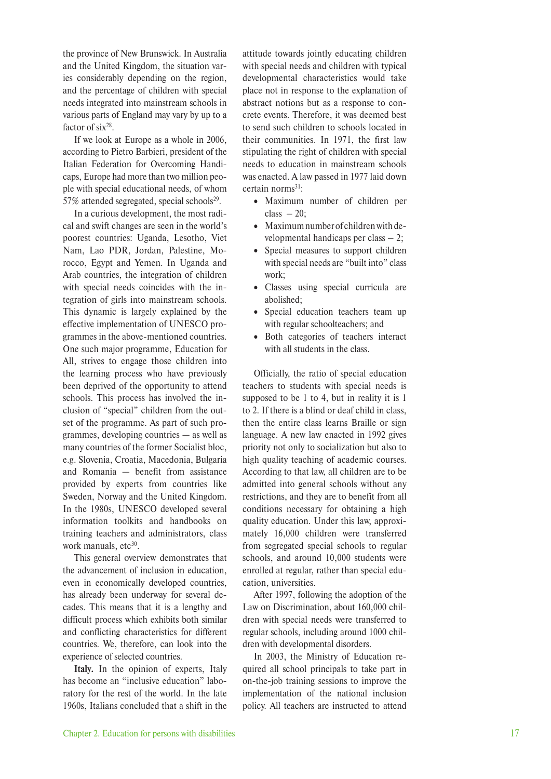the province of New Brunswick. In Australia and the United Kingdom, the situation varies considerably depending on the region, and the percentage of children with special needs integrated into mainstream schools in various parts of England may vary by up to a factor of  $six^{28}$ .

If we look at Europe as a whole in 2006, according to Pietro Barbieri, president of the Italian Federation for Overcoming Handicaps, Europe had more than two million people with special educational needs, of whom 57% attended segregated, special schools $2^9$ .

In a curious development, the most radical and swift changes are seen in the world's poorest countries: Uganda, Lesotho, Viet Nam, Lao PDR, Jordan, Palestine, Morocco, Egypt and Yemen. In Uganda and Arab countries, the integration of children with special needs coincides with the integration of girls into mainstream schools. This dynamic is largely explained by the effective implementation of UNESCO programmes in the above-mentioned countries. One such major programme, Education for All, strives to engage those children into the learning process who have previously been deprived of the opportunity to attend schools. This process has involved the inclusion of "special" children from the outset of the programme. As part of such programmes, developing countries — as well as many countries of the former Socialist bloc, e.g. Slovenia, Croatia, Macedonia, Bulgaria and Romania — benefit from assistance provided by experts from countries like Sweden, Norway and the United Kingdom. In the 1980s, UNESCO developed several information toolkits and handbooks on training teachers and administrators, class work manuals, etc<sup>30</sup>.

This general overview demonstrates that the advancement of inclusion in education, even in economically developed countries, has already been underway for several decades. This means that it is a lengthy and difficult process which exhibits both similar and conflicting characteristics for different countries. We, therefore, can look into the experience of selected countries.

**Italy.** In the opinion of experts, Italy has become an "inclusive education" laboratory for the rest of the world. In the late 1960s, Italians concluded that a shift in the attitude towards jointly educating children with special needs and children with typical developmental characteristics would take place not in response to the explanation of abstract notions but as a response to concrete events. Therefore, it was deemed best to send such children to schools located in their communities. In 1971, the first law stipulating the right of children with special needs to education in mainstream schools was enacted. A law passed in 1977 laid down certain norms<sup>31</sup>:

- Maximum number of children per class  $-20$ :
- Maximum number of children with developmental handicaps per class – 2;
- Special measures to support children with special needs are "built into" class work;
- Classes using special curricula are abolished;
- Special education teachers team up with regular schoolteachers; and
- Both categories of teachers interact with all students in the class.

Officially, the ratio of special education teachers to students with special needs is supposed to be 1 to 4, but in reality it is 1 to 2. If there is a blind or deaf child in class, then the entire class learns Braille or sign language. A new law enacted in 1992 gives priority not only to socialization but also to high quality teaching of academic courses. According to that law, all children are to be admitted into general schools without any restrictions, and they are to benefit from all conditions necessary for obtaining a high quality education. Under this law, approximately 16,000 children were transferred from segregated special schools to regular schools, and around 10,000 students were enrolled at regular, rather than special education, universities.

After 1997, following the adoption of the Law on Discrimination, about 160,000 children with special needs were transferred to regular schools, including around 1000 children with developmental disorders.

In 2003, the Ministry of Education required all school principals to take part in on-the-job training sessions to improve the implementation of the national inclusion policy. All teachers are instructed to attend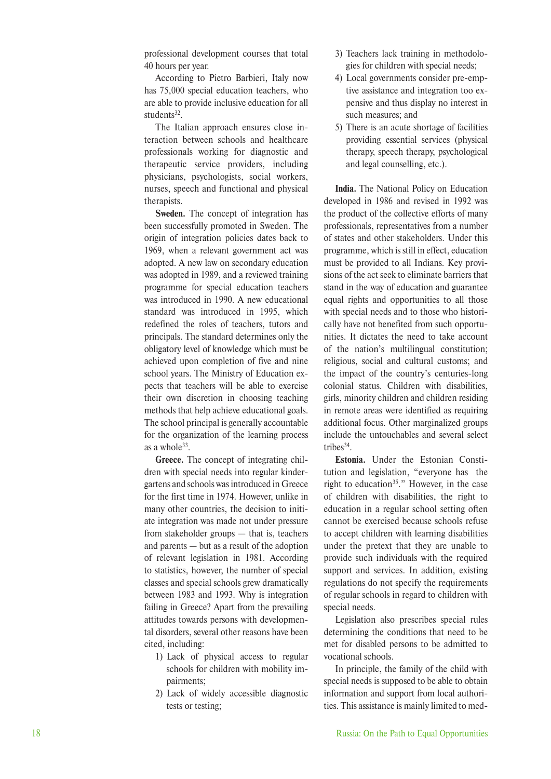professional development courses that total 40 hours per year.

According to Pietro Barbieri, Italy now has 75,000 special education teachers, who are able to provide inclusive education for all students<sup>32</sup>.

The Italian approach ensures close interaction between schools and healthcare professionals working for diagnostic and therapeutic service providers, including physicians, psychologists, social workers, nurses, speech and functional and physical therapists.

**Sweden.** The concept of integration has been successfully promoted in Sweden. The origin of integration policies dates back to 1969, when a relevant government act was adopted. A new law on secondary education was adopted in 1989, and a reviewed training programme for special education teachers was introduced in 1990. A new educational standard was introduced in 1995, which redefined the roles of teachers, tutors and principals. The standard determines only the obligatory level of knowledge which must be achieved upon completion of five and nine school years. The Ministry of Education expects that teachers will be able to exercise their own discretion in choosing teaching methods that help achieve educational goals. The school principal is generally accountable for the organization of the learning process as a whole<sup>33</sup>.

**Greece.** The concept of integrating children with special needs into regular kindergartens and schools was introduced in Greece for the first time in 1974. However, unlike in many other countries, the decision to initiate integration was made not under pressure from stakeholder groups — that is, teachers and parents — but as a result of the adoption of relevant legislation in 1981. According to statistics, however, the number of special classes and special schools grew dramatically between 1983 and 1993. Why is integration failing in Greece? Apart from the prevailing attitudes towards persons with developmental disorders, several other reasons have been cited, including:

- 1) Lack of physical access to regular schools for children with mobility impairments;
- 2) Lack of widely accessible diagnostic tests or testing;
- 3) Teachers lack training in methodologies for children with special needs;
- 4) Local governments consider pre-emptive assistance and integration too expensive and thus display no interest in such measures; and
- 5) There is an acute shortage of facilities providing essential services (physical therapy, speech therapy, psychological and legal counselling, etc.).

**India.** The National Policy on Education developed in 1986 and revised in 1992 was the product of the collective efforts of many professionals, representatives from a number of states and other stakeholders. Under this programme, which is still in effect, education must be provided to all Indians. Key provisions of the act seek to eliminate barriers that stand in the way of education and guarantee equal rights and opportunities to all those with special needs and to those who historically have not benefited from such opportunities. It dictates the need to take account of the nation's multilingual constitution; religious, social and cultural customs; and the impact of the country's centuries-long colonial status. Children with disabilities, girls, minority children and children residing in remote areas were identified as requiring additional focus. Other marginalized groups include the untouchables and several select tribes<sup>34</sup>.

**Estonia.** Under the Estonian Constitution and legislation, "everyone has the right to education<sup>35</sup>." However, in the case of children with disabilities, the right to education in a regular school setting often cannot be exercised because schools refuse to accept children with learning disabilities under the pretext that they are unable to provide such individuals with the required support and services. In addition, existing regulations do not specify the requirements of regular schools in regard to children with special needs.

Legislation also prescribes special rules determining the conditions that need to be met for disabled persons to be admitted to vocational schools.

In principle, the family of the child with special needs is supposed to be able to obtain information and support from local authorities. This assistance is mainly limited to med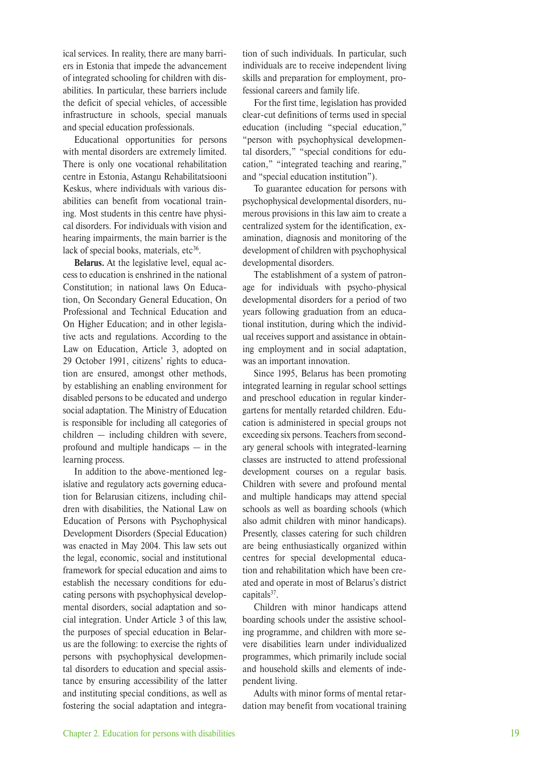ical services. In reality, there are many barriers in Estonia that impede the advancement of integrated schooling for children with disabilities. In particular, these barriers include the deficit of special vehicles, of accessible infrastructure in schools, special manuals and special education professionals.

Educational opportunities for persons with mental disorders are extremely limited. There is only one vocational rehabilitation centre in Estonia, Astangu Rehabilitatsiooni Keskus, where individuals with various disabilities can benefit from vocational training. Most students in this centre have physical disorders. For individuals with vision and hearing impairments, the main barrier is the lack of special books, materials,  $etc<sup>36</sup>$ .

**Belarus.** At the legislative level, equal access to education is enshrined in the national Constitution; in national laws On Education, On Secondary General Education, On Professional and Technical Education and On Higher Education; and in other legislative acts and regulations. According to the Law on Education, Article 3, adopted on 29 October 1991, citizens' rights to education are ensured, amongst other methods, by establishing an enabling environment for disabled persons to be educated and undergo social adaptation. The Ministry of Education is responsible for including all categories of children — including children with severe, profound and multiple handicaps — in the learning process.

In addition to the above-mentioned legislative and regulatory acts governing education for Belarusian citizens, including children with disabilities, the National Law on Education of Persons with Psychophysical Development Disorders (Special Education) was enacted in May 2004. This law sets out the legal, economic, social and institutional framework for special education and aims to establish the necessary conditions for educating persons with psychophysical developmental disorders, social adaptation and social integration. Under Article 3 of this law, the purposes of special education in Belarus are the following: to exercise the rights of persons with psychophysical developmental disorders to education and special assistance by ensuring accessibility of the latter and instituting special conditions, as well as fostering the social adaptation and integration of such individuals. In particular, such individuals are to receive independent living skills and preparation for employment, professional careers and family life.

For the first time, legislation has provided clear-cut definitions of terms used in special education (including "special education," "person with psychophysical developmental disorders," "special conditions for education," "integrated teaching and rearing," and "special education institution").

To guarantee education for persons with psychophysical developmental disorders, numerous provisions in this law aim to create a centralized system for the identification, examination, diagnosis and monitoring of the development of children with psychophysical developmental disorders.

The establishment of a system of patronage for individuals with psycho-physical developmental disorders for a period of two years following graduation from an educational institution, during which the individual receives support and assistance in obtaining employment and in social adaptation, was an important innovation.

Since 1995, Belarus has been promoting integrated learning in regular school settings and preschool education in regular kindergartens for mentally retarded children. Education is administered in special groups not exceeding six persons. Teachers from secondary general schools with integrated-learning classes are instructed to attend professional development courses on a regular basis. Children with severe and profound mental and multiple handicaps may attend special schools as well as boarding schools (which also admit children with minor handicaps). Presently, classes catering for such children are being enthusiastically organized within centres for special developmental education and rehabilitation which have been created and operate in most of Belarus's district capitals $37$ .

Children with minor handicaps attend boarding schools under the assistive schooling programme, and children with more severe disabilities learn under individualized programmes, which primarily include social and household skills and elements of independent living.

Adults with minor forms of mental retardation may benefit from vocational training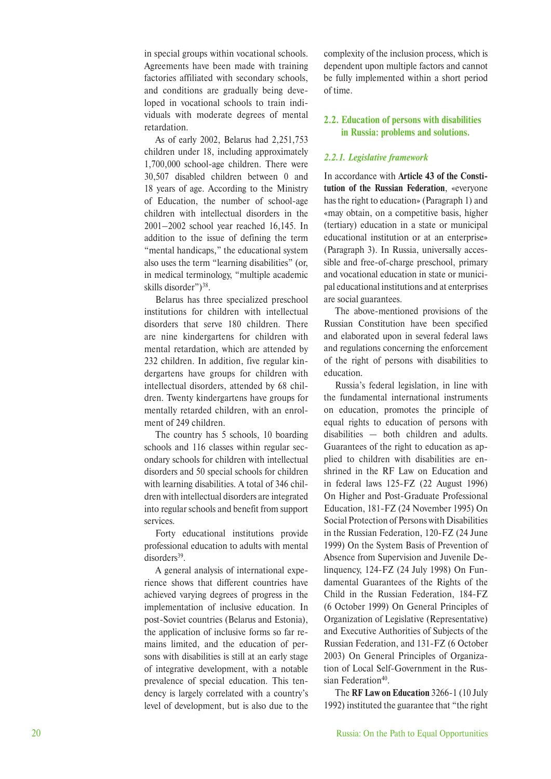in special groups within vocational schools. Agreements have been made with training factories affiliated with secondary schools, and conditions are gradually being developed in vocational schools to train individuals with moderate degrees of mental retardation.

As of early 2002, Belarus had 2,251,753 children under 18, including approximately 1,700,000 school-age children. There were 30,507 disabled children between 0 and 18 years of age. According to the Ministry of Education, the number of school-age children with intellectual disorders in the 2001–2002 school year reached 16,145. In addition to the issue of defining the term "mental handicaps," the educational system also uses the term "learning disabilities" (or, in medical terminology, "multiple academic skills disorder")<sup>38</sup>.

Belarus has three specialized preschool institutions for children with intellectual disorders that serve 180 children. There are nine kindergartens for children with mental retardation, which are attended by 232 children. In addition, five regular kindergartens have groups for children with intellectual disorders, attended by 68 children. Twenty kindergartens have groups for mentally retarded children, with an enrolment of 249 children.

The country has 5 schools, 10 boarding schools and 116 classes within regular secondary schools for children with intellectual disorders and 50 special schools for children with learning disabilities. A total of 346 children with intellectual disorders are integrated into regular schools and benefit from support services.

Forty educational institutions provide professional education to adults with mental disorders<sup>39</sup>.

A general analysis of international experience shows that different countries have achieved varying degrees of progress in the implementation of inclusive education. In post-Soviet countries (Belarus and Estonia), the application of inclusive forms so far remains limited, and the education of persons with disabilities is still at an early stage of integrative development, with a notable prevalence of special education. This tendency is largely correlated with a country's level of development, but is also due to the complexity of the inclusion process, which is dependent upon multiple factors and cannot be fully implemented within a short period of time.

#### **2.2. Education of persons with disabilities in Russia: problems and solutions.**

#### *2.2.1. Legislative framework*

In accordance with **Article 43 of the Constitution of the Russian Federation**, «everyone has the right to education» (Paragraph 1) and «may obtain, on a competitive basis, higher (tertiary) education in a state or municipal educational institution or at an enterprise» (Paragraph 3). In Russia, universally accessible and free-of-charge preschool, primary and vocational education in state or municipal educational institutions and at enterprises are social guarantees.

The above-mentioned provisions of the Russian Constitution have been specified and elaborated upon in several federal laws and regulations concerning the enforcement of the right of persons with disabilities to education.

Russia's federal legislation, in line with the fundamental international instruments on education, promotes the principle of equal rights to education of persons with  $disabilities$  – both children and adults. Guarantees of the right to education as applied to children with disabilities are enshrined in the RF Law on Education and in federal laws 125-FZ (22 August 1996) On Higher and Post-Graduate Professional Education, 181-FZ (24 November 1995) On Social Protection of Persons with Disabilities in the Russian Federation, 120-FZ (24 June 1999) On the System Basis of Prevention of Absence from Supervision and Juvenile Delinquency, 124-FZ (24 July 1998) On Fundamental Guarantees of the Rights of the Child in the Russian Federation, 184-FZ (6 October 1999) On General Principles of Organization of Legislative (Representative) and Executive Authorities of Subjects of the Russian Federation, and 131-FZ (6 October 2003) On General Principles of Organization of Local Self-Government in the Russian Federation<sup>40</sup>.

The **RF Law on Education** 3266-1 (10 July 1992) instituted the guarantee that "the right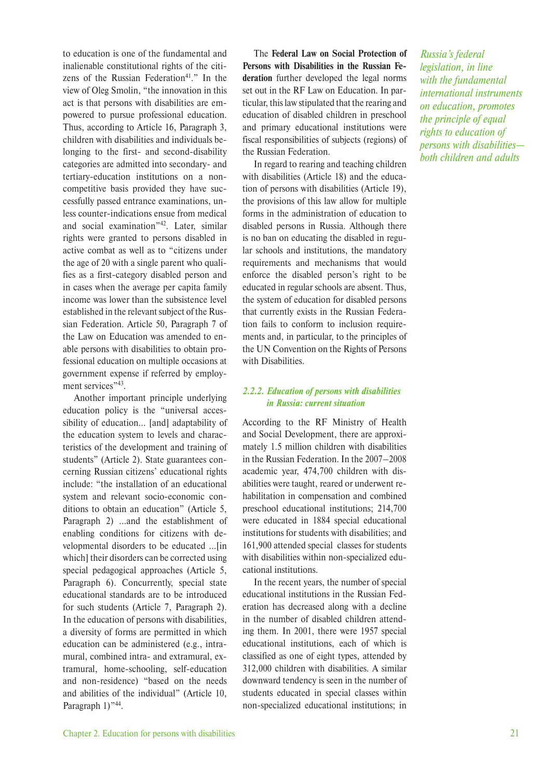to education is one of the fundamental and inalienable constitutional rights of the citizens of the Russian Federation<sup>41</sup>." In the view of Oleg Smolin, "the innovation in this act is that persons with disabilities are empowered to pursue professional education. Thus, according to Article 16, Paragraph 3, children with disabilities and individuals belonging to the first- and second-disability categories are admitted into secondary- and tertiary-education institutions on a noncompetitive basis provided they have successfully passed entrance examinations, unless counter-indications ensue from medical and social examination"42. Later, similar rights were granted to persons disabled in active combat as well as to "citizens under the age of 20 with a single parent who qualifies as a first-category disabled person and in cases when the average per capita family income was lower than the subsistence level established in the relevant subject of the Russian Federation. Article 50, Paragraph 7 of the Law on Education was amended to enable persons with disabilities to obtain professional education on multiple occasions at government expense if referred by employment services"<sup>43</sup>.

Another important principle underlying education policy is the "universal accessibility of education... [and] adaptability of the education system to levels and characteristics of the development and training of students" (Article 2). State guarantees concerning Russian citizens' educational rights include: "the installation of an educational system and relevant socio-economic conditions to obtain an education" (Article 5, Paragraph 2) ...and the establishment of enabling conditions for citizens with developmental disorders to be educated ...[in which] their disorders can be corrected using special pedagogical approaches (Article 5, Paragraph 6). Concurrently, special state educational standards are to be introduced for such students (Article 7, Paragraph 2). In the education of persons with disabilities, a diversity of forms are permitted in which education can be administered (e.g., intramural, combined intra- and extramural, extramural, home-schooling, self-education and non-residence) "based on the needs and abilities of the individual" (Article 10, Paragraph 1)"<sup>44</sup>.

The **Federal Law on Social Protection of Persons with Disabilities in the Russian Federation** further developed the legal norms set out in the RF Law on Education. In particular, this law stipulated that the rearing and education of disabled children in preschool and primary educational institutions were fiscal responsibilities of subjects (regions) of the Russian Federation.

In regard to rearing and teaching children with disabilities (Article 18) and the education of persons with disabilities (Article 19), the provisions of this law allow for multiple forms in the administration of education to disabled persons in Russia. Although there is no ban on educating the disabled in regular schools and institutions, the mandatory requirements and mechanisms that would enforce the disabled person's right to be educated in regular schools are absent. Thus, the system of education for disabled persons that currently exists in the Russian Federation fails to conform to inclusion requirements and, in particular, to the principles of the UN Convention on the Rights of Persons with Disabilities.

#### *2.2.2. Education of persons with disabilities in Russia: current situation*

According to the RF Ministry of Health and Social Development, there are approximately 1.5 million children with disabilities in the Russian Federation. In the 2007–2008 academic year, 474,700 children with disabilities were taught, reared or underwent rehabilitation in compensation and combined preschool educational institutions; 214,700 were educated in 1884 special educational institutions for students with disabilities; and 161,900 attended special classes for students with disabilities within non-specialized educational institutions.

In the recent years, the number of special educational institutions in the Russian Federation has decreased along with a decline in the number of disabled children attending them. In 2001, there were 1957 special educational institutions, each of which is classified as one of eight types, attended by 312,000 children with disabilities. A similar downward tendency is seen in the number of students educated in special classes within non-specialized educational institutions; in

*Russia's federal legislation, in line with the fundamental international instruments on education, promotes the principle of equal rights to education of persons with disabilities both children and adults*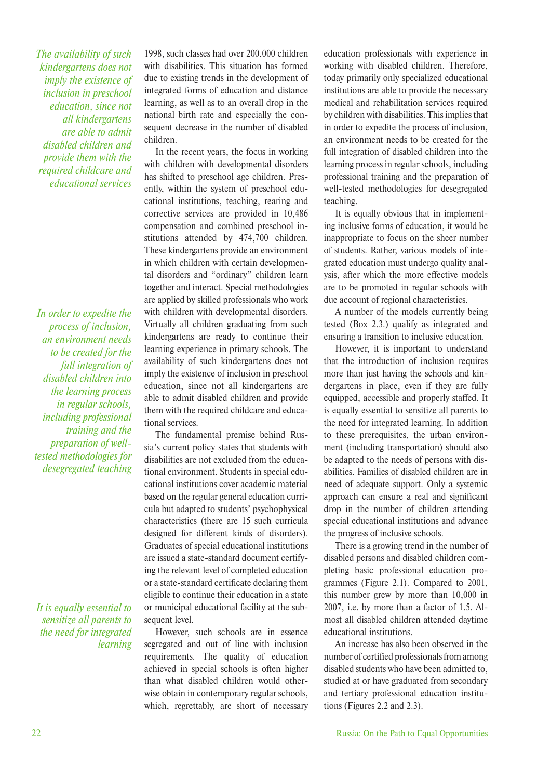*The availability of such kindergartens does not imply the existence of inclusion in preschool education, since not all kindergartens are able to admit disabled children and provide them with the required childcare and educational services*

*In order to expedite the process of inclusion, an environment needs to be created for the full integration of disabled children into the learning process in regular schools, including professional training and the preparation of welltested methodologies for desegregated teaching* 

*It is equally essential to sensitize all parents to the need for integrated learning* 

1998, such classes had over 200,000 children with disabilities. This situation has formed due to existing trends in the development of integrated forms of education and distance learning, as well as to an overall drop in the national birth rate and especially the consequent decrease in the number of disabled children.

In the recent years, the focus in working with children with developmental disorders has shifted to preschool age children. Presently, within the system of preschool educational institutions, teaching, rearing and corrective services are provided in 10,486 compensation and combined preschool institutions attended by 474,700 children. These kindergartens provide an environment in which children with certain developmental disorders and "ordinary" children learn together and interact. Special methodologies are applied by skilled professionals who work with children with developmental disorders. Virtually all children graduating from such kindergartens are ready to continue their learning experience in primary schools. The availability of such kindergartens does not imply the existence of inclusion in preschool education, since not all kindergartens are able to admit disabled children and provide them with the required childcare and educational services.

The fundamental premise behind Russia's current policy states that students with disabilities are not excluded from the educational environment. Students in special educational institutions cover academic material based on the regular general education curricula but adapted to students' psychophysical characteristics (there are 15 such curricula designed for different kinds of disorders). Graduates of special educational institutions are issued a state-standard document certifying the relevant level of completed education or a state-standard certificate declaring them eligible to continue their education in a state or municipal educational facility at the subsequent level.

However, such schools are in essence segregated and out of line with inclusion requirements. The quality of education achieved in special schools is often higher than what disabled children would otherwise obtain in contemporary regular schools, which, regrettably, are short of necessary education professionals with experience in working with disabled children. Therefore, today primarily only specialized educational institutions are able to provide the necessary medical and rehabilitation services required by children with disabilities. This implies that in order to expedite the process of inclusion, an environment needs to be created for the full integration of disabled children into the learning process in regular schools, including professional training and the preparation of well-tested methodologies for desegregated teaching.

It is equally obvious that in implementing inclusive forms of education, it would be inappropriate to focus on the sheer number of students. Rather, various models of integrated education must undergo quality analysis, after which the more effective models are to be promoted in regular schools with due account of regional characteristics.

A number of the models currently being tested (Box 2.3.) qualify as integrated and ensuring a transition to inclusive education.

However, it is important to understand that the introduction of inclusion requires more than just having the schools and kindergartens in place, even if they are fully equipped, accessible and properly staffed. It is equally essential to sensitize all parents to the need for integrated learning. In addition to these prerequisites, the urban environment (including transportation) should also be adapted to the needs of persons with disabilities. Families of disabled children are in need of adequate support. Only a systemic approach can ensure a real and significant drop in the number of children attending special educational institutions and advance the progress of inclusive schools.

There is a growing trend in the number of disabled persons and disabled children completing basic professional education programmes (Figure 2.1). Compared to 2001, this number grew by more than 10,000 in 2007, i.e. by more than a factor of 1.5. Almost all disabled children attended daytime educational institutions.

An increase has also been observed in the number of certified professionals from among disabled students who have been admitted to, studied at or have graduated from secondary and tertiary professional education institutions (Figures 2.2 and 2.3).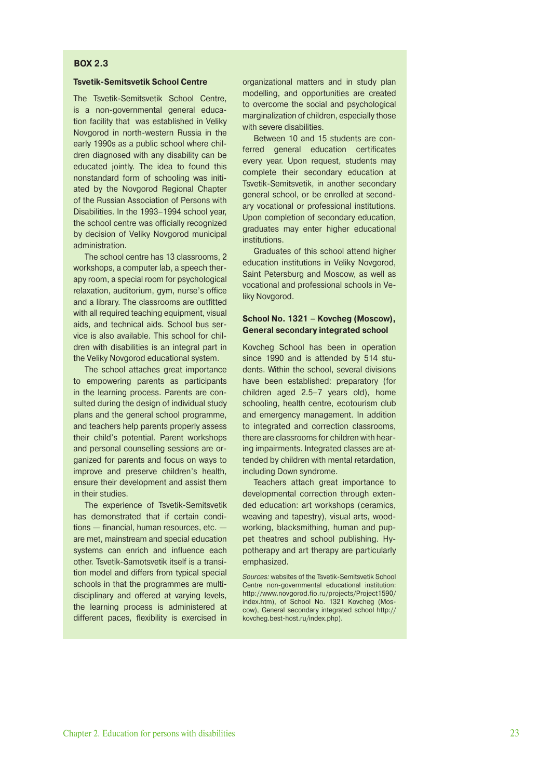#### **BOX 2.3**

#### **Tsvetik-Semitsvetik School Centre**

The Tsvetik-Semitsvetik School Centre, is a non-governmental general education facility that was established in Veliky Novgorod in north-western Russia in the early 1990s as a public school where children diagnosed with any disability can be educated jointly. The idea to found this nonstandard form of schooling was initiated by the Novgorod Regional Chapter of the Russian Association of Persons with Disabilities. In the 1993–1994 school year, the school centre was officially recognized by decision of Veliky Novgorod municipal administration.

The school centre has 13 classrooms, 2 workshops, a computer lab, a speech therapy room, a special room for psychological relaxation, auditorium, gym, nurse's office and a library. The classrooms are outfitted with all required teaching equipment, visual aids, and technical aids. School bus service is also available. This school for children with disabilities is an integral part in the Veliky Novgorod educational system.

The school attaches great importance to empowering parents as participants in the learning process. Parents are consulted during the design of individual study plans and the general school programme, and teachers help parents properly assess their child's potential. Parent workshops and personal counselling sessions are organized for parents and focus on ways to improve and preserve children's health, ensure their development and assist them in their studies.

The experience of Tsvetik-Semitsvetik has demonstrated that if certain conditions — financial, human resources, etc. are met, mainstream and special education systems can enrich and influence each other. Tsvetik-Samotsvetik itself is a transition model and differs from typical special schools in that the programmes are multidisciplinary and offered at varying levels, the learning process is administered at different paces, flexibility is exercised in

organizational matters and in study plan modelling, and opportunities are created to overcome the social and psychological marginalization of children, especially those with severe disabilities.

Between 10 and 15 students are conferred general education certificates every year. Upon request, students may complete their secondary education at Tsvetik-Semitsvetik, in another secondary general school, or be enrolled at secondary vocational or professional institutions. Upon completion of secondary education, graduates may enter higher educational institutions.

Graduates of this school attend higher education institutions in Veliky Novgorod, Saint Petersburg and Moscow, as well as vocational and professional schools in Veliky Novgorod.

#### **School No. 1321 – Kovcheg (Moscow), General secondary integrated school**

Kovcheg School has been in operation since 1990 and is attended by 514 students. Within the school, several divisions have been established: preparatory (for children aged 2.5–7 years old), home schooling, health centre, ecotourism club and emergency management. In addition to integrated and correction classrooms, there are classrooms for children with hearing impairments. Integrated classes are attended by children with mental retardation, including Down syndrome.

Teachers attach great importance to developmental correction through extended education: art workshops (ceramics, weaving and tapestry), visual arts, woodworking, blacksmithing, human and puppet theatres and school publishing. Hypotherapy and art therapy are particularly emphasized.

Sources: websites of the Tsvetik-Semitsvetik School Centre non-governmental educational institution: http://www.novgorod.fio.ru/projects/Project1590/ index.htm), of School No. 1321 Kovcheg (Moscow), General secondary integrated school http:// kovcheg.best-host.ru/index.php).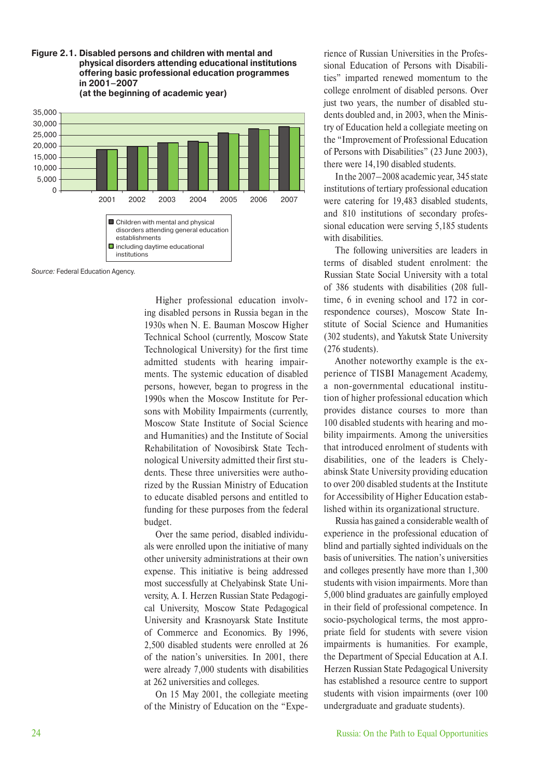**Figure 2.1. Disabled persons and children with mental and physical disorders attending educational institutions offering basic professional education programmes in 2001–2007 (at the beginning of academic year)**



Source: Federal Education Agency.

Higher professional education involving disabled persons in Russia began in the 1930s when N. E. Bauman Moscow Higher Technical School (currently, Moscow State Technological University) for the first time admitted students with hearing impairments. The systemic education of disabled persons, however, began to progress in the 1990s when the Moscow Institute for Persons with Mobility Impairments (currently, Moscow State Institute of Social Science and Humanities) and the Institute of Social Rehabilitation of Novosibirsk State Technological University admitted their first students. These three universities were authorized by the Russian Ministry of Education to educate disabled persons and entitled to funding for these purposes from the federal budget.

Over the same period, disabled individuals were enrolled upon the initiative of many other university administrations at their own expense. This initiative is being addressed most successfully at Chelyabinsk State University, A. I. Herzen Russian State Pedagogical University, Moscow State Pedagogical University and Krasnoyarsk State Institute of Commerce and Economics. By 1996, 2,500 disabled students were enrolled at 26 of the nation's universities. In 2001, there were already 7,000 students with disabilities at 262 universities and colleges.

On 15 May 2001, the collegiate meeting of the Ministry of Education on the "Experience of Russian Universities in the Professional Education of Persons with Disabilities" imparted renewed momentum to the college enrolment of disabled persons. Over just two years, the number of disabled students doubled and, in 2003, when the Ministry of Education held a collegiate meeting on the "Improvement of Professional Education of Persons with Disabilities" (23 June 2003), there were 14,190 disabled students.

In the 2007–2008 academic year, 345 state institutions of tertiary professional education were catering for 19,483 disabled students, and 810 institutions of secondary professional education were serving 5,185 students with disabilities.

The following universities are leaders in terms of disabled student enrolment: the Russian State Social University with a total of 386 students with disabilities (208 fulltime, 6 in evening school and 172 in correspondence courses), Moscow State Institute of Social Science and Humanities (302 students), and Yakutsk State University (276 students).

Another noteworthy example is the experience of TISBI Management Academy, a non-governmental educational institution of higher professional education which provides distance courses to more than 100 disabled students with hearing and mobility impairments. Among the universities that introduced enrolment of students with disabilities, one of the leaders is Chelyabinsk State University providing education to over 200 disabled students at the Institute for Accessibility of Higher Education established within its organizational structure.

Russia has gained a considerable wealth of experience in the professional education of blind and partially sighted individuals on the basis of universities. The nation's universities and colleges presently have more than 1,300 students with vision impairments. More than 5,000 blind graduates are gainfully employed in their field of professional competence. In socio-psychological terms, the most appropriate field for students with severe vision impairments is humanities. For example, the Department of Special Education at A.I. Herzen Russian State Pedagogical University has established a resource centre to support students with vision impairments (over 100 undergraduate and graduate students).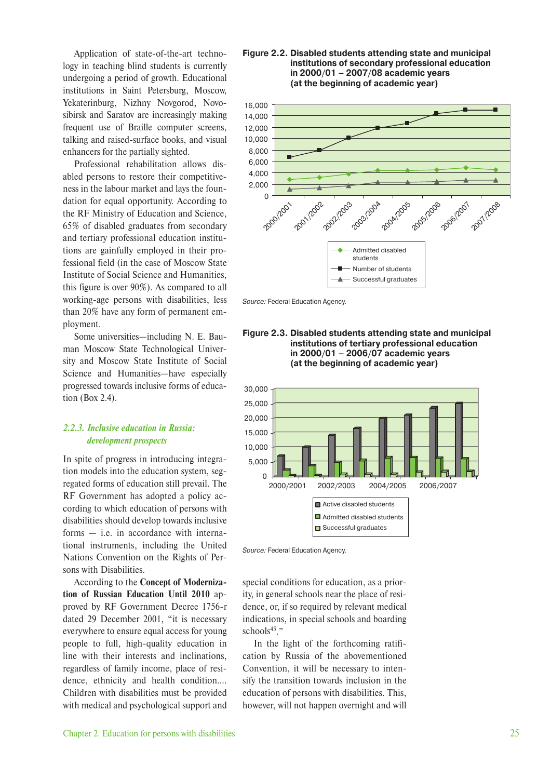Application of state-of-the-art technology in teaching blind students is currently undergoing a period of growth. Educational institutions in Saint Petersburg, Moscow, Yekaterinburg, Nizhny Novgorod, Novosibirsk and Saratov are increasingly making frequent use of Braille computer screens, talking and raised-surface books, and visual enhancers for the partially sighted.

Professional rehabilitation allows disabled persons to restore their competitiveness in the labour market and lays the foundation for equal opportunity. According to the RF Ministry of Education and Science, 65% of disabled graduates from secondary and tertiary professional education institutions are gainfully employed in their professional field (in the case of Moscow State Institute of Social Science and Humanities, this figure is over 90%). As compared to all working-age persons with disabilities, less than 20% have any form of permanent employment.

Some universities—including N. E. Bauman Moscow State Technological University and Moscow State Institute of Social Science and Humanities—have especially progressed towards inclusive forms of education (Box 2.4).

#### *2.2.3. Inclusive education in Russia: development prospects*

In spite of progress in introducing integration models into the education system, segregated forms of education still prevail. The RF Government has adopted a policy according to which education of persons with disabilities should develop towards inclusive forms — i.e. in accordance with international instruments, including the United Nations Convention on the Rights of Persons with Disabilities.

According to the **Concept of Modernization of Russian Education Until 2010** approved by RF Government Decree 1756-r dated 29 December 2001, "it is necessary everywhere to ensure equal access for young people to full, high-quality education in line with their interests and inclinations, regardless of family income, place of residence, ethnicity and health condition…. Children with disabilities must be provided with medical and psychological support and

**Figure 2.2. Disabled students attending state and municipal institutions of secondary professional education in 2000/01 – 2007/08 academic years (at the beginning of academic year)**



Source: Federal Education Agency.







special conditions for education, as a priority, in general schools near the place of residence, or, if so required by relevant medical indications, in special schools and boarding schools $45$ ."

In the light of the forthcoming ratification by Russia of the abovementioned Convention, it will be necessary to intensify the transition towards inclusion in the education of persons with disabilities. This, however, will not happen overnight and will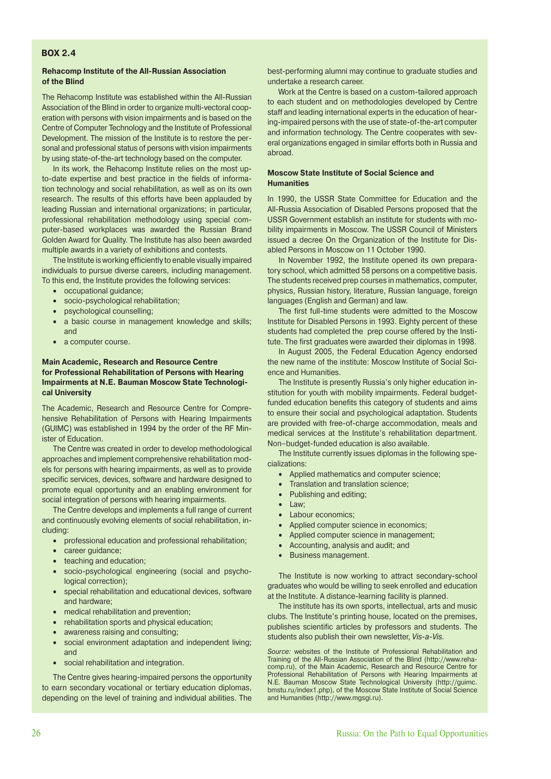#### **BOX 2.4**

#### **Rehacomp Institute of the All-Russian Association of the Blind**

The Rehacomp Institute was established within the All-Russian Association of the Blind in order to organize multi-vectoral cooperation with persons with vision impairments and is based on the Centre of Computer Technology and the Institute of Professional Development. The mission of the Institute is to restore the personal and professional status of persons with vision impairments by using state-of-the-art technology based on the computer.

In its work, the Rehacomp Institute relies on the most upto-date expertise and best practice in the fields of information technology and social rehabilitation, as well as on its own research. The results of this efforts have been applauded by leading Russian and international organizations; in particular, professional rehabilitation methodology using special computer-based workplaces was awarded the Russian Brand Golden Award for Quality. The Institute has also been awarded multiple awards in a variety of exhibitions and contests.

The Institute is working efficiently to enable visually impaired individuals to pursue diverse careers, including management. To this end, the Institute provides the following services:

- occupational guidance;
- socio-psychological rehabilitation;
- psychological counselling;
- a basic course in management knowledge and skills; and
- a computer course.

#### **Main Academic, Research and Resource Centre for Professional Rehabilitation of Persons with Hearing Impairments at N.E. Bauman Moscow State Technological University**

The Academic, Research and Resource Centre for Comprehensive Rehabilitation of Persons with Hearing Impairments (GUIMC) was established in 1994 by the order of the RF Minister of Education.

The Centre was created in order to develop methodological approaches and implement comprehensive rehabilitation models for persons with hearing impairments, as well as to provide specific services, devices, software and hardware designed to promote equal opportunity and an enabling environment for social integration of persons with hearing impairments.

The Centre develops and implements a full range of current and continuously evolving elements of social rehabilitation, including:

- professional education and professional rehabilitation;
- career quidance;
- teaching and education;
- socio-psychological engineering (social and psychological correction);
- special rehabilitation and educational devices, software and hardware;
- medical rehabilitation and prevention;
- rehabilitation sports and physical education;
- awareness raising and consulting;
- social environment adaptation and independent living; and
- social rehabilitation and integration.

The Centre gives hearing-impaired persons the opportunity to earn secondary vocational or tertiary education diplomas, depending on the level of training and individual abilities. The best-performing alumni may continue to graduate studies and undertake a research career.

Work at the Centre is based on a custom-tailored approach to each student and on methodologies developed by Centre staff and leading international experts in the education of hearing-impaired persons with the use of state-of-the-art computer and information technology. The Centre cooperates with several organizations engaged in similar efforts both in Russia and abroad.

#### **Moscow State Institute of Social Science and Humanities**

In 1990, the USSR State Committee for Education and the All-Russia Association of Disabled Persons proposed that the USSR Government establish an institute for students with mobility impairments in Moscow. The USSR Council of Ministers issued a decree On the Organization of the Institute for Disabled Persons in Moscow on 11 October 1990.

In November 1992, the Institute opened its own preparatory school, which admitted 58 persons on a competitive basis. The students received prep courses in mathematics, computer, physics, Russian history, literature, Russian language, foreign languages (English and German) and law.

The first full-time students were admitted to the Moscow Institute for Disabled Persons in 1993. Eighty percent of these students had completed the prep course offered by the Institute. The first graduates were awarded their diplomas in 1998.

In August 2005, the Federal Education Agency endorsed the new name of the institute: Moscow Institute of Social Science and Humanities.

The Institute is presently Russia's only higher education institution for youth with mobility impairments. Federal budgetfunded education benefits this category of students and aims to ensure their social and psychological adaptation. Students are provided with free-of-charge accommodation, meals and medical services at the Institute's rehabilitation department. Non–budget-funded education is also available.

The Institute currently issues diplomas in the following specializations:

- Applied mathematics and computer science;
- Translation and translation science;
- Publishing and editing;
- Law;
	- Labour economics;
- Applied computer science in economics;
- Applied computer science in management;
- Accounting, analysis and audit; and
- Business management.

The Institute is now working to attract secondary-school graduates who would be willing to seek enrolled and education at the Institute. A distance-learning facility is planned.

The institute has its own sports, intellectual, arts and music clubs. The Institute's printing house, located on the premises, publishes scientific articles by professors and students. The students also publish their own newsletter, Vis-a-Vis.

Source: websites of the Institute of Professional Rehabilitation and Training of the All-Russian Association of the Blind (http://www.rehacomp.ru), of the Main Academic, Research and Resource Centre for Professional Rehabilitation of Persons with Hearing Impairments at N.E. Bauman Moscow State Technological University (http://guimc. bmstu.ru/index1.php), of the Moscow State Institute of Social Science and Humanities (http://www.mgsgi.ru).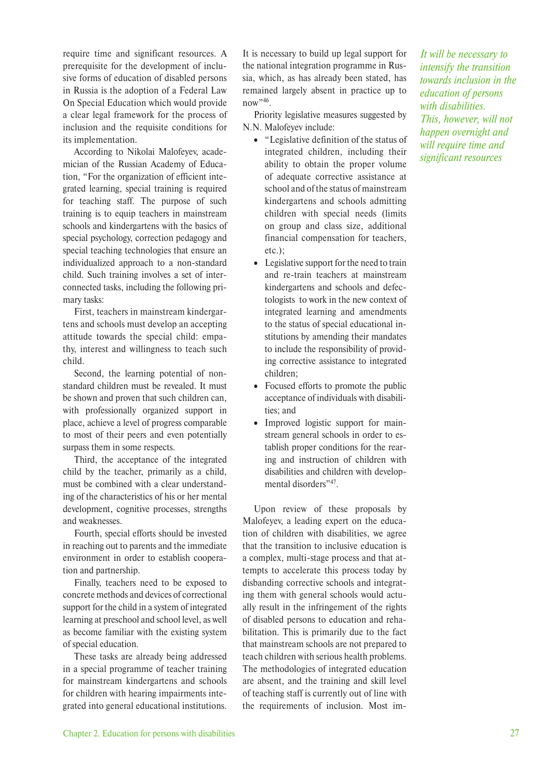require time and significant resources. A prerequisite for the development of inclusive forms of education of disabled persons in Russia is the adoption of a Federal Law On Special Education which would provide a clear legal framework for the process of inclusion and the requisite conditions for its implementation.

According to Nikolai Malofeyev, academician of the Russian Academy of Education, "For the organization of efficient integrated learning, special training is required for teaching staff. The purpose of such training is to equip teachers in mainstream schools and kindergartens with the basics of special psychology, correction pedagogy and special teaching technologies that ensure an individualized approach to a non-standard child. Such training involves a set of interconnected tasks, including the following primary tasks:

First, teachers in mainstream kindergartens and schools must develop an accepting attitude towards the special child: empathy, interest and willingness to teach such child.

Second, the learning potential of nonstandard children must be revealed. It must be shown and proven that such children can, with professionally organized support in place, achieve a level of progress comparable to most of their peers and even potentially surpass them in some respects.

Third, the acceptance of the integrated child by the teacher, primarily as a child, must be combined with a clear understanding of the characteristics of his or her mental development, cognitive processes, strengths and weaknesses.

Fourth, special efforts should be invested in reaching out to parents and the immediate environment in order to establish cooperation and partnership.

Finally, teachers need to be exposed to concrete methods and devices of correctional support for the child in a system of integrated learning at preschool and school level, as well as become familiar with the existing system of special education.

These tasks are already being addressed in a special programme of teacher training for mainstream kindergartens and schools for children with hearing impairments integrated into general educational institutions. It is necessary to build up legal support for the national integration programme in Russia, which, as has already been stated, has remained largely absent in practice up to now"<sup>46</sup>.

Priority legislative measures suggested by N.N. Malofeyev include:

- "Legislative definition of the status of integrated children, including their ability to obtain the proper volume of adequate corrective assistance at school and of the status of mainstream kindergartens and schools admitting children with special needs (limits on group and class size, additional financial compensation for teachers, etc.);
- Legislative support for the need to train and re-train teachers at mainstream kindergartens and schools and defectologists to work in the new context of integrated learning and amendments to the status of special educational institutions by amending their mandates to include the responsibility of providing corrective assistance to integrated children;
- Focused efforts to promote the public acceptance of individuals with disabilities; and
- Improved logistic support for mainstream general schools in order to establish proper conditions for the rearing and instruction of children with disabilities and children with developmental disorders",47

Upon review of these proposals by Malofeyev, a leading expert on the education of children with disabilities, we agree that the transition to inclusive education is a complex, multi-stage process and that attempts to accelerate this process today by disbanding corrective schools and integrating them with general schools would actually result in the infringement of the rights of disabled persons to education and rehabilitation. This is primarily due to the fact that mainstream schools are not prepared to teach children with serious health problems. The methodologies of integrated education are absent, and the training and skill level of teaching staff is currently out of line with the requirements of inclusion. Most im-

*It will be necessary to intensify the transition towards inclusion in the education of persons with disabilities. This, however, will not happen overnight and will require time and significant resources*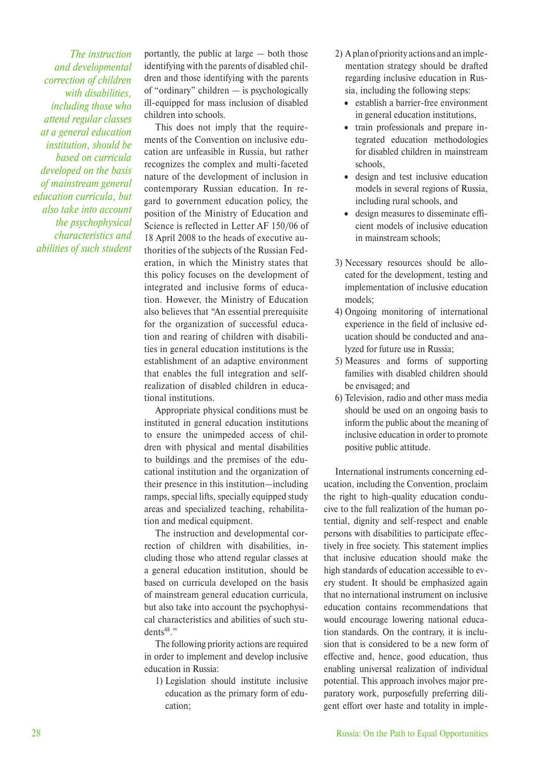*The instruction and developmental correction of children with disabilities, including those who attend regular classes at a general education institution, should be based on curricula developed on the basis of mainstream general education curricula, but also take into account the psychophysical characteristics and abilities of such student*

portantly, the public at large — both those identifying with the parents of disabled children and those identifying with the parents of "ordinary" children — is psychologically ill-equipped for mass inclusion of disabled children into schools.

This does not imply that the requirements of the Convention on inclusive education are unfeasible in Russia, but rather recognizes the complex and multi-faceted nature of the development of inclusion in contemporary Russian education. In regard to government education policy, the position of the Ministry of Education and Science is reflected in Letter AF 150/06 of 18 April 2008 to the heads of executive authorities of the subjects of the Russian Federation, in which the Ministry states that this policy focuses on the development of integrated and inclusive forms of education. However, the Ministry of Education also believes that "An essential prerequisite for the organization of successful education and rearing of children with disabilities in general education institutions is the establishment of an adaptive environment that enables the full integration and selfrealization of disabled children in educational institutions.

Appropriate physical conditions must be instituted in general education institutions to ensure the unimpeded access of children with physical and mental disabilities to buildings and the premises of the educational institution and the organization of their presence in this institution—including ramps, special lifts, specially equipped study areas and specialized teaching, rehabilitation and medical equipment.

The instruction and developmental correction of children with disabilities, including those who attend regular classes at a general education institution, should be based on curricula developed on the basis of mainstream general education curricula, but also take into account the psychophysical characteristics and abilities of such stu $dents<sup>48</sup>$ ."

The following priority actions are required in order to implement and develop inclusive education in Russia:

1) Legislation should institute inclusive education as the primary form of education;

- 2) A plan of priority actions and an implementation strategy should be drafted regarding inclusive education in Russia, including the following steps:
	- establish a barrier-free environment in general education institutions,
	- train professionals and prepare integrated education methodologies for disabled children in mainstream schools,
	- design and test inclusive education models in several regions of Russia, including rural schools, and
	- design measures to disseminate efficient models of inclusive education in mainstream schools;
- 3) Necessary resources should be allocated for the development, testing and implementation of inclusive education models;
- 4) Ongoing monitoring of international experience in the field of inclusive education should be conducted and analyzed for future use in Russia;
- 5) Measures and forms of supporting families with disabled children should be envisaged; and
- 6) Television, radio and other mass media should be used on an ongoing basis to inform the public about the meaning of inclusive education in order to promote positive public attitude.

International instruments concerning education, including the Convention, proclaim the right to high-quality education conducive to the full realization of the human potential, dignity and self-respect and enable persons with disabilities to participate effectively in free society. This statement implies that inclusive education should make the high standards of education accessible to every student. It should be emphasized again that no international instrument on inclusive education contains recommendations that would encourage lowering national education standards. On the contrary, it is inclusion that is considered to be a new form of effective and, hence, good education, thus enabling universal realization of individual potential. This approach involves major preparatory work, purposefully preferring diligent effort over haste and totality in imple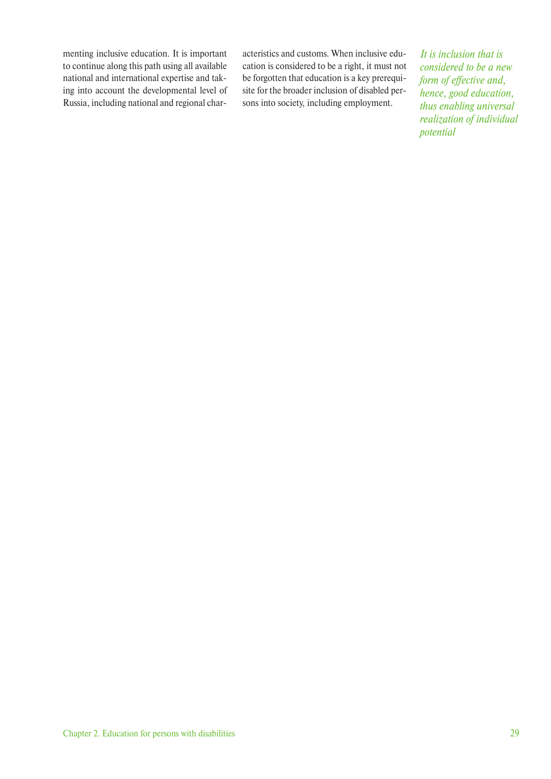menting inclusive education. It is important to continue along this path using all available national and international expertise and taking into account the developmental level of Russia, including national and regional characteristics and customs. When inclusive education is considered to be a right, it must not be forgotten that education is a key prerequisite for the broader inclusion of disabled persons into society, including employment.

*It is inclusion that is considered to be a new form of effective and, hence, good education, thus enabling universal realization of individual potential*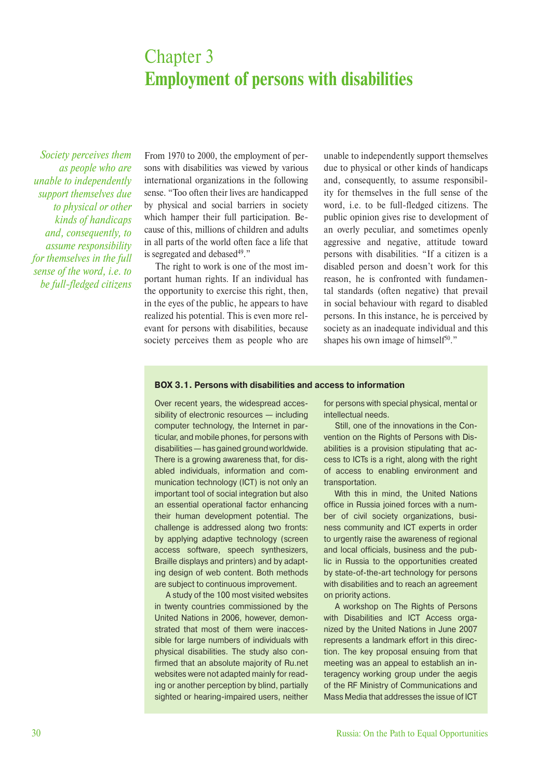## Chapter 3 **Employment of persons with disabilities**

*Society perceives them as people who are unable to independently support themselves due to physical or other kinds of handicaps and, consequently, to assume responsibility for themselves in the full sense of the word, i.e. to be full-fledged citizens*

From 1970 to 2000, the employment of persons with disabilities was viewed by various international organizations in the following sense. "Too often their lives are handicapped by physical and social barriers in society which hamper their full participation. Because of this, millions of children and adults in all parts of the world often face a life that is segregated and debased $49.$ "

The right to work is one of the most important human rights. If an individual has the opportunity to exercise this right, then, in the eyes of the public, he appears to have realized his potential. This is even more relevant for persons with disabilities, because society perceives them as people who are unable to independently support themselves due to physical or other kinds of handicaps and, consequently, to assume responsibility for themselves in the full sense of the word, i.e. to be full-fledged citizens. The public opinion gives rise to development of an overly peculiar, and sometimes openly aggressive and negative, attitude toward persons with disabilities. "If a citizen is a disabled person and doesn't work for this reason, he is confronted with fundamental standards (often negative) that prevail in social behaviour with regard to disabled persons. In this instance, he is perceived by society as an inadequate individual and this shapes his own image of himself<sup>50</sup>."

#### **BOX 3.1. Persons with disabilities and access to information**

Over recent years, the widespread accessibility of electronic resources — including computer technology, the Internet in particular, and mobile phones, for persons with disabilities — has gained ground worldwide. There is a growing awareness that, for disabled individuals, information and communication technology (ICT) is not only an important tool of social integration but also an essential operational factor enhancing their human development potential. The challenge is addressed along two fronts: by applying adaptive technology (screen access software, speech synthesizers, Braille displays and printers) and by adapting design of web content. Both methods are subject to continuous improvement.

A study of the 100 most visited websites in twenty countries commissioned by the United Nations in 2006, however, demonstrated that most of them were inaccessible for large numbers of individuals with physical disabilities. The study also confirmed that an absolute majority of Ru.net websites were not adapted mainly for reading or another perception by blind, partially sighted or hearing-impaired users, neither for persons with special physical, mental or intellectual needs.

Still, one of the innovations in the Convention on the Rights of Persons with Disabilities is a provision stipulating that access to ICTs is a right, along with the right of access to enabling environment and transportation.

With this in mind, the United Nations office in Russia joined forces with a number of civil society organizations, business community and ICT experts in order to urgently raise the awareness of regional and local officials, business and the public in Russia to the opportunities created by state-of-the-art technology for persons with disabilities and to reach an agreement on priority actions.

A workshop on The Rights of Persons with Disabilities and ICT Access organized by the United Nations in June 2007 represents a landmark effort in this direction. The key proposal ensuing from that meeting was an appeal to establish an interagency working group under the aegis of the RF Ministry of Communications and Mass Media that addresses the issue of ICT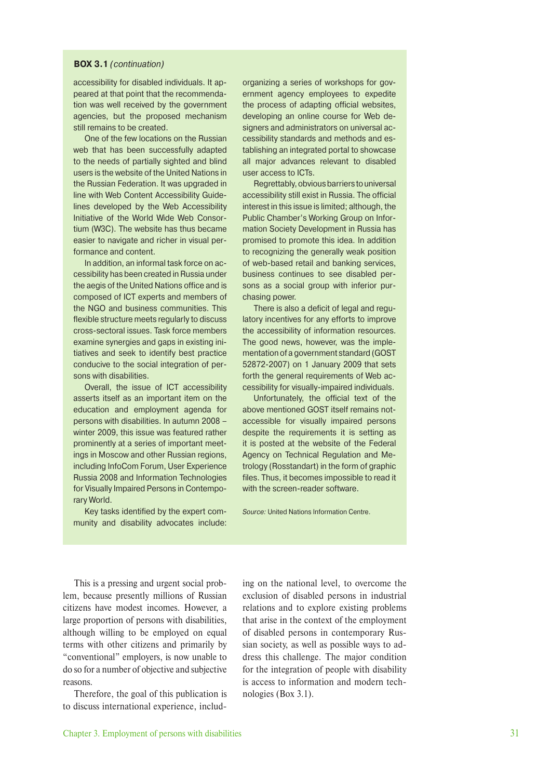#### **BOX 3.1** (continuation)

accessibility for disabled individuals. It appeared at that point that the recommendation was well received by the government agencies, but the proposed mechanism still remains to be created.

One of the few locations on the Russian web that has been successfully adapted to the needs of partially sighted and blind users is the website of the United Nations in the Russian Federation. It was upgraded in line with Web Content Accessibility Guidelines developed by the Web Accessibility Initiative of the World Wide Web Consortium (W3C). The website has thus became easier to navigate and richer in visual performance and content.

In addition, an informal task force on accessibility has been created in Russia under the aegis of the United Nations office and is composed of ICT experts and members of the NGO and business communities. This flexible structure meets regularly to discuss cross-sectoral issues. Task force members examine synergies and gaps in existing initiatives and seek to identify best practice conducive to the social integration of persons with disabilities.

Overall, the issue of ICT accessibility asserts itself as an important item on the education and employment agenda for persons with disabilities. In autumn 2008 – winter 2009, this issue was featured rather prominently at a series of important meetings in Moscow and other Russian regions, including InfoCom Forum, User Experience Russia 2008 and Information Technologies for Visually Impaired Persons in Contemporary World.

Key tasks identified by the expert community and disability advocates include: organizing a series of workshops for government agency employees to expedite the process of adapting official websites, developing an online course for Web designers and administrators on universal accessibility standards and methods and establishing an integrated portal to showcase all major advances relevant to disabled user access to ICTs.

Regrettably, obvious barriers to universal accessibility still exist in Russia. The official interest in this issue is limited; although, the Public Chamber's Working Group on Information Society Development in Russia has promised to promote this idea. In addition to recognizing the generally weak position of web-based retail and banking services, business continues to see disabled persons as a social group with inferior purchasing power.

There is also a deficit of legal and regulatory incentives for any efforts to improve the accessibility of information resources. The good news, however, was the implementation of a government standard (GOST 52872-2007) on 1 January 2009 that sets forth the general requirements of Web accessibility for visually-impaired individuals.

Unfortunately, the official text of the above mentioned GOST itself remains notaccessible for visually impaired persons despite the requirements it is setting as it is posted at the website of the Federal Agency on Technical Regulation and Metrology (Rosstandart) in the form of graphic files. Thus, it becomes impossible to read it with the screen-reader software.

Source: United Nations Information Centre.

This is a pressing and urgent social problem, because presently millions of Russian citizens have modest incomes. However, a large proportion of persons with disabilities, although willing to be employed on equal terms with other citizens and primarily by "conventional" employers, is now unable to do so for a number of objective and subjective reasons.

Therefore, the goal of this publication is to discuss international experience, including on the national level, to overcome the exclusion of disabled persons in industrial relations and to explore existing problems that arise in the context of the employment of disabled persons in contemporary Russian society, as well as possible ways to address this challenge. The major condition for the integration of people with disability is access to information and modern technologies (Box 3.1).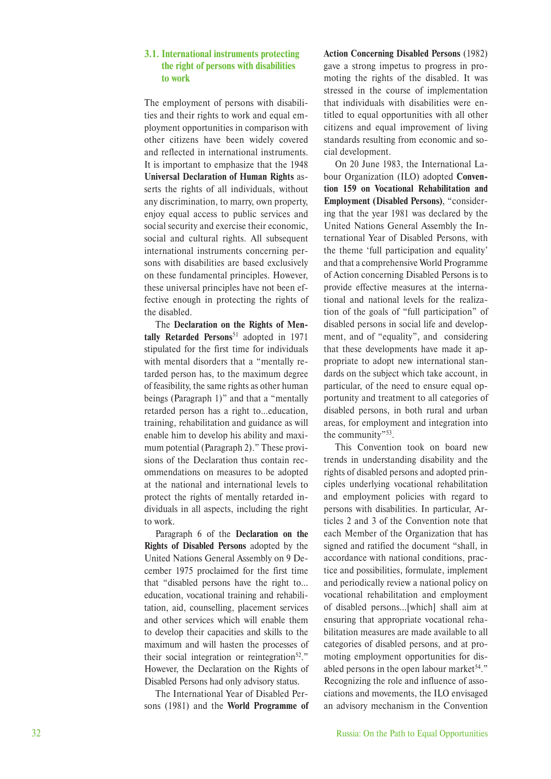#### **3.1. International instruments protecting the right of persons with disabilities to work**

The employment of persons with disabilities and their rights to work and equal employment opportunities in comparison with other citizens have been widely covered and reflected in international instruments. It is important to emphasize that the 1948 **Universal Declaration of Human Rights** asserts the rights of all individuals, without any discrimination, to marry, own property, enjoy equal access to public services and social security and exercise their economic, social and cultural rights. All subsequent international instruments concerning persons with disabilities are based exclusively on these fundamental principles. However, these universal principles have not been effective enough in protecting the rights of the disabled.

The **Declaration on the Rights of Mentally Retarded Persons**51 adopted in 1971 stipulated for the first time for individuals with mental disorders that a "mentally retarded person has, to the maximum degree of feasibility, the same rights as other human beings (Paragraph 1)" and that a "mentally retarded person has a right to…education, training, rehabilitation and guidance as will enable him to develop his ability and maximum potential (Paragraph 2)." These provisions of the Declaration thus contain recommendations on measures to be adopted at the national and international levels to protect the rights of mentally retarded individuals in all aspects, including the right to work.

Paragraph 6 of the **Declaration on the Rights of Disabled Persons** adopted by the United Nations General Assembly on 9 December 1975 proclaimed for the first time that "disabled persons have the right to… education, vocational training and rehabilitation, aid, counselling, placement services and other services which will enable them to develop their capacities and skills to the maximum and will hasten the processes of their social integration or reintegration<sup>52</sup>." However, the Declaration on the Rights of Disabled Persons had only advisory status.

The International Year of Disabled Persons (1981) and the **World Programme of** 

#### **Action Concerning Disabled Persons** (1982) gave a strong impetus to progress in promoting the rights of the disabled. It was stressed in the course of implementation that individuals with disabilities were entitled to equal opportunities with all other citizens and equal improvement of living standards resulting from economic and social development.

On 20 June 1983, the International Labour Organization (ILO) adopted **Convention 159 on Vocational Rehabilitation and Employment (Disabled Persons)**, "considering that the year 1981 was declared by the United Nations General Assembly the International Year of Disabled Persons, with the theme 'full participation and equality' and that a comprehensive World Programme of Action concerning Disabled Persons is to provide effective measures at the international and national levels for the realization of the goals of "full participation" of disabled persons in social life and development, and of "equality", and considering that these developments have made it appropriate to adopt new international standards on the subject which take account, in particular, of the need to ensure equal opportunity and treatment to all categories of disabled persons, in both rural and urban areas, for employment and integration into the community"53.

This Convention took on board new trends in understanding disability and the rights of disabled persons and adopted principles underlying vocational rehabilitation and employment policies with regard to persons with disabilities. In particular, Articles 2 and 3 of the Convention note that each Member of the Organization that has signed and ratified the document "shall, in accordance with national conditions, practice and possibilities, formulate, implement and periodically review a national policy on vocational rehabilitation and employment of disabled persons…[which] shall aim at ensuring that appropriate vocational rehabilitation measures are made available to all categories of disabled persons, and at promoting employment opportunities for disabled persons in the open labour market $54$ ." Recognizing the role and influence of associations and movements, the ILO envisaged an advisory mechanism in the Convention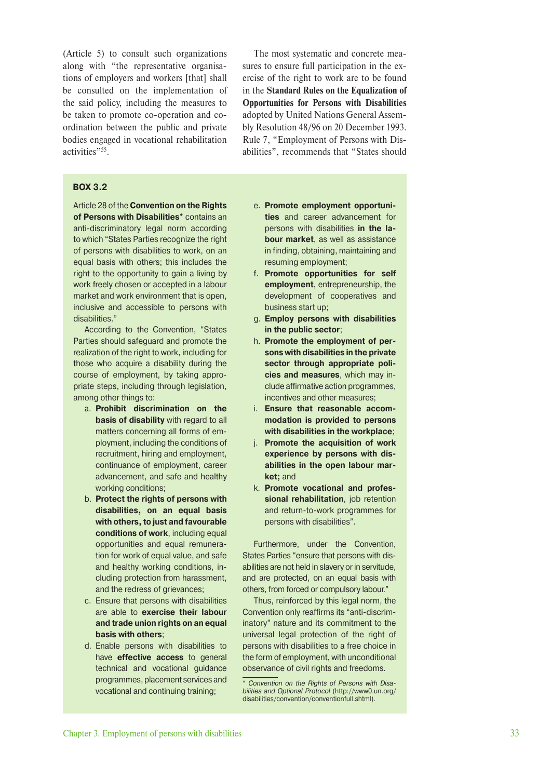(Article 5) to consult such organizations along with "the representative organisations of employers and workers [that] shall be consulted on the implementation of the said policy, including the measures to be taken to promote co-operation and coordination between the public and private bodies engaged in vocational rehabilitation activities"55.

The most systematic and concrete measures to ensure full participation in the exercise of the right to work are to be found in the **Standard Rules on the Equalization of Opportunities for Persons with Disabilities** adopted by United Nations General Assembly Resolution 48/96 on 20 December 1993. Rule 7, "Employment of Persons with Disabilities", recommends that "States should

#### **BOX 3.2**

Article 28 of the **Convention on the Rights of Persons with Disabilities\*** contains an anti-discriminatory legal norm according to which "States Parties recognize the right of persons with disabilities to work, on an equal basis with others; this includes the right to the opportunity to gain a living by work freely chosen or accepted in a labour market and work environment that is open, inclusive and accessible to persons with disabilities."

According to the Convention, "States Parties should safeguard and promote the realization of the right to work, including for those who acquire a disability during the course of employment, by taking appropriate steps, including through legislation, among other things to:

- a. **Prohibit discrimination on the basis of disability** with regard to all matters concerning all forms of employment, including the conditions of recruitment, hiring and employment, continuance of employment, career advancement, and safe and healthy working conditions;
- b. **Protect the rights of persons with disabilities, on an equal basis**  with others, to just and favourable **conditions of work**, including equal opportunities and equal remuneration for work of equal value, and safe and healthy working conditions, including protection from harassment, and the redress of grievances;
- c. Ensure that persons with disabilities are able to **exercise their labour and trade union rights on an equal basis with others**;
- d. Enable persons with disabilities to have **effective access** to general technical and vocational guidance programmes, placement services and vocational and continuing training;
- e. **Promote employment opportunities** and career advancement for persons with disabilities **in the labour market**, as well as assistance in finding, obtaining, maintaining and resuming employment;
- f. **Promote opportunities for self employment**, entrepreneurship, the development of cooperatives and business start up;
- g. **Employ persons with disabilities in the public sector**;
- h. **Promote the employment of persons with disabilities in the private sector through appropriate policies and measures**, which may include affirmative action programmes, incentives and other measures;
- i. **Ensure that reasonable accommodation is provided to persons with disabilities in the workplace**;
- j. **Promote the acquisition of work experience by persons with disabilities in the open labour market;** and
- k. **Promote vocational and professional rehabilitation**, job retention and return-to-work programmes for persons with disabilities".

Furthermore, under the Convention, States Parties "ensure that persons with disabilities are not held in slavery or in servitude, and are protected, on an equal basis with others, from forced or compulsory labour."

Thus, reinforced by this legal norm, the Convention only reaffirms its "anti-discriminatory" nature and its commitment to the universal legal protection of the right of persons with disabilities to a free choice in the form of employment, with unconditional observance of civil rights and freedoms.

<sup>\*</sup> Convention on the Rights of Persons with Disabilities and Optional Protocol (http://www0.un.org/ disa bilities/convention/conventionfull.shtml).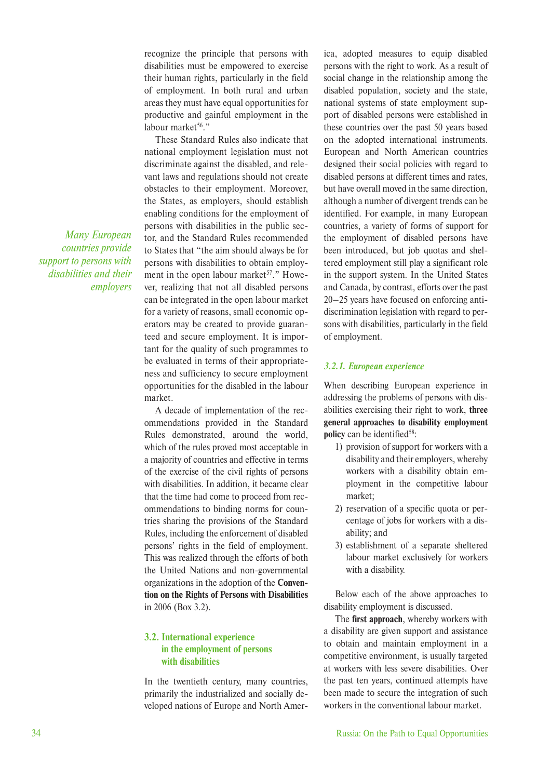recognize the principle that persons with disabilities must be empowered to exercise their human rights, particularly in the field of employment. In both rural and urban areas they must have equal opportunities for productive and gainful employment in the labour market<sup>56</sup>."

These Standard Rules also indicate that national employment legislation must not discriminate against the disabled, and relevant laws and regulations should not create obstacles to their employment. Moreover, the States, as employers, should establish enabling conditions for the employment of persons with disabilities in the public sector, and the Standard Rules recommended to States that "the aim should always be for persons with disabilities to obtain employment in the open labour market<sup>57</sup>." However, realizing that not all disabled persons can be integrated in the open labour market for a variety of reasons, small economic operators may be created to provide guaranteed and secure employment. It is important for the quality of such programmes to be evaluated in terms of their appropriateness and sufficiency to secure employment opportunities for the disabled in the labour market.

A decade of implementation of the recommendations provided in the Standard Rules demonstrated, around the world, which of the rules proved most acceptable in a majority of countries and effective in terms of the exercise of the civil rights of persons with disabilities. In addition, it became clear that the time had come to proceed from recommendations to binding norms for countries sharing the provisions of the Standard Rules, including the enforcement of disabled persons' rights in the field of employment. This was realized through the efforts of both the United Nations and non-governmental organizations in the adoption of the **Convention on the Rights of Persons with Disabilities** in 2006 (Box 3.2).

#### **3.2. International experience in the employment of persons with disabilities**

In the twentieth century, many countries, primarily the industrialized and socially developed nations of Europe and North America, adopted measures to equip disabled persons with the right to work. As a result of social change in the relationship among the disabled population, society and the state, national systems of state employment support of disabled persons were established in these countries over the past 50 years based on the adopted international instruments. European and North American countries designed their social policies with regard to disabled persons at different times and rates, but have overall moved in the same direction, although a number of divergent trends can be identified. For example, in many European countries, a variety of forms of support for the employment of disabled persons have been introduced, but job quotas and sheltered employment still play a significant role in the support system. In the United States and Canada, by contrast, efforts over the past 20–25 years have focused on enforcing antidiscrimination legislation with regard to persons with disabilities, particularly in the field of employment.

#### *3.2.1. European experience*

When describing European experience in addressing the problems of persons with disabilities exercising their right to work, **three general approaches to disability employment policy** can be identified<sup>58</sup>:

- 1) provision of support for workers with a disability and their employers, whereby workers with a disability obtain employment in the competitive labour market;
- 2) reservation of a specific quota or percentage of jobs for workers with a disability; and
- 3) establishment of a separate sheltered labour market exclusively for workers with a disability.

Below each of the above approaches to disability employment is discussed.

The **first approach**, whereby workers with a disability are given support and assistance to obtain and maintain employment in a competitive environment, is usually targeted at workers with less severe disabilities. Over the past ten years, continued attempts have been made to secure the integration of such workers in the conventional labour market.

*Many European countries provide support to persons with disabilities and their employers*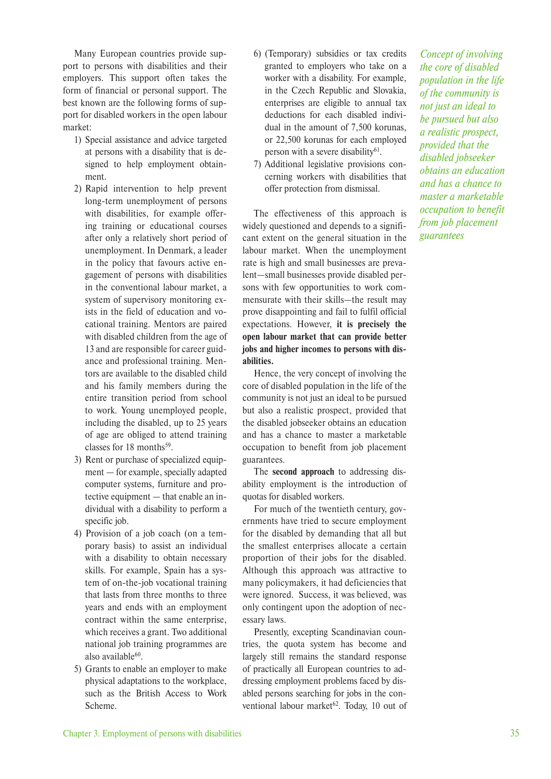Many European countries provide support to persons with disabilities and their employers. This support often takes the form of financial or personal support. The best known are the following forms of support for disabled workers in the open labour market:

- 1) Special assistance and advice targeted at persons with a disability that is designed to help employment obtainment.
- 2) Rapid intervention to help prevent long-term unemployment of persons with disabilities, for example offering training or educational courses after only a relatively short period of unemployment. In Denmark, a leader in the policy that favours active engagement of persons with disabilities in the conventional labour market, a system of supervisory monitoring exists in the field of education and vocational training. Mentors are paired with disabled children from the age of 13 and are responsible for career guidance and professional training. Mentors are available to the disabled child and his family members during the entire transition period from school to work. Young unemployed people, including the disabled, up to 25 years of age are obliged to attend training classes for  $18$  months<sup>59</sup>.
- 3) Rent or purchase of specialized equipment — for example, specially adapted computer systems, furniture and protective equipment — that enable an individual with a disability to perform a specific job.
- 4) Provision of a job coach (on a temporary basis) to assist an individual with a disability to obtain necessary skills. For example, Spain has a system of on-the-job vocational training that lasts from three months to three years and ends with an employment contract within the same enterprise, which receives a grant. Two additional national job training programmes are also available $60$ .
- 5) Grants to enable an employer to make physical adaptations to the workplace, such as the British Access to Work Scheme.
- 6) (Temporary) subsidies or tax credits granted to employers who take on a worker with a disability. For example, in the Czech Republic and Slovakia, enterprises are eligible to annual tax deductions for each disabled individual in the amount of 7,500 korunas, or 22,500 korunas for each employed person with a severe disability $61$ .
- 7) Additional legislative provisions concerning workers with disabilities that offer protection from dismissal.

The effectiveness of this approach is widely questioned and depends to a significant extent on the general situation in the labour market. When the unemployment rate is high and small businesses are prevalent—small businesses provide disabled persons with few opportunities to work commensurate with their skills—the result may prove disappointing and fail to fulfil official expectations. However, **it is precisely the open labour market that can provide better jobs and higher incomes to persons with disabilities.**

Hence, the very concept of involving the core of disabled population in the life of the community is not just an ideal to be pursued but also a realistic prospect, provided that the disabled jobseeker obtains an education and has a chance to master a marketable occupation to benefit from job placement guarantees.

The **second approach** to addressing disability employment is the introduction of quotas for disabled workers.

For much of the twentieth century, governments have tried to secure employment for the disabled by demanding that all but the smallest enterprises allocate a certain proportion of their jobs for the disabled. Although this approach was attractive to many policymakers, it had deficiencies that were ignored. Success, it was believed, was only contingent upon the adoption of necessary laws.

Presently, excepting Scandinavian countries, the quota system has become and largely still remains the standard response of practically all European countries to addressing employment problems faced by disabled persons searching for jobs in the conventional labour market $62$ . Today, 10 out of

*Concept of involving the core of disabled population in the life of the community is not just an ideal to be pursued but also a realistic prospect, provided that the disabled jobseeker obtains an education and has a chance to master a marketable occupation to benefit from job placement guarantees*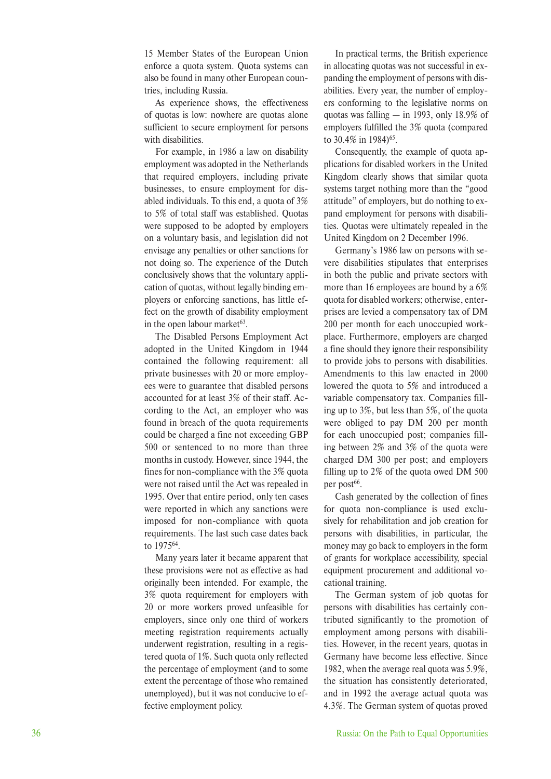15 Member States of the European Union enforce a quota system. Quota systems can also be found in many other European countries, including Russia.

As experience shows, the effectiveness of quotas is low: nowhere are quotas alone sufficient to secure employment for persons with disabilities.

For example, in 1986 a law on disability employment was adopted in the Netherlands that required employers, including private businesses, to ensure employment for disabled individuals. To this end, a quota of 3% to 5% of total staff was established. Quotas were supposed to be adopted by employers on a voluntary basis, and legislation did not envisage any penalties or other sanctions for not doing so. The experience of the Dutch conclusively shows that the voluntary application of quotas, without legally binding employers or enforcing sanctions, has little effect on the growth of disability employment in the open labour market $63$ .

The Disabled Persons Employment Act adopted in the United Kingdom in 1944 contained the following requirement: all private businesses with 20 or more employees were to guarantee that disabled persons accounted for at least 3% of their staff. According to the Act, an employer who was found in breach of the quota requirements could be charged a fine not exceeding GBP 500 or sentenced to no more than three months in custody. However, since 1944, the fines for non-compliance with the 3% quota were not raised until the Act was repealed in 1995. Over that entire period, only ten cases were reported in which any sanctions were imposed for non-compliance with quota requirements. The last such case dates back to 197564.

Many years later it became apparent that these provisions were not as effective as had originally been intended. For example, the 3% quota requirement for employers with 20 or more workers proved unfeasible for employers, since only one third of workers meeting registration requirements actually underwent registration, resulting in a registered quota of 1%. Such quota only reflected the percentage of employment (and to some extent the percentage of those who remained unemployed), but it was not conducive to effective employment policy.

In practical terms, the British experience in allocating quotas was not successful in expanding the employment of persons with disabilities. Every year, the number of employers conforming to the legislative norms on quotas was falling — in 1993, only 18.9% of employers fulfilled the 3% quota (compared to 30.4% in 1984)<sup>65</sup>.

Consequently, the example of quota applications for disabled workers in the United Kingdom clearly shows that similar quota systems target nothing more than the "good attitude" of employers, but do nothing to expand employment for persons with disabilities. Quotas were ultimately repealed in the United Kingdom on 2 December 1996.

Germany's 1986 law on persons with severe disabilities stipulates that enterprises in both the public and private sectors with more than 16 employees are bound by a 6% quota for disabled workers; otherwise, enterprises are levied a compensatory tax of DM 200 per month for each unoccupied workplace. Furthermore, employers are charged a fine should they ignore their responsibility to provide jobs to persons with disabilities. Amendments to this law enacted in 2000 lowered the quota to 5% and introduced a variable compensatory tax. Companies filling up to 3%, but less than 5%, of the quota were obliged to pay DM 200 per month for each unoccupied post; companies filling between 2% and 3% of the quota were charged DM 300 per post; and employers filling up to 2% of the quota owed DM 500 per post<sup>66</sup>.

Cash generated by the collection of fines for quota non-compliance is used exclusively for rehabilitation and job creation for persons with disabilities, in particular, the money may go back to employers in the form of grants for workplace accessibility, special equipment procurement and additional vocational training.

The German system of job quotas for persons with disabilities has certainly contributed significantly to the promotion of employment among persons with disabilities. However, in the recent years, quotas in Germany have become less effective. Since 1982, when the average real quota was 5.9%, the situation has consistently deteriorated, and in 1992 the average actual quota was 4.3%. The German system of quotas proved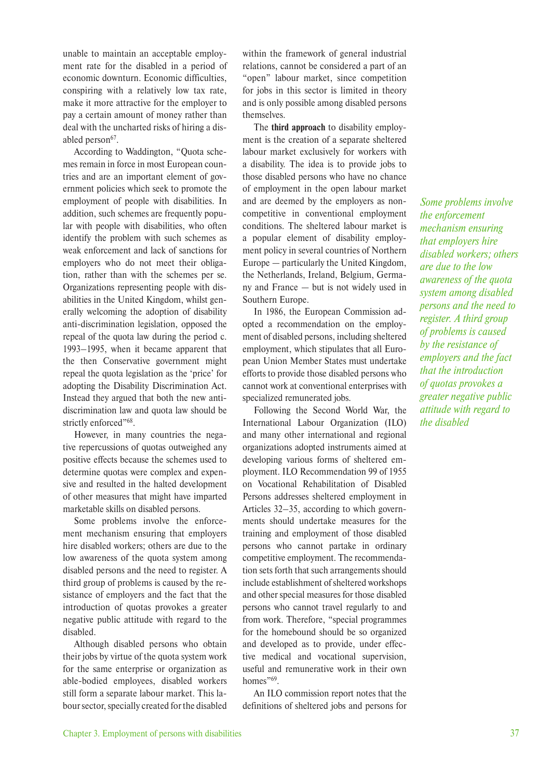unable to maintain an acceptable employment rate for the disabled in a period of economic downturn. Economic difficulties, conspiring with a relatively low tax rate, make it more attractive for the employer to pay a certain amount of money rather than deal with the uncharted risks of hiring a disabled person<sup>67</sup>.

According to Waddington, "Quota schemes remain in force in most European countries and are an important element of government policies which seek to promote the employment of people with disabilities. In addition, such schemes are frequently popular with people with disabilities, who often identify the problem with such schemes as weak enforcement and lack of sanctions for employers who do not meet their obligation, rather than with the schemes per se. Organizations representing people with disabilities in the United Kingdom, whilst generally welcoming the adoption of disability anti-discrimination legislation, opposed the repeal of the quota law during the period c. 1993–1995, when it became apparent that the then Conservative government might repeal the quota legislation as the 'price' for adopting the Disability Discrimination Act. Instead they argued that both the new antidiscrimination law and quota law should be strictly enforced"68.

However, in many countries the negative repercussions of quotas outweighed any positive effects because the schemes used to determine quotas were complex and expensive and resulted in the halted development of other measures that might have imparted marketable skills on disabled persons.

Some problems involve the enforcement mechanism ensuring that employers hire disabled workers; others are due to the low awareness of the quota system among disabled persons and the need to register. A third group of problems is caused by the resistance of employers and the fact that the introduction of quotas provokes a greater negative public attitude with regard to the disabled.

Although disabled persons who obtain their jobs by virtue of the quota system work for the same enterprise or organization as able-bodied employees, disabled workers still form a separate labour market. This labour sector, specially created for the disabled within the framework of general industrial relations, cannot be considered a part of an "open" labour market, since competition for jobs in this sector is limited in theory and is only possible among disabled persons themselves.

The **third approach** to disability employment is the creation of a separate sheltered labour market exclusively for workers with a disability. The idea is to provide jobs to those disabled persons who have no chance of employment in the open labour market and are deemed by the employers as noncompetitive in conventional employment conditions. The sheltered labour market is a popular element of disability employment policy in several countries of Northern Europe — particularly the United Kingdom, the Netherlands, Ireland, Belgium, Germany and France — but is not widely used in Southern Europe.

In 1986, the European Commission adopted a recommendation on the employment of disabled persons, including sheltered employment, which stipulates that all European Union Member States must undertake efforts to provide those disabled persons who cannot work at conventional enterprises with specialized remunerated jobs.

Following the Second World War, the International Labour Organization (ILO) and many other international and regional organizations adopted instruments aimed at developing various forms of sheltered employment. ILO Recommendation 99 of 1955 on Vocational Rehabilitation of Disabled Persons addresses sheltered employment in Articles 32–35, according to which governments should undertake measures for the training and employment of those disabled persons who cannot partake in ordinary competitive employment. The recommendation sets forth that such arrangements should include establishment of sheltered workshops and other special measures for those disabled persons who cannot travel regularly to and from work. Therefore, "special programmes for the homebound should be so organized and developed as to provide, under effective medical and vocational supervision, useful and remunerative work in their own homes"<sup>69</sup>.

An ILO commission report notes that the definitions of sheltered jobs and persons for

*Some problems involve the enforcement mechanism ensuring that employers hire disabled workers; others are due to the low awareness of the quota system among disabled persons and the need to register. A third group of problems is caused by the resistance of employers and the fact that the introduction of quotas provokes a greater negative public attitude with regard to the disabled*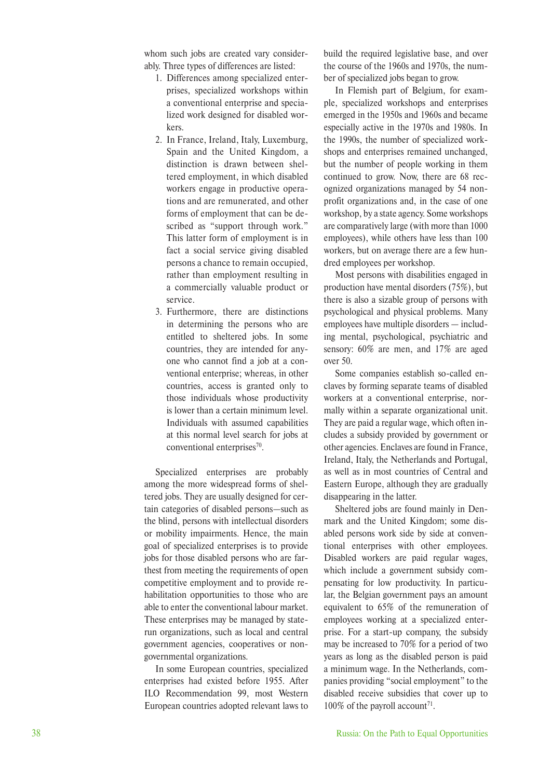whom such jobs are created vary considerably. Three types of differences are listed:

- 1. Differences among specialized enterprises, specialized workshops within a conventional enterprise and specialized work designed for disabled workers.
- 2. In France, Ireland, Italy, Luxemburg, Spain and the United Kingdom, a distinction is drawn between sheltered employment, in which disabled workers engage in productive operations and are remunerated, and other forms of employment that can be described as "support through work." This latter form of employment is in fact a social service giving disabled persons a chance to remain occupied, rather than employment resulting in a commercially valuable product or service.
- 3. Furthermore, there are distinctions in determining the persons who are entitled to sheltered jobs. In some countries, they are intended for anyone who cannot find a job at a conventional enterprise; whereas, in other countries, access is granted only to those individuals whose productivity is lower than a certain minimum level. Individuals with assumed capabilities at this normal level search for jobs at conventional enterprises<sup>70</sup>.

Specialized enterprises are probably among the more widespread forms of sheltered jobs. They are usually designed for certain categories of disabled persons—such as the blind, persons with intellectual disorders or mobility impairments. Hence, the main goal of specialized enterprises is to provide jobs for those disabled persons who are farthest from meeting the requirements of open competitive employment and to provide rehabilitation opportunities to those who are able to enter the conventional labour market. These enterprises may be managed by staterun organizations, such as local and central government agencies, cooperatives or nongovernmental organizations.

In some European countries, specialized enterprises had existed before 1955. After ILO Recommendation 99, most Western European countries adopted relevant laws to

build the required legislative base, and over the course of the 1960s and 1970s, the number of specialized jobs began to grow.

In Flemish part of Belgium, for example, specialized workshops and enterprises emerged in the 1950s and 1960s and became especially active in the 1970s and 1980s. In the 1990s, the number of specialized workshops and enterprises remained unchanged, but the number of people working in them continued to grow. Now, there are 68 recognized organizations managed by 54 nonprofit organizations and, in the case of one workshop, by a state agency. Some workshops are comparatively large (with more than 1000 employees), while others have less than 100 workers, but on average there are a few hundred employees per workshop.

Most persons with disabilities engaged in production have mental disorders (75%), but there is also a sizable group of persons with psychological and physical problems. Many employees have multiple disorders — including mental, psychological, psychiatric and sensory: 60% are men, and 17% are aged over 50.

Some companies establish so-called enclaves by forming separate teams of disabled workers at a conventional enterprise, normally within a separate organizational unit. They are paid a regular wage, which often includes a subsidy provided by government or other agencies. Enclaves are found in France, Ireland, Italy, the Netherlands and Portugal, as well as in most countries of Central and Eastern Europe, although they are gradually disappearing in the latter.

Sheltered jobs are found mainly in Denmark and the United Kingdom; some disabled persons work side by side at conventional enterprises with other employees. Disabled workers are paid regular wages, which include a government subsidy compensating for low productivity. In particular, the Belgian government pays an amount equivalent to 65% of the remuneration of employees working at a specialized enterprise. For a start-up company, the subsidy may be increased to 70% for a period of two years as long as the disabled person is paid a minimum wage. In the Netherlands, companies providing "social employment" to the disabled receive subsidies that cover up to  $100\%$  of the payroll account<sup>71</sup>.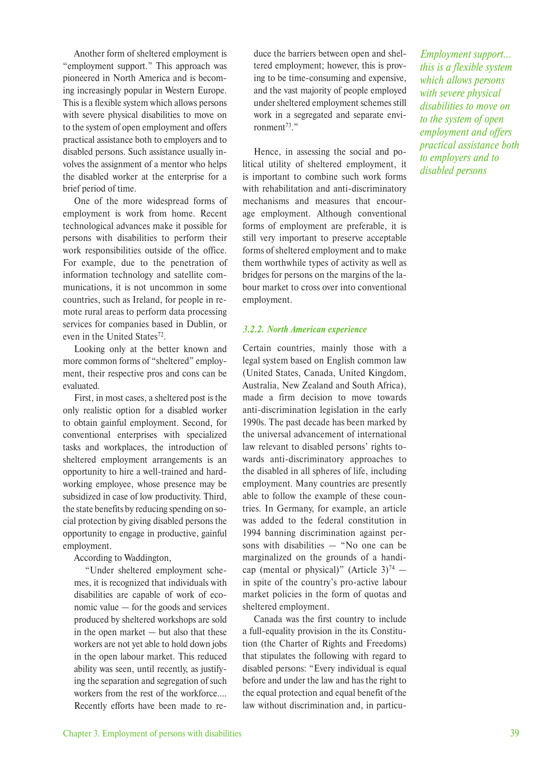Another form of sheltered employment is "employment support." This approach was pioneered in North America and is becoming increasingly popular in Western Europe. This is a flexible system which allows persons with severe physical disabilities to move on to the system of open employment and offers practical assistance both to employers and to disabled persons. Such assistance usually involves the assignment of a mentor who helps the disabled worker at the enterprise for a brief period of time.

One of the more widespread forms of employment is work from home. Recent technological advances make it possible for persons with disabilities to perform their work responsibilities outside of the office. For example, due to the penetration of information technology and satellite communications, it is not uncommon in some countries, such as Ireland, for people in remote rural areas to perform data processing services for companies based in Dublin, or even in the United States<sup>72</sup>.

Looking only at the better known and more common forms of "sheltered" employment, their respective pros and cons can be evaluated.

First, in most cases, a sheltered post is the only realistic option for a disabled worker to obtain gainful employment. Second, for conventional enterprises with specialized tasks and workplaces, the introduction of sheltered employment arrangements is an opportunity to hire a well-trained and hardworking employee, whose presence may be subsidized in case of low productivity. Third, the state benefits by reducing spending on social protection by giving disabled persons the opportunity to engage in productive, gainful employment.

According to Waddington,

"Under sheltered employment schemes, it is recognized that individuals with disabilities are capable of work of economic value — for the goods and services produced by sheltered workshops are sold in the open market — but also that these workers are not yet able to hold down jobs in the open labour market. This reduced ability was seen, until recently, as justifying the separation and segregation of such workers from the rest of the workforce…. Recently efforts have been made to reduce the barriers between open and sheltered employment; however, this is proving to be time-consuming and expensive, and the vast majority of people employed under sheltered employment schemes still work in a segregated and separate environment $^{73}$ ."

Hence, in assessing the social and political utility of sheltered employment, it is important to combine such work forms with rehabilitation and anti-discriminatory mechanisms and measures that encourage employment. Although conventional forms of employment are preferable, it is still very important to preserve acceptable forms of sheltered employment and to make them worthwhile types of activity as well as bridges for persons on the margins of the labour market to cross over into conventional employment.

#### *3.2.2. North American experience*

Certain countries, mainly those with a legal system based on English common law (United States, Canada, United Kingdom, Australia, New Zealand and South Africa), made a firm decision to move towards anti-discrimination legislation in the early 1990s. The past decade has been marked by the universal advancement of international law relevant to disabled persons' rights towards anti-discriminatory approaches to the disabled in all spheres of life, including employment. Many countries are presently able to follow the example of these countries. In Germany, for example, an article was added to the federal constitution in 1994 banning discrimination against persons with disabilities — "No one can be marginalized on the grounds of a handicap (mental or physical)" (Article  $3)^{74}$  – in spite of the country's pro-active labour market policies in the form of quotas and sheltered employment.

Canada was the first country to include a full-equality provision in the its Constitution (the Charter of Rights and Freedoms) that stipulates the following with regard to disabled persons: "Every individual is equal before and under the law and has the right to the equal protection and equal benefit of the law without discrimination and, in particu-

*Employment support… this is a flexible system which allows persons with severe physical disabilities to move on to the system of open employment and offers practical assistance both to employers and to disabled persons*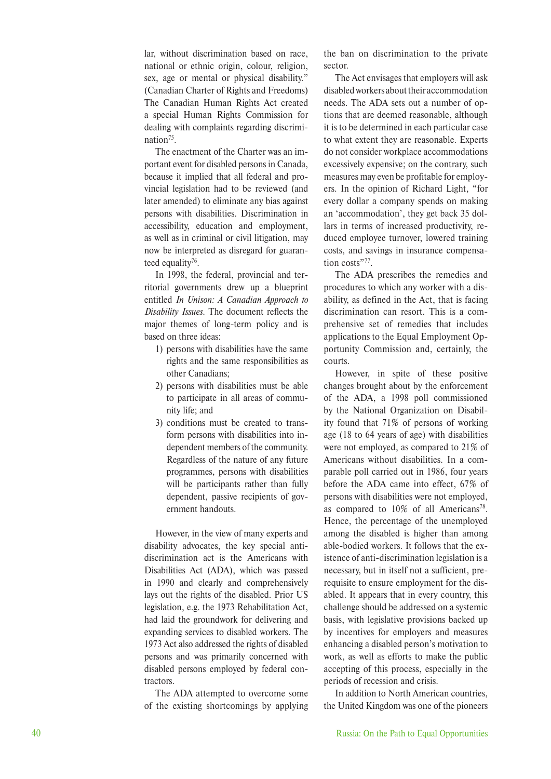lar, without discrimination based on race, national or ethnic origin, colour, religion, sex, age or mental or physical disability." (Canadian Charter of Rights and Freedoms) The Canadian Human Rights Act created a special Human Rights Commission for dealing with complaints regarding discrimination<sup>75</sup>.

The enactment of the Charter was an important event for disabled persons in Canada, because it implied that all federal and provincial legislation had to be reviewed (and later amended) to eliminate any bias against persons with disabilities. Discrimination in accessibility, education and employment, as well as in criminal or civil litigation, may now be interpreted as disregard for guaranteed equality<sup>76</sup>.

In 1998, the federal, provincial and territorial governments drew up a blueprint entitled *In Unison: A Canadian Approach to Disability Issues*. The document reflects the major themes of long-term policy and is based on three ideas:

- 1) persons with disabilities have the same rights and the same responsibilities as other Canadians;
- 2) persons with disabilities must be able to participate in all areas of community life; and
- 3) conditions must be created to transform persons with disabilities into independent members of the community. Regardless of the nature of any future programmes, persons with disabilities will be participants rather than fully dependent, passive recipients of government handouts.

However, in the view of many experts and disability advocates, the key special antidiscrimination act is the Americans with Disabilities Act (ADA), which was passed in 1990 and clearly and comprehensively lays out the rights of the disabled. Prior US legislation, e.g. the 1973 Rehabilitation Act, had laid the groundwork for delivering and expanding services to disabled workers. The 1973 Act also addressed the rights of disabled persons and was primarily concerned with disabled persons employed by federal contractors.

The ADA attempted to overcome some of the existing shortcomings by applying the ban on discrimination to the private sector.

The Act envisages that employers will ask disabled workers about their accommodation needs. The ADA sets out a number of options that are deemed reasonable, although it is to be determined in each particular case to what extent they are reasonable. Experts do not consider workplace accommodations excessively expensive; on the contrary, such measures may even be profitable for employers. In the opinion of Richard Light, "for every dollar a company spends on making an 'accommodation', they get back 35 dollars in terms of increased productivity, reduced employee turnover, lowered training costs, and savings in insurance compensation costs"<sup>77</sup>.

The ADA prescribes the remedies and procedures to which any worker with a disability, as defined in the Act, that is facing discrimination can resort. This is a comprehensive set of remedies that includes applications to the Equal Employment Opportunity Commission and, certainly, the courts.

However, in spite of these positive changes brought about by the enforcement of the ADA, a 1998 poll commissioned by the National Organization on Disability found that 71% of persons of working age (18 to 64 years of age) with disabilities were not employed, as compared to 21% of Americans without disabilities. In a comparable poll carried out in 1986, four years before the ADA came into effect, 67% of persons with disabilities were not employed, as compared to 10% of all Americans<sup>78</sup>. Hence, the percentage of the unemployed among the disabled is higher than among able-bodied workers. It follows that the existence of anti-discrimination legislation is a necessary, but in itself not a sufficient, prerequisite to ensure employment for the disabled. It appears that in every country, this challenge should be addressed on a systemic basis, with legislative provisions backed up by incentives for employers and measures enhancing a disabled person's motivation to work, as well as efforts to make the public accepting of this process, especially in the periods of recession and crisis.

In addition to North American countries, the United Kingdom was one of the pioneers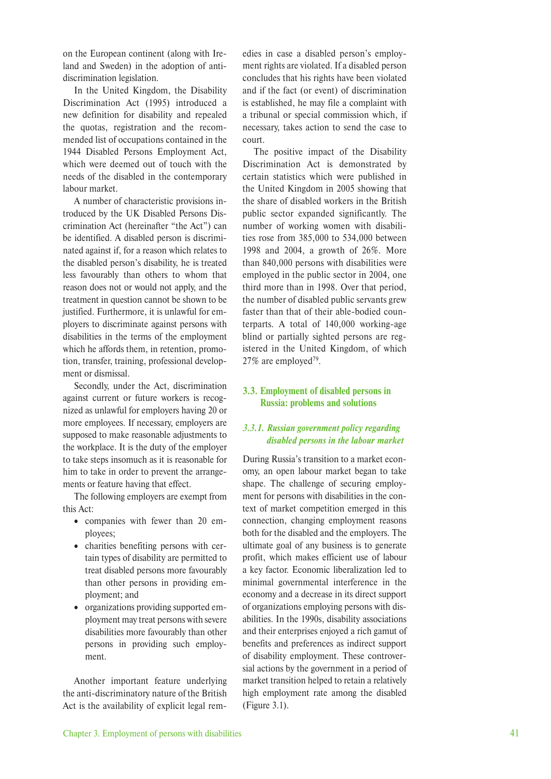on the European continent (along with Ireland and Sweden) in the adoption of antidiscrimination legislation.

In the United Kingdom, the Disability Discrimination Act (1995) introduced a new definition for disability and repealed the quotas, registration and the recommended list of occupations contained in the 1944 Disabled Persons Employment Act, which were deemed out of touch with the needs of the disabled in the contemporary labour market.

A number of characteristic provisions introduced by the UK Disabled Persons Discrimination Act (hereinafter "the Act") can be identified. A disabled person is discriminated against if, for a reason which relates to the disabled person's disability, he is treated less favourably than others to whom that reason does not or would not apply, and the treatment in question cannot be shown to be justified. Furthermore, it is unlawful for employers to discriminate against persons with disabilities in the terms of the employment which he affords them, in retention, promotion, transfer, training, professional development or dismissal.

Secondly, under the Act, discrimination against current or future workers is recognized as unlawful for employers having 20 or more employees. If necessary, employers are supposed to make reasonable adjustments to the workplace. It is the duty of the employer to take steps insomuch as it is reasonable for him to take in order to prevent the arrangements or feature having that effect.

The following employers are exempt from this Act:

- companies with fewer than 20 employees;
- charities benefiting persons with certain types of disability are permitted to treat disabled persons more favourably than other persons in providing employment; and
- organizations providing supported employment may treat persons with severe disabilities more favourably than other persons in providing such employment.

Another important feature underlying the anti-discriminatory nature of the British Act is the availability of explicit legal remedies in case a disabled person's employment rights are violated. If a disabled person concludes that his rights have been violated and if the fact (or event) of discrimination is established, he may file a complaint with a tribunal or special commission which, if necessary, takes action to send the case to court.

The positive impact of the Disability Discrimination Act is demonstrated by certain statistics which were published in the United Kingdom in 2005 showing that the share of disabled workers in the British public sector expanded significantly. The number of working women with disabilities rose from 385,000 to 534,000 between 1998 and 2004, a growth of 26%. More than 840,000 persons with disabilities were employed in the public sector in 2004, one third more than in 1998. Over that period, the number of disabled public servants grew faster than that of their able-bodied counterparts. A total of 140,000 working-age blind or partially sighted persons are registered in the United Kingdom, of which 27% are employed<sup>79</sup>.

#### **3.3. Employment of disabled persons in Russia: problems and solutions**

#### *3.3.1. Russian government policy regarding disabled persons in the labour market*

During Russia's transition to a market economy, an open labour market began to take shape. The challenge of securing employment for persons with disabilities in the context of market competition emerged in this connection, changing employment reasons both for the disabled and the employers. The ultimate goal of any business is to generate profit, which makes efficient use of labour a key factor. Economic liberalization led to minimal governmental interference in the economy and a decrease in its direct support of organizations employing persons with disabilities. In the 1990s, disability associations and their enterprises enjoyed a rich gamut of benefits and preferences as indirect support of disability employment. These controversial actions by the government in a period of market transition helped to retain a relatively high employment rate among the disabled (Figure 3.1).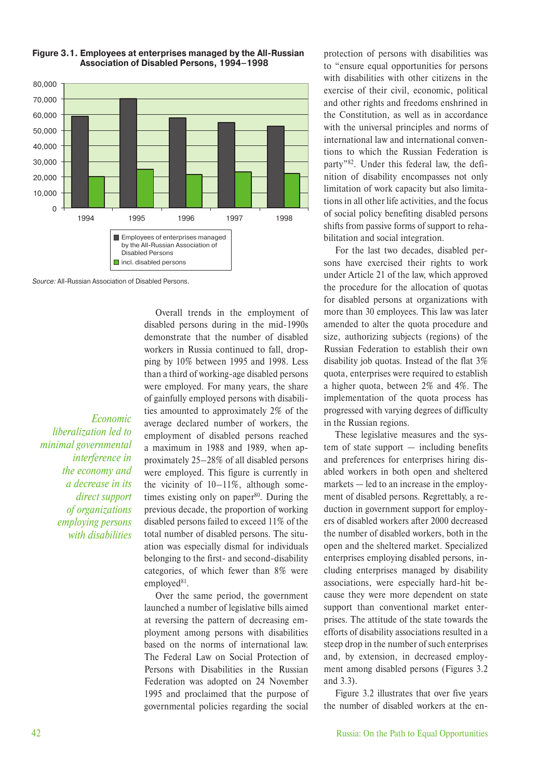

#### **Figure 3.1. Employees at enterprises managed by the All-Russian Association of Disabled Persons, 1994–1998**

Source: All-Russian Association of Disabled Persons.

*Economic liberalization led to minimal governmental interference in the economy and a decrease in its direct support of organizations employing persons with disabilities*

Overall trends in the employment of disabled persons during in the mid-1990s demonstrate that the number of disabled workers in Russia continued to fall, dropping by 10% between 1995 and 1998. Less than a third of working-age disabled persons were employed. For many years, the share of gainfully employed persons with disabilities amounted to approximately 2% of the average declared number of workers, the employment of disabled persons reached a maximum in 1988 and 1989, when approximately 25–28% of all disabled persons were employed. This figure is currently in the vicinity of 10–11%, although sometimes existing only on paper $80$ . During the previous decade, the proportion of working disabled persons failed to exceed 11% of the total number of disabled persons. The situation was especially dismal for individuals belonging to the first- and second-disability categories, of which fewer than 8% were employed $81$ .

Over the same period, the government launched a number of legislative bills aimed at reversing the pattern of decreasing employment among persons with disabilities based on the norms of international law. The Federal Law on Social Protection of Persons with Disabilities in the Russian Federation was adopted on 24 November 1995 and proclaimed that the purpose of governmental policies regarding the social

protection of persons with disabilities was to "ensure equal opportunities for persons with disabilities with other citizens in the exercise of their civil, economic, political and other rights and freedoms enshrined in the Constitution, as well as in accordance with the universal principles and norms of international law and international conventions to which the Russian Federation is party"82. Under this federal law, the definition of disability encompasses not only limitation of work capacity but also limitations in all other life activities, and the focus of social policy benefiting disabled persons shifts from passive forms of support to rehabilitation and social integration.

For the last two decades, disabled persons have exercised their rights to work under Article 21 of the law, which approved the procedure for the allocation of quotas for disabled persons at organizations with more than 30 employees. This law was later amended to alter the quota procedure and size, authorizing subjects (regions) of the Russian Federation to establish their own disability job quotas. Instead of the flat 3% quota, enterprises were required to establish a higher quota, between 2% and 4%. The implementation of the quota process has progressed with varying degrees of difficulty in the Russian regions.

These legislative measures and the system of state support — including benefits and preferences for enterprises hiring disabled workers in both open and sheltered markets — led to an increase in the employment of disabled persons. Regrettably, a reduction in government support for employers of disabled workers after 2000 decreased the number of disabled workers, both in the open and the sheltered market. Specialized enterprises employing disabled persons, including enterprises managed by disability associations, were especially hard-hit because they were more dependent on state support than conventional market enterprises. The attitude of the state towards the efforts of disability associations resulted in a steep drop in the number of such enterprises and, by extension, in decreased employment among disabled persons (Figures 3.2 and 3.3).

Figure 3.2 illustrates that over five years the number of disabled workers at the en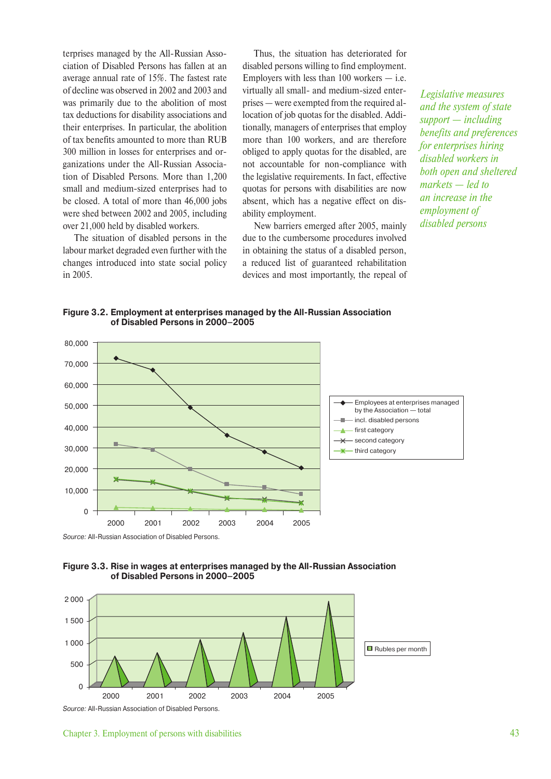terprises managed by the All-Russian Association of Disabled Persons has fallen at an average annual rate of 15%. The fastest rate of decline was observed in 2002 and 2003 and was primarily due to the abolition of most tax deductions for disability associations and their enterprises. In particular, the abolition of tax benefits amounted to more than RUB 300 million in losses for enterprises and organizations under the All-Russian Association of Disabled Persons. More than 1,200 small and medium-sized enterprises had to be closed. A total of more than 46,000 jobs were shed between 2002 and 2005, including over 21,000 held by disabled workers.

The situation of disabled persons in the labour market degraded even further with the changes introduced into state social policy in 2005.

Thus, the situation has deteriorated for disabled persons willing to find employment. Employers with less than  $100$  workers  $-$  i.e. virtually all small- and medium-sized enterprises — were exempted from the required allocation of job quotas for the disabled. Additionally, managers of enterprises that employ more than 100 workers, and are therefore obliged to apply quotas for the disabled, are not accountable for non-compliance with the legislative requirements. In fact, effective quotas for persons with disabilities are now absent, which has a negative effect on disability employment.

New barriers emerged after 2005, mainly due to the cumbersome procedures involved in obtaining the status of a disabled person, a reduced list of guaranteed rehabilitation devices and most importantly, the repeal of

*Legislative measures and the system of state support — including benefits and preferences for enterprises hiring disabled workers in both open and sheltered markets — led to an increase in the employment of disabled persons*

**Figure 3.2. Employment at enterprises managed by the All-Russian Association of Disabled Persons in 2000–2005**



Source: All-Russian Association of Disabled Persons.





Chapter 3. Employment of persons with disabilities 43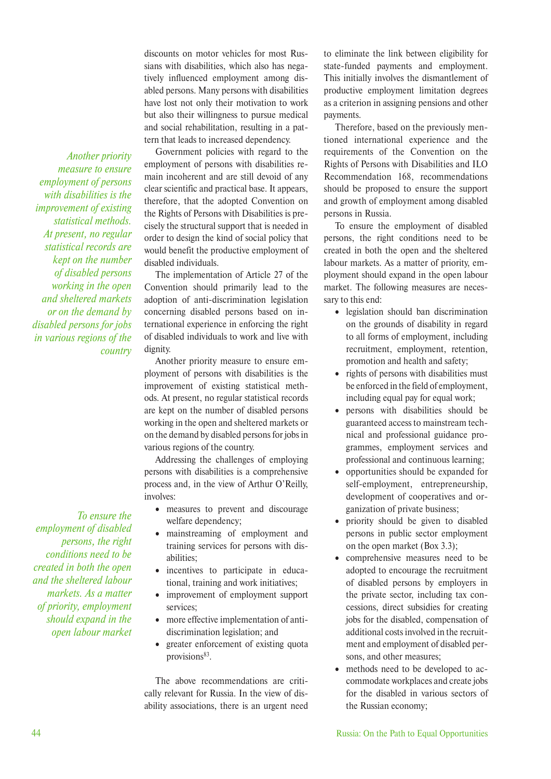discounts on motor vehicles for most Russians with disabilities, which also has negatively influenced employment among disabled persons. Many persons with disabilities have lost not only their motivation to work but also their willingness to pursue medical and social rehabilitation, resulting in a pattern that leads to increased dependency.

Government policies with regard to the employment of persons with disabilities remain incoherent and are still devoid of any clear scientific and practical base. It appears, therefore, that the adopted Convention on the Rights of Persons with Disabilities is precisely the structural support that is needed in order to design the kind of social policy that would benefit the productive employment of disabled individuals.

The implementation of Article 27 of the Convention should primarily lead to the adoption of anti-discrimination legislation concerning disabled persons based on international experience in enforcing the right of disabled individuals to work and live with dignity.

Another priority measure to ensure employment of persons with disabilities is the improvement of existing statistical methods. At present, no regular statistical records are kept on the number of disabled persons working in the open and sheltered markets or on the demand by disabled persons for jobs in various regions of the country.

Addressing the challenges of employing persons with disabilities is a comprehensive process and, in the view of Arthur O'Reilly, involves:

- measures to prevent and discourage welfare dependency;
- mainstreaming of employment and training services for persons with disabilities;
- incentives to participate in educational, training and work initiatives;
- improvement of employment support services;
- more effective implementation of antidiscrimination legislation; and
- greater enforcement of existing quota provisions<sup>83</sup>.

The above recommendations are critically relevant for Russia. In the view of disability associations, there is an urgent need to eliminate the link between eligibility for state-funded payments and employment. This initially involves the dismantlement of productive employment limitation degrees as a criterion in assigning pensions and other payments.

Therefore, based on the previously mentioned international experience and the requirements of the Convention on the Rights of Persons with Disabilities and ILO Recommendation 168, recommendations should be proposed to ensure the support and growth of employment among disabled persons in Russia.

To ensure the employment of disabled persons, the right conditions need to be created in both the open and the sheltered labour markets. As a matter of priority, employment should expand in the open labour market. The following measures are necessary to this end:

- legislation should ban discrimination on the grounds of disability in regard to all forms of employment, including recruitment, employment, retention, promotion and health and safety;
- rights of persons with disabilities must be enforced in the field of employment, including equal pay for equal work;
- persons with disabilities should be guaranteed access to mainstream technical and professional guidance programmes, employment services and professional and continuous learning;
- opportunities should be expanded for self-employment, entrepreneurship, development of cooperatives and organization of private business;
- priority should be given to disabled persons in public sector employment on the open market (Box 3.3);
- comprehensive measures need to be adopted to encourage the recruitment of disabled persons by employers in the private sector, including tax concessions, direct subsidies for creating jobs for the disabled, compensation of additional costs involved in the recruitment and employment of disabled persons, and other measures;
- methods need to be developed to accommodate workplaces and create jobs for the disabled in various sectors of the Russian economy;

*Another priority measure to ensure employment of persons with disabilities is the improvement of existing statistical methods. At present, no regular statistical records are kept on the number of disabled persons working in the open and sheltered markets or on the demand by disabled persons for jobs in various regions of the country*

*To ensure the employment of disabled persons, the right conditions need to be created in both the open and the sheltered labour markets. As a matter of priority, employment should expand in the open labour market*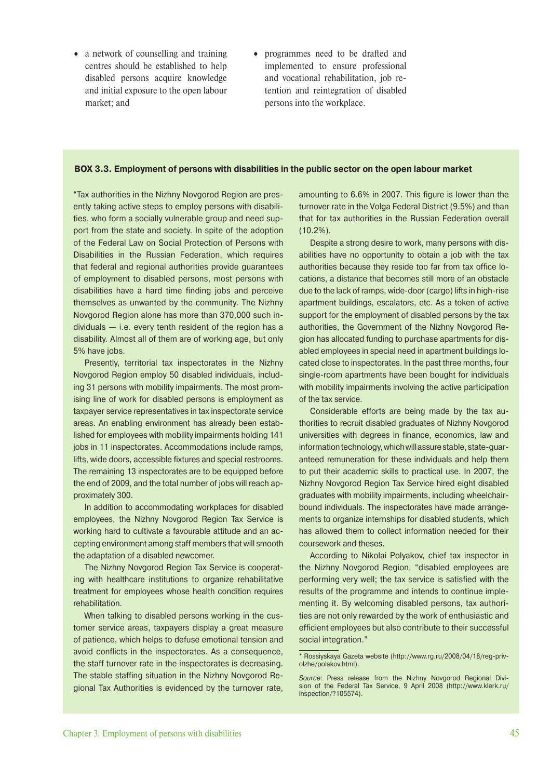- a network of counselling and training centres should be established to help disabled persons acquire knowledge and initial exposure to the open labour market; and
- programmes need to be drafted and implemented to ensure professional and vocational rehabilitation, job retention and reintegration of disabled persons into the workplace.

#### **BOX 3.3. Employment of persons with disabilities in the public sector on the open labour market**

"Tax authorities in the Nizhny Novgorod Region are presently taking active steps to employ persons with disabilities, who form a socially vulnerable group and need support from the state and society. In spite of the adoption of the Federal Law on Social Protection of Persons with Disabilities in the Russian Federation, which requires that federal and regional authorities provide guarantees of employment to disabled persons, most persons with disabilities have a hard time finding jobs and perceive themselves as unwanted by the community. The Nizhny Novgorod Region alone has more than 370,000 such individuals — i.e. every tenth resident of the region has a disability. Almost all of them are of working age, but only 5% have jobs.

Presently, territorial tax inspectorates in the Nizhny Novgorod Region employ 50 disabled individuals, including 31 persons with mobility impairments. The most promising line of work for disabled persons is employment as taxpayer service representatives in tax inspectorate service areas. An enabling environment has already been established for employees with mobility impairments holding 141 jobs in 11 inspectorates. Accommodations include ramps, lifts, wide doors, accessible fixtures and special restrooms. The remaining 13 inspectorates are to be equipped before the end of 2009, and the total number of jobs will reach approximately 300.

In addition to accommodating workplaces for disabled employees, the Nizhny Novgorod Region Tax Service is working hard to cultivate a favourable attitude and an accepting environment among staff members that will smooth the adaptation of a disabled newcomer.

The Nizhny Novgorod Region Tax Service is cooperating with healthcare institutions to organize rehabilitative treatment for employees whose health condition requires rehabilitation.

When talking to disabled persons working in the customer service areas, taxpayers display a great measure of patience, which helps to defuse emotional tension and avoid conflicts in the inspectorates. As a consequence, the staff turnover rate in the inspectorates is decreasing. The stable staffing situation in the Nizhny Novgorod Regional Tax Authorities is evidenced by the turnover rate, amounting to 6.6% in 2007. This figure is lower than the turnover rate in the Volga Federal District (9.5%) and than that for tax authorities in the Russian Federation overall (10.2%).

Despite a strong desire to work, many persons with disabilities have no opportunity to obtain a job with the tax authorities because they reside too far from tax office locations, a distance that becomes still more of an obstacle due to the lack of ramps, wide-door (cargo) lifts in high-rise apartment buildings, escalators, etc. As a token of active support for the employment of disabled persons by the tax authorities, the Government of the Nizhny Novgorod Region has allocated funding to purchase apartments for disabled employees in special need in apartment buildings located close to inspectorates. In the past three months, four single-room apartments have been bought for individuals with mobility impairments involving the active participation of the tax service.

Considerable efforts are being made by the tax authorities to recruit disabled graduates of Nizhny Novgorod universities with degrees in finance, economics, law and information technology, which will assure stable, state-guaranteed remuneration for these individuals and help them to put their academic skills to practical use. In 2007, the Nizhny Novgorod Region Tax Service hired eight disabled graduates with mobility impairments, including wheelchairbound individuals. The inspectorates have made arrangements to organize internships for disabled students, which has allowed them to collect information needed for their coursework and theses.

According to Nikolai Polyakov, chief tax inspector in the Nizhny Novgorod Region, "disabled employees are performing very well; the tax service is satisfied with the results of the programme and intends to continue implementing it. By welcoming disabled persons, tax authorities are not only rewarded by the work of enthusiastic and efficient employees but also contribute to their successful social integration."

<sup>\*</sup> Rossiyskaya Gazeta website (http://www.rg.ru/2008/04/18/reg-privolzhe/polakov.html).

Source: Press release from the Nizhny Novgorod Regional Division of the Federal Tax Service, 9 April 2008 (http://www.klerk.ru/ inspection/?105574).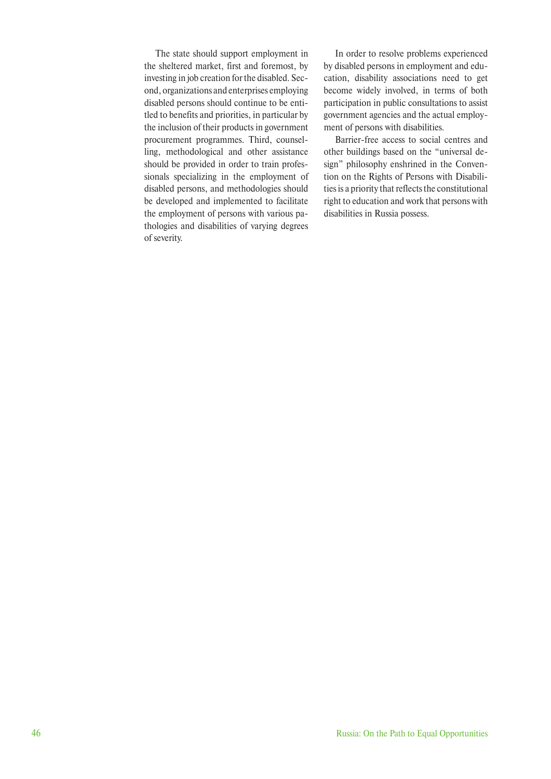The state should support employment in the sheltered market, first and foremost, by investing in job creation for the disabled. Second, organizations and enterprises employing disabled persons should continue to be entitled to benefits and priorities, in particular by the inclusion of their products in government procurement programmes. Third, counselling, methodological and other assistance should be provided in order to train professionals specializing in the employment of disabled persons, and methodologies should be developed and implemented to facilitate the employment of persons with various pathologies and disabilities of varying degrees of severity.

In order to resolve problems experienced by disabled persons in employment and education, disability associations need to get become widely involved, in terms of both participation in public consultations to assist government agencies and the actual employment of persons with disabilities.

Barrier-free access to social centres and other buildings based on the "universal design" philosophy enshrined in the Convention on the Rights of Persons with Disabilities is a priority that reflects the constitutional right to education and work that persons with disabilities in Russia possess.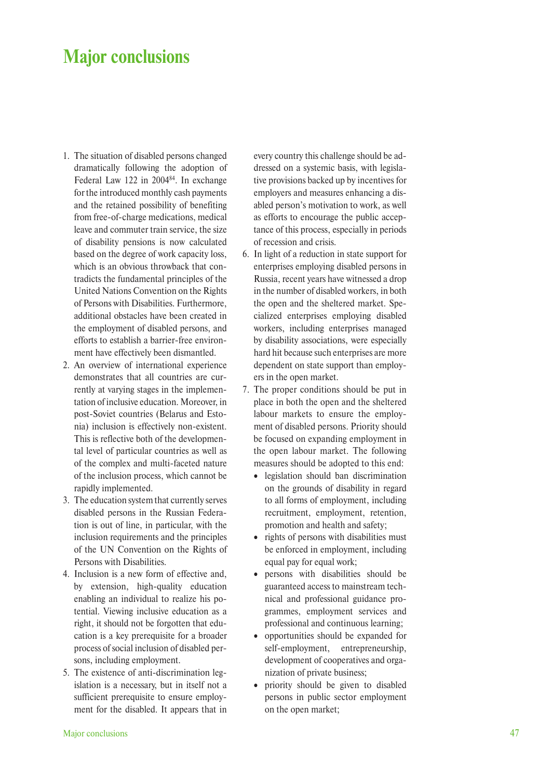## **Major conclusions**

- 1. The situation of disabled persons changed dramatically following the adoption of Federal Law 122 in 2004<sup>84</sup>. In exchange for the introduced monthly cash payments and the retained possibility of benefiting from free-of-charge medications, medical leave and commuter train service, the size of disability pensions is now calculated based on the degree of work capacity loss, which is an obvious throwback that contradicts the fundamental principles of the United Nations Convention on the Rights of Persons with Disabilities. Furthermore, additional obstacles have been created in the employment of disabled persons, and efforts to establish a barrier-free environment have effectively been dismantled.
- 2. An overview of international experience demonstrates that all countries are currently at varying stages in the implementation of inclusive education. Moreover, in post-Soviet countries (Belarus and Estonia) inclusion is effectively non-existent. This is reflective both of the developmental level of particular countries as well as of the complex and multi-faceted nature of the inclusion process, which cannot be rapidly implemented.
- 3. The education system that currently serves disabled persons in the Russian Federation is out of line, in particular, with the inclusion requirements and the principles of the UN Convention on the Rights of Persons with Disabilities.
- 4. Inclusion is a new form of effective and, by extension, high-quality education enabling an individual to realize his potential. Viewing inclusive education as a right, it should not be forgotten that education is a key prerequisite for a broader process of social inclusion of disabled persons, including employment.
- 5. The existence of anti-discrimination legislation is a necessary, but in itself not a sufficient prerequisite to ensure employment for the disabled. It appears that in

every country this challenge should be addressed on a systemic basis, with legislative provisions backed up by incentives for employers and measures enhancing a disabled person's motivation to work, as well as efforts to encourage the public acceptance of this process, especially in periods of recession and crisis.

- 6. In light of a reduction in state support for enterprises employing disabled persons in Russia, recent years have witnessed a drop in the number of disabled workers, in both the open and the sheltered market. Specialized enterprises employing disabled workers, including enterprises managed by disability associations, were especially hard hit because such enterprises are more dependent on state support than employers in the open market.
- 7. The proper conditions should be put in place in both the open and the sheltered labour markets to ensure the employment of disabled persons. Priority should be focused on expanding employment in the open labour market. The following measures should be adopted to this end:
	- legislation should ban discrimination on the grounds of disability in regard to all forms of employment, including recruitment, employment, retention, promotion and health and safety;
	- rights of persons with disabilities must be enforced in employment, including equal pay for equal work;
	- persons with disabilities should be guaranteed access to mainstream technical and professional guidance programmes, employment services and professional and continuous learning;
	- opportunities should be expanded for self-employment, entrepreneurship, development of cooperatives and organization of private business;
	- priority should be given to disabled persons in public sector employment on the open market;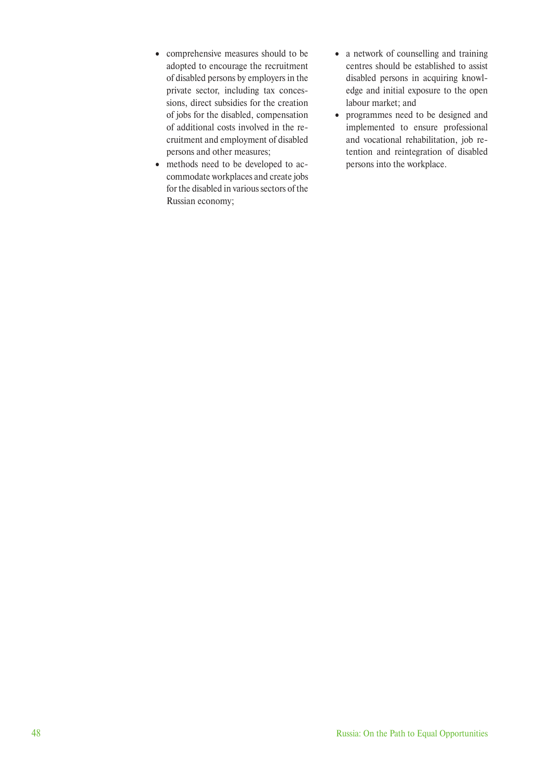- comprehensive measures should to be adopted to encourage the recruitment of disabled persons by employers in the private sector, including tax concessions, direct subsidies for the creation of jobs for the disabled, compensation of additional costs involved in the recruitment and employment of disabled persons and other measures;
- methods need to be developed to accommodate workplaces and create jobs for the disabled in various sectors of the Russian economy;
- a network of counselling and training centres should be established to assist disabled persons in acquiring knowledge and initial exposure to the open labour market; and
- programmes need to be designed and implemented to ensure professional and vocational rehabilitation, job retention and reintegration of disabled persons into the workplace.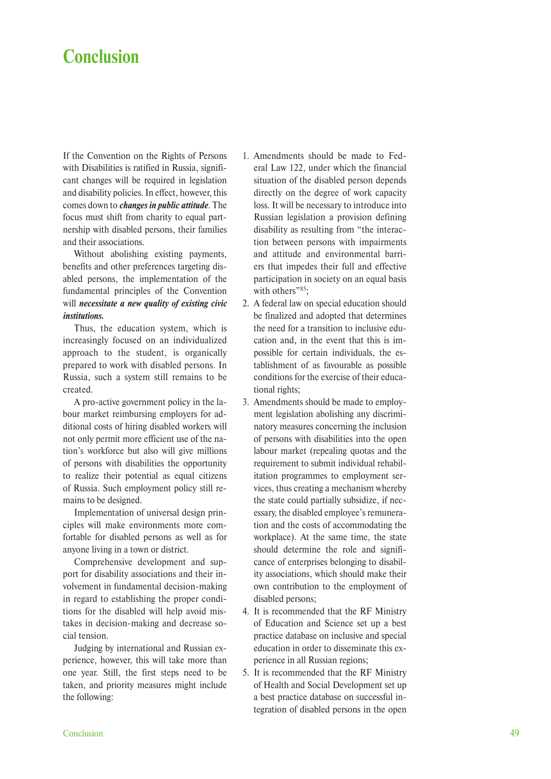## **Conclusion**

If the Convention on the Rights of Persons with Disabilities is ratified in Russia, significant changes will be required in legislation and disability policies. In effect, however, this comes down to *changes in public attitude*. The focus must shift from charity to equal partnership with disabled persons, their families and their associations.

Without abolishing existing payments, benefits and other preferences targeting disabled persons, the implementation of the fundamental principles of the Convention will *necessitate a new quality of existing civic institutions.*

Thus, the education system, which is increasingly focused on an individualized approach to the student, is organically prepared to work with disabled persons. In Russia, such a system still remains to be created.

A pro-active government policy in the labour market reimbursing employers for additional costs of hiring disabled workers will not only permit more efficient use of the nation's workforce but also will give millions of persons with disabilities the opportunity to realize their potential as equal citizens of Russia. Such employment policy still remains to be designed.

Implementation of universal design principles will make environments more comfortable for disabled persons as well as for anyone living in a town or district.

Comprehensive development and support for disability associations and their involvement in fundamental decision-making in regard to establishing the proper conditions for the disabled will help avoid mistakes in decision-making and decrease social tension.

Judging by international and Russian experience, however, this will take more than one year. Still, the first steps need to be taken, and priority measures might include the following:

- 1. Amendments should be made to Federal Law 122, under which the financial situation of the disabled person depends directly on the degree of work capacity loss. It will be necessary to introduce into Russian legislation a provision defining disability as resulting from "the interaction between persons with impairments and attitude and environmental barriers that impedes their full and effective participation in society on an equal basis with others"<sup>85</sup>:
- 2. A federal law on special education should be finalized and adopted that determines the need for a transition to inclusive education and, in the event that this is impossible for certain individuals, the establishment of as favourable as possible conditions for the exercise of their educational rights;
- 3. Amendments should be made to employment legislation abolishing any discriminatory measures concerning the inclusion of persons with disabilities into the open labour market (repealing quotas and the requirement to submit individual rehabilitation programmes to employment services, thus creating a mechanism whereby the state could partially subsidize, if necessary, the disabled employee's remuneration and the costs of accommodating the workplace). At the same time, the state should determine the role and significance of enterprises belonging to disability associations, which should make their own contribution to the employment of disabled persons;
- 4. It is recommended that the RF Ministry of Education and Science set up a best practice database on inclusive and special education in order to disseminate this experience in all Russian regions;
- 5. It is recommended that the RF Ministry of Health and Social Development set up a best practice database on successful integration of disabled persons in the open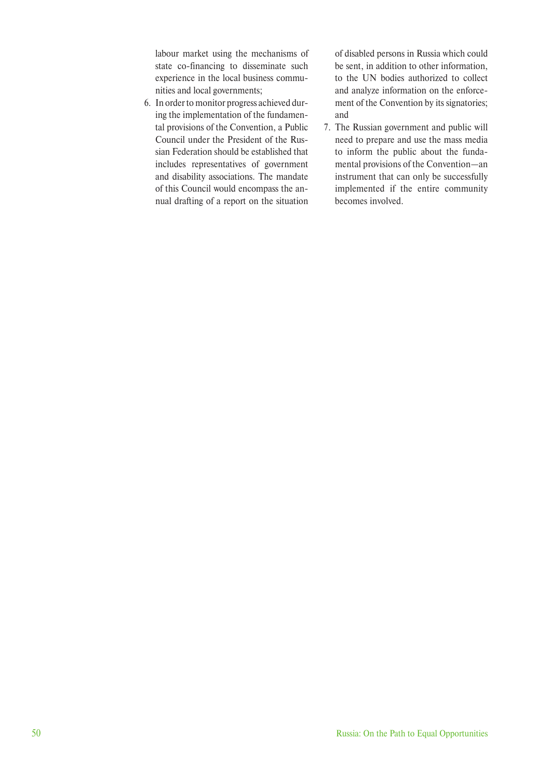labour market using the mechanisms of state co-financing to disseminate such experience in the local business communities and local governments;

6. In order to monitor progress achieved during the implementation of the fundamental provisions of the Convention, a Public Council under the President of the Russian Federation should be established that includes representatives of government and disability associations. The mandate of this Council would encompass the annual drafting of a report on the situation

of disabled persons in Russia which could be sent, in addition to other information, to the UN bodies authorized to collect and analyze information on the enforcement of the Convention by its signatories; and

7. The Russian government and public will need to prepare and use the mass media to inform the public about the fundamental provisions of the Convention—an instrument that can only be successfully implemented if the entire community becomes involved.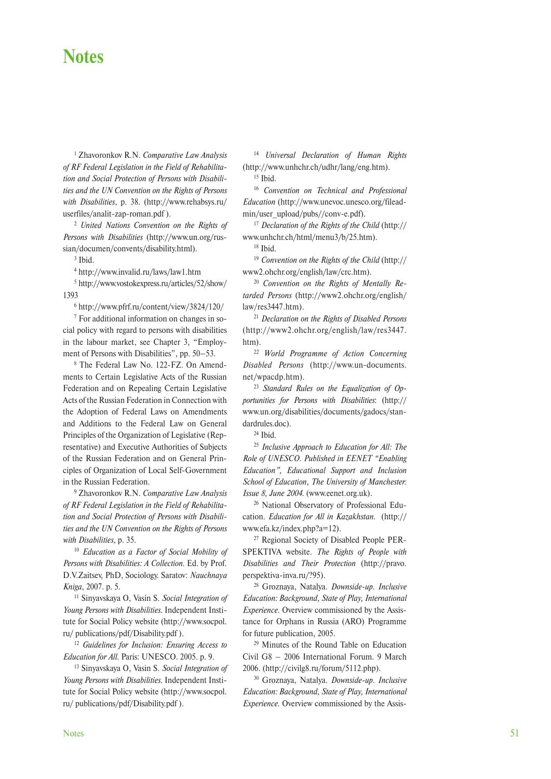## **Notes**

1 Zhavoronkov R.N. *Comparative Law Analysis of RF Federal Legislation in the Field of Rehabilitation and Social Protection of Persons with Disabilities and the UN Convention on the Rights of Persons with Disabilities*, p. 38. (http://www.rehabsys.ru/ userfiles/analit-zap-roman.pdf ).

<sup>2</sup> *United Nations Convention on the Rights of Persons with Disabilities* (http://www.un.org/russian/documen/convents/disability.html).

3 Ibid.

4 http://www.invalid.ru/laws/law1.htm

5 http://www.vostokexpress.ru/articles/52/show/ 1393

6 http://www.pfrf.ru/content/view/3824/120/

7 For additional information on changes in social policy with regard to persons with disabilities in the labour market, see Chapter 3, "Employment of Persons with Disabilities", pp. 50–53.

8 The Federal Law No. 122-FZ. On Amendments to Certain Legislative Acts of the Russian Federation and on Repealing Certain Legislative Acts of the Russian Federation in Connection with the Adoption of Federal Laws on Amendments and Additions to the Federal Law on General Principles of the Organization of Legislative (Representative) and Executive Authorities of Subjects of the Russian Federation and on General Principles of Organization of Local Self-Government in the Russian Federation.

9 Zhavoronkov R.N. *Comparative Law Analysis of RF Federal Legislation in the Field of Rehabilitation and Social Protection of Persons with Disabilities and the UN Convention on the Rights of Persons with Disabilities*, p. 35.

<sup>10</sup> *Education as a Factor of Social Mobility of Persons with Disabilities: A Collection*. Ed. by Prof. D.V.Zaitsev, PhD, Sociology. Saratov: *Nauchnaya Kniga*, 2007. p. 5.

11 Sinyavskaya O, Vasin S. *Social Integration of Young Persons with Disabilities.* Independent Institute for Social Policy website (http://www.socpol. ru/ publications/pdf/Disability.pdf ).

<sup>12</sup> *Guidelines for Inclusion: Ensuring Access to Education for All*. Paris: UNESCO. 2005. p. 9.

13 Sinyavskaya O, Vasin S. *Social Integration of Young Persons with Disabilities.* Independent Institute for Social Policy website (http://www.socpol. ru/ publications/pdf/Disability.pdf ).

<sup>14</sup> *Universal Declaration of Human Rights*  (http://www.unhchr.ch/udhr/lang/eng.htm).

15 Ibid.

<sup>16</sup> *Convention on Technical and Professional Education* (http://www.unevoc.unesco.org/fileadmin/user\_upload/pubs//conv-e.pdf).

<sup>17</sup> *Declaration of the Rights of the Child* (http:// www.unhchr.ch/html/menu3/b/25.htm).

18 Ibid.

<sup>19</sup> *Convention on the Rights of the Child* (http:// www2.ohchr.org/english/law/crc.htm).

<sup>20</sup> *Convention on the Rights of Mentally Retarded Persons* (http://www2.ohchr.org/english/ law/res3447.htm).

<sup>21</sup> *Declaration on the Rights of Disabled Persons* (http://www2.ohchr.org/english/law/res3447. htm).

<sup>22</sup> *World Programme of Action Concerning Disabled Persons* (http://www.un-documents. net/wpacdp.htm).

<sup>23</sup> *Standard Rules on the Equalization of Opportunities for Persons with Disabilities*: (http:// www.un.org/disabilities/documents/gadocs/standardrules.doc).

24 Ibid.

<sup>25</sup> *Inclusive Approach to Education for All: The Role of UNESCO*. *Published in EENET "Enabling Education", Educational Support and Inclusion School of Education, The University of Manchester. Issue 8, June 2004.* (www.eenet.org.uk).

26 National Observatory of Professional Education. *Education for All in Kazakhstan.* (http:// www.efa.kz/index.php?a=12).

27 Regional Society of Disabled People PER-SPEKTIVA website. *The Rights of People with Disabilities and Their Protection* (http://pravo. perspektiva-inva.ru/?95).

28 Groznaya, Natalya. *Downside-up. Inclusive Education: Background, State of Play, International Experience.* Overview commissioned by the Assistance for Orphans in Russia (ARO) Programme for future publication, 2005.

29 Minutes of the Round Table on Education Civil G8 – 2006 International Forum. 9 March 2006. (http://civilg8.ru/forum/5112.php).

30 Groznaya, Natalya. *Downside-up. Inclusive Education: Background, State of Play, International Experience.* Overview commissioned by the Assis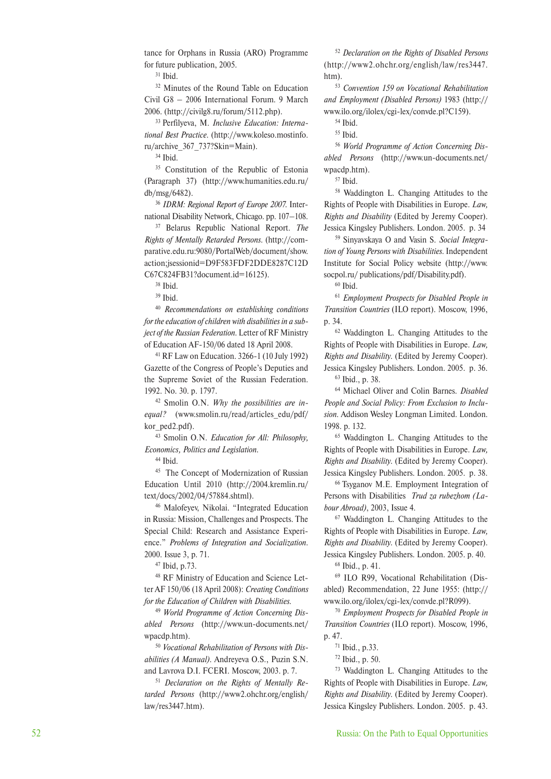tance for Orphans in Russia (ARO) Programme for future publication, 2005.

31 Ibid.

<sup>32</sup> Minutes of the Round Table on Education Civil G8 – 2006 International Forum. 9 March 2006. (http://civilg8.ru/forum/5112.php).

33 Perfilyeva, M. *Inclusive Education: International Best Practice*. (http://www.koleso.mostinfo. ru/archive\_367\_737?Skin=Main).

34 Ibid.

<sup>35</sup> Constitution of the Republic of Estonia (Paragraph 37) (http://www.humanities.edu.ru/ db/msg/6482).

<sup>36</sup> *IDRM: Regional Report of Europe 2007*. International Disability Network, Chicago. pp. 107–108.

37 Belarus Republic National Report. *The Rights of Mentally Retarded Persons*. (http://comparative.edu.ru:9080/PortalWeb/document/show. action;jsessionid=D9F583FDF2DDE8287C12D C67C824FB31?document.id=16125).

38 Ibid.

39 Ibid.

<sup>40</sup> *Recommendations on establishing conditions for the education of children with disabilities in a subject of the Russian Federation*. Letter of RF Ministry of Education AF-150/06 dated 18 April 2008.

41 RF Law on Education. 3266-1 (10 July 1992) Gazette of the Congress of People's Deputies and the Supreme Soviet of the Russian Federation. 1992. No. 30. p. 1797.

42 Smolin O.N. *Why the possibilities are inequal?* (www.smolin.ru/read/articles\_edu/pdf/ kor ped2.pdf).

43 Smolin O.N. *Education for All: Philosophy, Economics, Politics and Legislation*.

44 Ibid.

<sup>45</sup> The Concept of Modernization of Russian Education Until 2010 (http://2004.kremlin.ru/ text/docs/2002/04/57884.shtml).

46 Malofeyev, Nikolai. "Integrated Education in Russia: Mission, Challenges and Prospects. The Special Child: Research and Assistance Experience." *Problems of Integration and Socialization*. 2000. Issue 3, p. 71.

47 Ibid, p.73.

48 RF Ministry of Education and Science Letter AF 150/06 (18 April 2008): *Creating Conditions for the Education of Children with Disabilities*.

<sup>49</sup> *World Programme of Action Concerning Disabled Persons* (http://www.un-documents.net/ wpacdp.htm).

<sup>50</sup> *Vocational Rehabilitation of Persons with Disabilities (A Manual)*. Andreyeva O.S., Puzin S.N. and Lavrova D.I. FCERI. Moscow, 2003. p. 7.

<sup>51</sup> *Declaration on the Rights of Mentally Retarded Persons* (http://www2.ohchr.org/english/ law/res3447.htm).

<sup>52</sup> *Declaration on the Rights of Disabled Persons* (http://www2.ohchr.org/english/law/res3447. htm).

<sup>53</sup> *Convention 159 on Vocational Rehabilitation and Employment (Disabled Persons)* 1983 (http:// www.ilo.org/ilolex/cgi-lex/convde.pl?C159).

54 Ibid.

55 Ibid.

<sup>56</sup> *World Programme of Action Concerning Disabled Persons* (http://www.un-documents.net/ wpacdp.htm).

57 Ibid.

58 Waddington L. Changing Attitudes to the Rights of People with Disabilities in Europe. *Law, Rights and Disability* (Edited by Jeremy Cooper). Jessica Kingsley Publishers. London. 2005. p. 34

59 Sinyavskaya O and Vasin S. *Social Integration of Young Persons with Disabilities.* Independent Institute for Social Policy website (http://www. socpol.ru/ publications/pdf/Disability.pdf).

 $60$  Ibid.

<sup>61</sup> *Employment Prospects for Disabled People in Transition Countries* (ILO report). Moscow, 1996, p. 34.

62 Waddington L. Changing Attitudes to the Rights of People with Disabilities in Europe. *Law, Rights and Disability.* (Edited by Jeremy Cooper). Jessica Kingsley Publishers. London. 2005. p. 36.

63 Ibid., p. 38.

64 Michael Oliver and Colin Barnes. *Disabled People and Social Policy: From Exclusion to Inclusion*. Addison Wesley Longman Limited. London. 1998. p. 132.

65 Waddington L. Changing Attitudes to the Rights of People with Disabilities in Europe. *Law, Rights and Disability.* (Edited by Jeremy Cooper). Jessica Kingsley Publishers. London. 2005. p. 38.

66 Tsyganov M.E. Employment Integration of Persons with Disabilities *Trud za rubezhom (Labour Abroad)*, 2003, Issue 4.

67 Waddington L. Changing Attitudes to the Rights of People with Disabilities in Europe. *Law, Rights and Disability.* (Edited by Jeremy Cooper). Jessica Kingsley Publishers. London. 2005. p. 40. 68 Ibid., p. 41.

69 ILO R99, Vocational Rehabilitation (Disabled) Recommendation, 22 June 1955: (http:// www.ilo.org/ilolex/cgi-lex/convde.pl?R099).

<sup>70</sup> *Employment Prospects for Disabled People in Transition Countries* (ILO report). Moscow, 1996, p. 47.

71 Ibid., p.33.

72 Ibid., p. 50.

73 Waddington L. Changing Attitudes to the Rights of People with Disabilities in Europe. *Law, Rights and Disability.* (Edited by Jeremy Cooper). Jessica Kingsley Publishers. London. 2005. p. 43.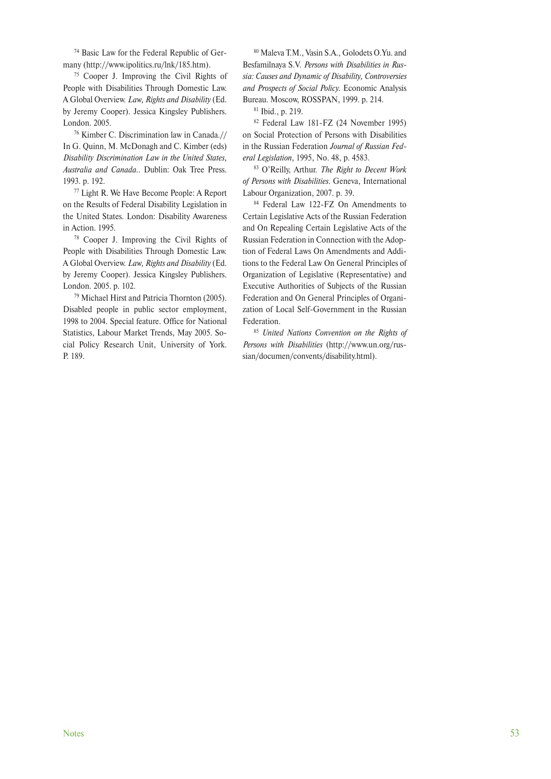74 Basic Law for the Federal Republic of Germany (http://www.ipolitics.ru/lnk/185.htm).

75 Cooper J. Improving the Civil Rights of People with Disabilities Through Domestic Law. A Global Overview. *Law, Rights and Disability* (Ed. by Jeremy Cooper). Jessica Kingsley Publishers. London. 2005.

76 Kimber С. Discrimination law in Canada.// In G. Quinn, M. McDonagh and С. Kimber (eds) *Disability Discrimination Law in the United States, Australia and Canada..* Dublin: Oak Tree Press. 1993. p. 192.

77 Light R. We Have Become People: A Report on the Results of Federal Disability Legislation in the United States. London: Disability Awareness in Action. 1995.

78 Cooper J. Improving the Civil Rights of People with Disabilities Through Domestic Law. A Global Overview. *Law, Rights and Disability* (Ed. by Jeremy Cooper). Jessica Kingsley Publishers. London. 2005. p. 102.

79 Michael Hirst and Patricia Thornton (2005). Disabled people in public sector employment, 1998 to 2004. Special feature. Office for National Statistics, Labour Market Trends, May 2005. Social Policy Research Unit, University of York. P. 189.

80 Maleva T.M., Vasin S.A., Golodets O.Yu. and Besfamilnaya S.V. *Persons with Disabilities in Russia: Causes and Dynamic of Disability, Controversies and Prospects of Social Policy.* Economic Analysis Bureau. Moscow, ROSSPAN, 1999. p. 214.

81 Ibid., p. 219.

82 Federal Law 181-FZ (24 November 1995) on Social Protection of Persons with Disabilities in the Russian Federation *Journal of Russian Federal Legislation*, 1995, No. 48, p. 4583.

83 O'Reilly, Arthur. *The Right to Decent Work of Persons with Disabilities*. Geneva, International Labour Organization, 2007. p. 39.

84 Federal Law 122-FZ On Amendments to Certain Legislative Acts of the Russian Federation and On Repealing Certain Legislative Acts of the Russian Federation in Connection with the Adoption of Federal Laws On Amendments and Additions to the Federal Law On General Principles of Organization of Legislative (Representative) and Executive Authorities of Subjects of the Russian Federation and On General Principles of Organization of Local Self-Government in the Russian Federation.

<sup>85</sup> *United Nations Convention on the Rights of Persons with Disabilities* (http://www.un.org/russian/documen/convents/disability.html).